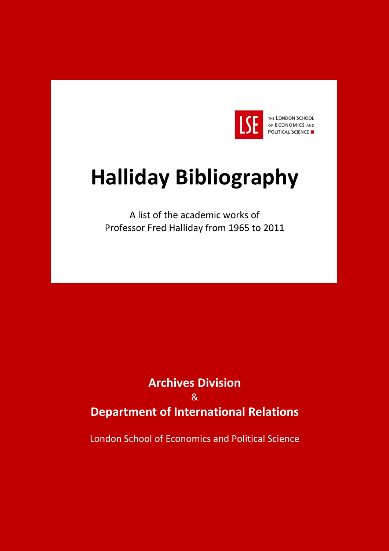

# **Halliday Bibliography**

A list of the academic works of Professor Fred Halliday from 1965 to 2011

# **Archives Division**  & **Department of International Relations**

London School of Economics and Political Science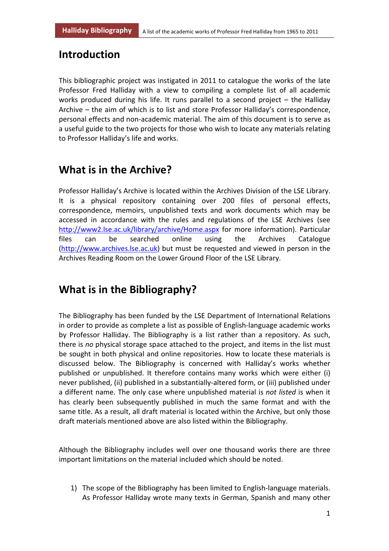#### **Introduction**

This bibliographic project was instigated in 2011 to catalogue the works of the late Professor Fred Halliday with a view to compiling a complete list of all academic works produced during his life. It runs parallel to a second project – the Halliday Archive – the aim of which is to list and store Professor Halliday's correspondence, personal effects and non-academic material. The aim of this document is to serve as a useful guide to the two projects for those who wish to locate any materials relating to Professor Halliday's life and works.

# **What is in the Archive?**

Professor Halliday's Archive is located within the Archives Division of the LSE Library. It is a physical repository containing over 200 files of personal effects, correspondence, memoirs, unpublished texts and work documents which may be accessed in accordance with the rules and regulations of the LSE Archives (see http://www2.lse.ac.uk/library/archive/Home.aspx for more information). Particular files can be searched online using the Archives Catalogue (http://www.archives.lse.ac.uk) but must be requested and viewed in person in the Archives Reading Room on the Lower Ground Floor of the LSE Library.

# **What is in the Bibliography?**

The Bibliography has been funded by the LSE Department of International Relations in order to provide as complete a list as possible of English-language academic works by Professor Halliday. The Bibliography is a list rather than a repository. As such, there is *no* physical storage space attached to the project, and items in the list must be sought in both physical and online repositories. How to locate these materials is discussed below. The Bibliography is concerned with Halliday's works whether published or unpublished. It therefore contains many works which were either (i) never published, (ii) published in a substantially-altered form, or (iii) published under a different name. The only case where unpublished material is *not listed* is when it has clearly been subsequently published in much the same format and with the same title. As a result, all draft material is located within the Archive, but only those draft materials mentioned above are also listed within the Bibliography.

Although the Bibliography includes well over one thousand works there are three important limitations on the material included which should be noted.

1) The scope of the Bibliography has been limited to English-language materials. As Professor Halliday wrote many texts in German, Spanish and many other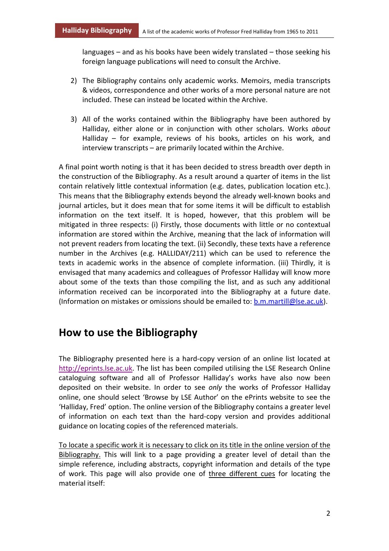languages – and as his books have been widely translated – those seeking his foreign language publications will need to consult the Archive.

- 2) The Bibliography contains only academic works. Memoirs, media transcripts & videos, correspondence and other works of a more personal nature are not included. These can instead be located within the Archive.
- 3) All of the works contained within the Bibliography have been authored by Halliday, either alone or in conjunction with other scholars. Works *about* Halliday – for example, reviews of his books, articles on his work, and interview transcripts – are primarily located within the Archive.

A final point worth noting is that it has been decided to stress breadth over depth in the construction of the Bibliography. As a result around a quarter of items in the list contain relatively little contextual information (e.g. dates, publication location etc.). This means that the Bibliography extends beyond the already well-known books and journal articles, but it does mean that for some items it will be difficult to establish information on the text itself. It is hoped, however, that this problem will be mitigated in three respects: (i) Firstly, those documents with little or no contextual information are stored within the Archive, meaning that the lack of information will not prevent readers from locating the text. (ii) Secondly, these texts have a reference number in the Archives (e.g. HALLIDAY/211) which can be used to reference the texts in academic works in the absence of complete information. (iii) Thirdly, it is envisaged that many academics and colleagues of Professor Halliday will know more about some of the texts than those compiling the list, and as such any additional information received can be incorporated into the Bibliography at a future date. (Information on mistakes or omissions should be emailed to: **b.m.martill@lse.ac.uk**).

# **How to use the Bibliography**

The Bibliography presented here is a hard-copy version of an online list located at http://eprints.lse.ac.uk. The list has been compiled utilising the LSE Research Online cataloguing software and all of Professor Halliday's works have also now been deposited on their website. In order to see *only* the works of Professor Halliday online, one should select 'Browse by LSE Author' on the ePrints website to see the 'Halliday, Fred' option. The online version of the Bibliography contains a greater level of information on each text than the hard-copy version and provides additional guidance on locating copies of the referenced materials.

To locate a specific work it is necessary to click on its title in the online version of the Bibliography. This will link to a page providing a greater level of detail than the simple reference, including abstracts, copyright information and details of the type of work. This page will also provide one of three different cues for locating the material itself: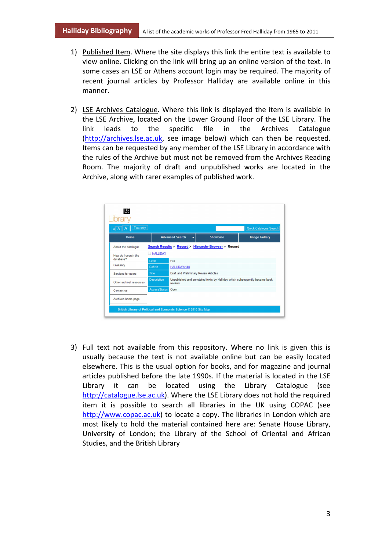- 1) Published Item. Where the site displays this link the entire text is available to view online. Clicking on the link will bring up an online version of the text. In some cases an LSE or Athens account login may be required. The majority of recent journal articles by Professor Halliday are available online in this manner.
- 2) LSE Archives Catalogue. Where this link is displayed the item is available in the LSE Archive, located on the Lower Ground Floor of the LSE Library. The link leads to the specific file in the Archives Catalogue (http://archives.lse.ac.uk, see image below) which can then be requested. Items can be requested by any member of the LSE Library in accordance with the rules of the Archive but must not be removed from the Archives Reading Room. The majority of draft and unpublished works are located in the Archive, along with rarer examples of published work.

|                     | ÷            | Showcase               | <b>Image Gallery</b>                                                                                                                                                        |
|---------------------|--------------|------------------------|-----------------------------------------------------------------------------------------------------------------------------------------------------------------------------|
|                     |              |                        |                                                                                                                                                                             |
| <b>HALLIDAY</b>     |              |                        |                                                                                                                                                                             |
| <b>Level</b>        | File         |                        |                                                                                                                                                                             |
| Ref No              | HALLIDAY/148 |                        |                                                                                                                                                                             |
| <b>Title</b>        |              |                        |                                                                                                                                                                             |
| <b>Description</b>  | reviews.     |                        |                                                                                                                                                                             |
| <b>AccessStatus</b> | Open         |                        |                                                                                                                                                                             |
|                     |              | <b>Advanced Search</b> | Search Results > Record > Hierarchy Browser > Record<br>Draft and Preliminary Review Articles<br>Unpublished and annotated texts by Halliday which subsequently became book |

3) Full text not available from this repository. Where no link is given this is usually because the text is not available online but can be easily located elsewhere. This is the usual option for books, and for magazine and journal articles published before the late 1990s. If the material is located in the LSE Library it can be located using the Library Catalogue (see http://catalogue.lse.ac.uk). Where the LSE Library does not hold the required item it is possible to search all libraries in the UK using COPAC (see http://www.copac.ac.uk) to locate a copy. The libraries in London which are most likely to hold the material contained here are: Senate House Library, University of London; the Library of the School of Oriental and African Studies, and the British Library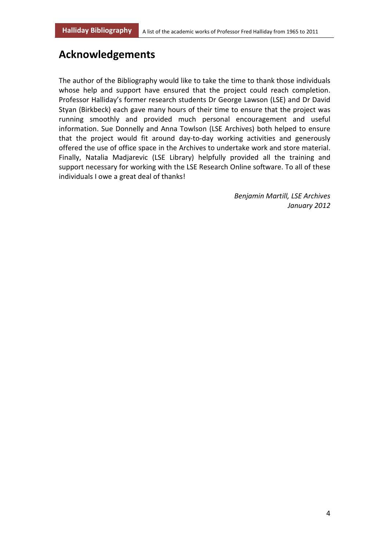# **Acknowledgements**

The author of the Bibliography would like to take the time to thank those individuals whose help and support have ensured that the project could reach completion. Professor Halliday's former research students Dr George Lawson (LSE) and Dr David Styan (Birkbeck) each gave many hours of their time to ensure that the project was running smoothly and provided much personal encouragement and useful information. Sue Donnelly and Anna Towlson (LSE Archives) both helped to ensure that the project would fit around day-to-day working activities and generously offered the use of office space in the Archives to undertake work and store material. Finally, Natalia Madjarevic (LSE Library) helpfully provided all the training and support necessary for working with the LSE Research Online software. To all of these individuals I owe a great deal of thanks!

> *Benjamin Martill, LSE Archives January 2012*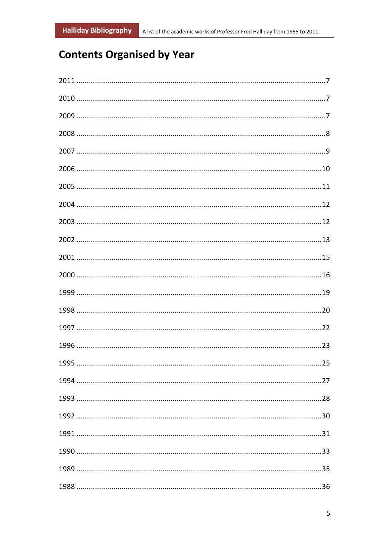# **Contents Organised by Year**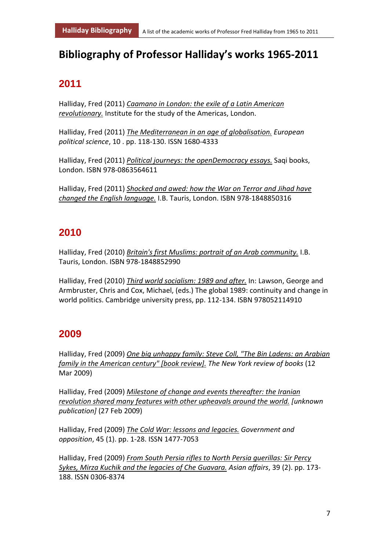# **Bibliography of Professor Halliday's works 1965-2011**

# **2011**

Halliday, Fred (2011) *Caamano in London: the exile of a Latin American revolutionary.* Institute for the study of the Americas, London.

Halliday, Fred (2011) *The Mediterranean in an age of globalisation. European political science*, 10 . pp. 118-130. ISSN 1680-4333

Halliday, Fred (2011) *Political journeys: the openDemocracy essays.* Saqi books, London. ISBN 978-0863564611

Halliday, Fred (2011) *Shocked and awed: how the War on Terror and Jihad have changed the English language.* I.B. Tauris, London. ISBN 978-1848850316

# **2010**

Halliday, Fred (2010) *Britain's first Muslims: portrait of an Arab community.* I.B. Tauris, London. ISBN 978-1848852990

Halliday, Fred (2010) *Third world socialism: 1989 and after.* In: Lawson, George and Armbruster, Chris and Cox, Michael, (eds.) The global 1989: continuity and change in world politics. Cambridge university press, pp. 112-134. ISBN 978052114910

### **2009**

Halliday, Fred (2009) *One big unhappy family: Steve Coll, "The Bin Ladens: an Arabian family in the American century" [book review]. The New York review of books* (12 Mar 2009)

Halliday, Fred (2009) *Milestone of change and events thereafter: the Iranian revolution shared many features with other upheavals around the world. [unknown publication]* (27 Feb 2009)

Halliday, Fred (2009) *The Cold War: lessons and legacies. Government and opposition*, 45 (1). pp. 1-28. ISSN 1477-7053

Halliday, Fred (2009) *From South Persia rifles to North Persia guerillas: Sir Percy Sykes, Mirza Kuchik and the legacies of Che Guavara. Asian affairs*, 39 (2). pp. 173- 188. ISSN 0306-8374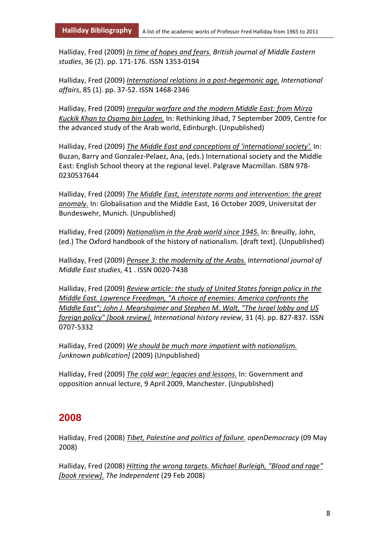Halliday, Fred (2009) *In time of hopes and fears. British journal of Middle Eastern studies*, 36 (2). pp. 171-176. ISSN 1353-0194

Halliday, Fred (2009) *International relations in a post-hegemonic age. International affairs*, 85 (1). pp. 37-52. ISSN 1468-2346

Halliday, Fred (2009) *Irregular warfare and the modern Middle East: from Mirza Kuckik Khan to Osama bin Laden.* In: Rethinking Jihad, 7 September 2009, Centre for the advanced study of the Arab world, Edinburgh. (Unpublished)

Halliday, Fred (2009) *The Middle East and conceptions of 'international society'.* In: Buzan, Barry and Gonzalez-Pelaez, Ana, (eds.) International society and the Middle East: English School theory at the regional level. Palgrave Macmillan. ISBN 978- 0230537644

Halliday, Fred (2009) *The Middle East, interstate norms and intervention: the great anomaly.* In: Globalisation and the Middle East, 16 October 2009, Universitat der Bundeswehr, Munich. (Unpublished)

Halliday, Fred (2009) *Nationalism in the Arab world since 1945.* In: Breuilly, John, (ed.) The Oxford handbook of the history of nationalism. [draft text]. (Unpublished)

Halliday, Fred (2009) *Pensee 3: the modernity of the Arabs. International journal of Middle East studies*, 41 . ISSN 0020-7438

Halliday, Fred (2009) *Review article: the study of United States foreign policy in the Middle East. Lawrence Freedman, "A choice of enemies: America confronts the Middle East"; John J. Mearshaimer and Stephen M. Walt, "The Israel lobby and US foreign policy" [book review]. International history review*, 31 (4). pp. 827-837. ISSN 0707-5332

Halliday, Fred (2009) *We should be much more impatient with nationalism. [unknown publication]* (2009) (Unpublished)

Halliday, Fred (2009) *The cold war: legacies and lessons.* In: Government and opposition annual lecture, 9 April 2009, Manchester. (Unpublished)

#### **2008**

Halliday, Fred (2008) *Tibet, Palestine and politics of failure. openDemocracy* (09 May 2008)

Halliday, Fred (2008) *Hitting the wrong targets. Michael Burleigh, "Blood and rage" [book review]. The Independent* (29 Feb 2008)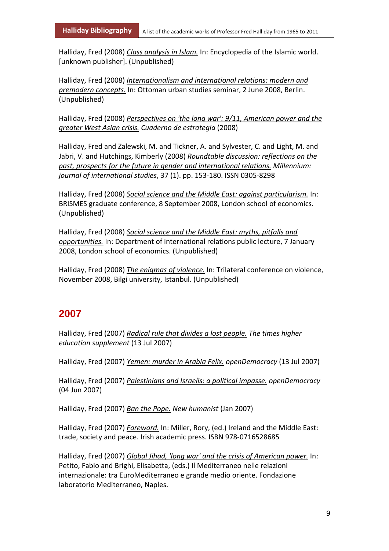Halliday, Fred (2008) *Class analysis in Islam.* In: Encyclopedia of the Islamic world. [unknown publisher]. (Unpublished)

Halliday, Fred (2008) *Internationalism and international relations: modern and premodern concepts.* In: Ottoman urban studies seminar, 2 June 2008, Berlin. (Unpublished)

Halliday, Fred (2008) *Perspectives on 'the long war': 9/11, American power and the greater West Asian crisis. Cuaderno de estrategia* (2008)

Halliday, Fred and Zalewski, M. and Tickner, A. and Sylvester, C. and Light, M. and Jabri, V. and Hutchings, Kimberly (2008) *Roundtable discussion: reflections on the past, prospects for the future in gender and international relations. Millennium: journal of international studies*, 37 (1). pp. 153-180. ISSN 0305-8298

Halliday, Fred (2008) *Social science and the Middle East: against particularism.* In: BRISMES graduate conference, 8 September 2008, London school of economics. (Unpublished)

Halliday, Fred (2008) *Social science and the Middle East: myths, pitfalls and opportunities.* In: Department of international relations public lecture, 7 January 2008, London school of economics. (Unpublished)

Halliday, Fred (2008) *The enigmas of violence.* In: Trilateral conference on violence, November 2008, Bilgi university, Istanbul. (Unpublished)

#### **2007**

Halliday, Fred (2007) *Radical rule that divides a lost people. The times higher education supplement* (13 Jul 2007)

Halliday, Fred (2007) *Yemen: murder in Arabia Felix. openDemocracy* (13 Jul 2007)

Halliday, Fred (2007) *Palestinians and Israelis: a political impasse. openDemocracy* (04 Jun 2007)

Halliday, Fred (2007) *Ban the Pope. New humanist* (Jan 2007)

Halliday, Fred (2007) *Foreword.* In: Miller, Rory, (ed.) Ireland and the Middle East: trade, society and peace. Irish academic press. ISBN 978-0716528685

Halliday, Fred (2007) *Global Jihad, 'long war' and the crisis of American power.* In: Petito, Fabio and Brighi, Elisabetta, (eds.) Il Mediterraneo nelle relazioni internazionale: tra EuroMediterraneo e grande medio oriente. Fondazione laboratorio Mediterraneo, Naples.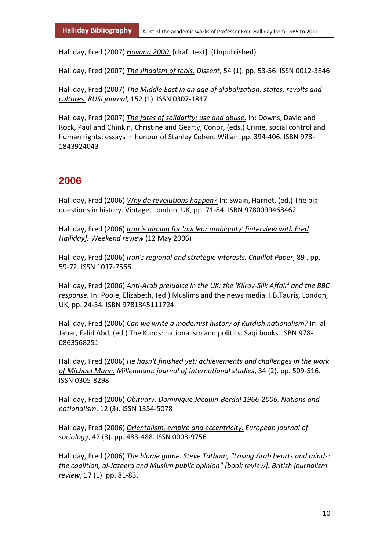Halliday, Fred (2007) *Havana 2000.* [draft text]. (Unpublished)

Halliday, Fred (2007) *The Jihadism of fools. Dissent*, 54 (1). pp. 53-56. ISSN 0012-3846

Halliday, Fred (2007) *The Middle East in an age of globalization: states, revolts and cultures. RUSI journal*, 152 (1). ISSN 0307-1847

Halliday, Fred (2007) *The fates of solidarity: use and abuse.* In: Downs, David and Rock, Paul and Chinkin, Christine and Gearty, Conor, (eds.) Crime, social control and human rights: essays in honour of Stanley Cohen. Willan, pp. 394-406. ISBN 978- 1843924043

#### **2006**

Halliday, Fred (2006) *Why do revolutions happen?* In: Swain, Harriet, (ed.) The big questions in history. Vintage, London, UK, pp. 71-84. ISBN 9780099468462

Halliday, Fred (2006) *Iran is aiming for 'nuclear ambiguity' [interview with Fred Halliday]. Weekend review* (12 May 2006)

Halliday, Fred (2006) *Iran's regional and strategic interests. Chaillot Paper*, 89 . pp. 59-72. ISSN 1017-7566

Halliday, Fred (2006) *Anti-Arab prejudice in the UK: the 'Kilroy-Silk Affair' and the BBC response.* In: Poole, Elizabeth, (ed.) Muslims and the news media. I.B.Tauris, London, UK, pp. 24-34. ISBN 9781845111724

Halliday, Fred (2006) *Can we write a modernist history of Kurdish nationalism?* In: al-Jabar, Falid Abd, (ed.) The Kurds: nationalism and politics. Saqi books. ISBN 978- 0863568251

Halliday, Fred (2006) *He hasn't finished yet: achievements and challenges in the work of Michael Mann. Millennium: journal of international studies*, 34 (2). pp. 509-516. ISSN 0305-8298

Halliday, Fred (2006) *Obituary: Dominique Jacquin-Berdal 1966-2006. Nations and nationalism*, 12 (3). ISSN 1354-5078

Halliday, Fred (2006) *Orientalism, empire and eccentricity. European journal of sociology*, 47 (3). pp. 483-488. ISSN 0003-9756

Halliday, Fred (2006) *The blame game. Steve Tatham, "Losing Arab hearts and minds: the coalition, al-Jazeera and Muslim public opinion" [book review]. British journalism review*, 17 (1). pp. 81-83.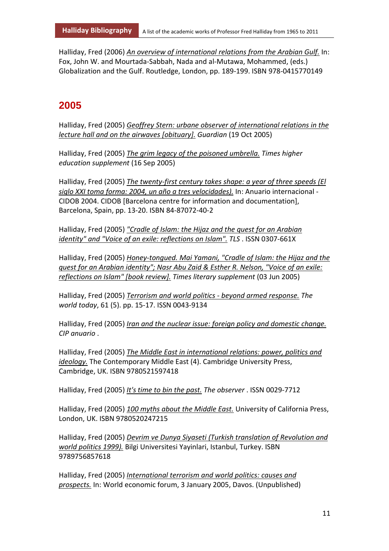Halliday, Fred (2006) *An overview of international relations from the Arabian Gulf.* In: Fox, John W. and Mourtada-Sabbah, Nada and al-Mutawa, Mohammed, (eds.) Globalization and the Gulf. Routledge, London, pp. 189-199. ISBN 978-0415770149

# **2005**

Halliday, Fred (2005) *Geoffrey Stern: urbane observer of international relations in the lecture hall and on the airwaves [obituary]. Guardian* (19 Oct 2005)

Halliday, Fred (2005) *The grim legacy of the poisoned umbrella. Times higher education supplement* (16 Sep 2005)

Halliday, Fred (2005) *The twenty-first century takes shape: a year of three speeds (El siglo XXI toma forma: 2004, un año a tres velocidades).* In: Anuario internacional - CIDOB 2004. CIDOB [Barcelona centre for information and documentation], Barcelona, Spain, pp. 13-20. ISBN 84-87072-40-2

Halliday, Fred (2005) *"Cradle of Islam: the Hijaz and the quest for an Arabian identity" and "Voice of an exile: reflections on Islam". TLS* . ISSN 0307-661X

Halliday, Fred (2005) *Honey-tongued. Mai Yamani, "Cradle of Islam: the Hijaz and the quest for an Arabian identity"; Nasr Abu Zaid & Esther R. Nelson, "Voice of an exile: reflections on Islam" [book review]. Times literary supplement* (03 Jun 2005)

Halliday, Fred (2005) *Terrorism and world politics - beyond armed response. The world today*, 61 (5). pp. 15-17. ISSN 0043-9134

Halliday, Fred (2005) *Iran and the nuclear issue: foreign policy and domestic change. CIP anuario* .

Halliday, Fred (2005) *The Middle East in international relations: power, politics and ideology.* The Contemporary Middle East (4). Cambridge University Press, Cambridge, UK. ISBN 9780521597418

Halliday, Fred (2005) *It's time to bin the past. The observer* . ISSN 0029-7712

Halliday, Fred (2005) *100 myths about the Middle East.* University of California Press, London, UK. ISBN 9780520247215

Halliday, Fred (2005) *Devrim ve Dunya Siyaseti (Turkish translation of Revolution and world politics 1999).* Bilgi Universitesi Yayinlari, Istanbul, Turkey. ISBN 9789756857618

Halliday, Fred (2005) *International terrorism and world politics: causes and prospects.* In: World economic forum, 3 January 2005, Davos. (Unpublished)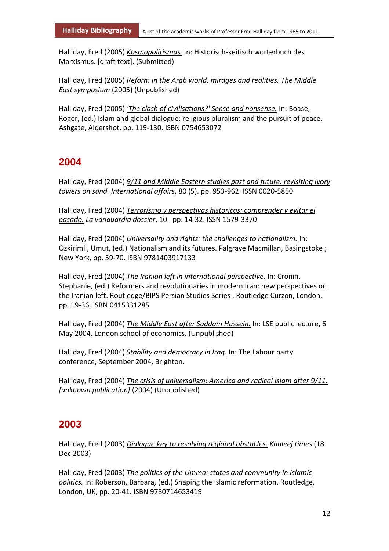Halliday, Fred (2005) *Kosmopolitismus.* In: Historisch-keitisch worterbuch des Marxismus. [draft text]. (Submitted)

Halliday, Fred (2005) *Reform in the Arab world: mirages and realities. The Middle East symposium* (2005) (Unpublished)

Halliday, Fred (2005) *'The clash of civilisations?' Sense and nonsense.* In: Boase, Roger, (ed.) Islam and global dialogue: religious pluralism and the pursuit of peace. Ashgate, Aldershot, pp. 119-130. ISBN 0754653072

#### **2004**

Halliday, Fred (2004) *9/11 and Middle Eastern studies past and future: revisiting ivory towers on sand. International affairs*, 80 (5). pp. 953-962. ISSN 0020-5850

Halliday, Fred (2004) *Terrorismo y perspectivas historicas: comprender y evitar el pasado. La vanguardia dossier*, 10 . pp. 14-32. ISSN 1579-3370

Halliday, Fred (2004) *Universality and rights: the challenges to nationalism.* In: Ozkirimli, Umut, (ed.) Nationalism and its futures. Palgrave Macmillan, Basingstoke ; New York, pp. 59-70. ISBN 9781403917133

Halliday, Fred (2004) *The Iranian left in international perspective.* In: Cronin, Stephanie, (ed.) Reformers and revolutionaries in modern Iran: new perspectives on the Iranian left. Routledge/BIPS Persian Studies Series . Routledge Curzon, London, pp. 19-36. ISBN 0415331285

Halliday, Fred (2004) *The Middle East after Saddam Hussein.* In: LSE public lecture, 6 May 2004, London school of economics. (Unpublished)

Halliday, Fred (2004) *Stability and democracy in Iraq.* In: The Labour party conference, September 2004, Brighton.

Halliday, Fred (2004) *The crisis of universalism: America and radical Islam after 9/11. [unknown publication]* (2004) (Unpublished)

#### **2003**

Halliday, Fred (2003) *Dialogue key to resolving regional obstacles. Khaleej times* (18 Dec 2003)

Halliday, Fred (2003) *The politics of the Umma: states and community in Islamic politics.* In: Roberson, Barbara, (ed.) Shaping the Islamic reformation. Routledge, London, UK, pp. 20-41. ISBN 9780714653419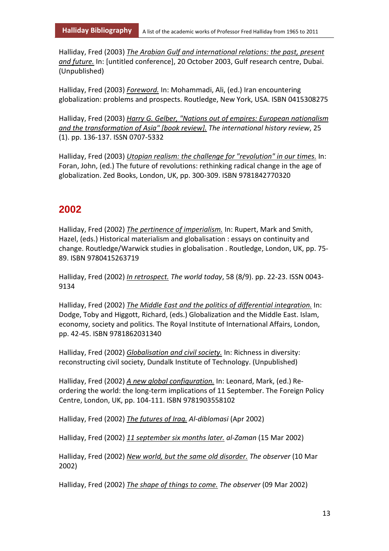Halliday, Fred (2003) *The Arabian Gulf and international relations: the past, present and future.* In: [untitled conference], 20 October 2003, Gulf research centre, Dubai. (Unpublished)

Halliday, Fred (2003) *Foreword.* In: Mohammadi, Ali, (ed.) Iran encountering globalization: problems and prospects. Routledge, New York, USA. ISBN 0415308275

Halliday, Fred (2003) *Harry G. Gelber, "Nations out of empires: European nationalism and the transformation of Asia" [book review]. The international history review*, 25 (1). pp. 136-137. ISSN 0707-5332

Halliday, Fred (2003) *Utopian realism: the challenge for "revolution" in our times.* In: Foran, John, (ed.) The future of revolutions: rethinking radical change in the age of globalization. Zed Books, London, UK, pp. 300-309. ISBN 9781842770320

#### **2002**

Halliday, Fred (2002) *The pertinence of imperialism.* In: Rupert, Mark and Smith, Hazel, (eds.) Historical materialism and globalisation : essays on continuity and change. Routledge/Warwick studies in globalisation . Routledge, London, UK, pp. 75- 89. ISBN 9780415263719

Halliday, Fred (2002) *In retrospect. The world today*, 58 (8/9). pp. 22-23. ISSN 0043- 9134

Halliday, Fred (2002) *The Middle East and the politics of differential integration.* In: Dodge, Toby and Higgott, Richard, (eds.) Globalization and the Middle East. Islam, economy, society and politics. The Royal Institute of International Affairs, London, pp. 42-45. ISBN 9781862031340

Halliday, Fred (2002) *Globalisation and civil society.* In: Richness in diversity: reconstructing civil society, Dundalk Institute of Technology. (Unpublished)

Halliday, Fred (2002) *A new global configuration.* In: Leonard, Mark, (ed.) Reordering the world: the long-term implications of 11 September. The Foreign Policy Centre, London, UK, pp. 104-111. ISBN 9781903558102

Halliday, Fred (2002) *The futures of Iraq. Al-diblomasi* (Apr 2002)

Halliday, Fred (2002) *11 september six months later. al-Zaman* (15 Mar 2002)

Halliday, Fred (2002) *New world, but the same old disorder. The observer* (10 Mar 2002)

Halliday, Fred (2002) *The shape of things to come. The observer* (09 Mar 2002)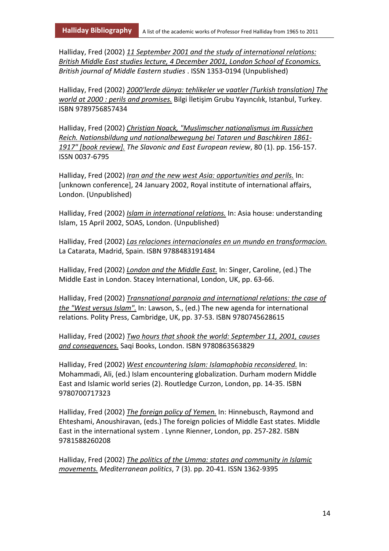Halliday, Fred (2002) *11 September 2001 and the study of international relations: British Middle East studies lecture, 4 December 2001, London School of Economics. British journal of Middle Eastern studies* . ISSN 1353-0194 (Unpublished)

Halliday, Fred (2002) *2000'lerde dünya: tehlikeler ve vaatler (Turkish translation) The world at 2000 : perils and promises.* Bilgi İletişim Grubu Yayıncılık, Istanbul, Turkey. ISBN 9789756857434

Halliday, Fred (2002) *Christian Noack, "Muslimscher nationalismus im Russichen Reich. Nationsbildung und nationalbewegung bei Tataren und Baschkiren 1861- 1917" [book review]. The Slavonic and East European review*, 80 (1). pp. 156-157. ISSN 0037-6795

Halliday, Fred (2002) *Iran and the new west Asia: opportunities and perils.* In: [unknown conference], 24 January 2002, Royal institute of international affairs, London. (Unpublished)

Halliday, Fred (2002) *Islam in international relations.* In: Asia house: understanding Islam, 15 April 2002, SOAS, London. (Unpublished)

Halliday, Fred (2002) *Las relaciones internacionales en un mundo en transformacion.* La Catarata, Madrid, Spain. ISBN 9788483191484

Halliday, Fred (2002) *London and the Middle East.* In: Singer, Caroline, (ed.) The Middle East in London. Stacey International, London, UK, pp. 63-66.

Halliday, Fred (2002) *Transnational paranoia and international relations: the case of the "West versus Islam".* In: Lawson, S., (ed.) The new agenda for international relations. Polity Press, Cambridge, UK, pp. 37-53. ISBN 9780745628615

Halliday, Fred (2002) *Two hours that shook the world: September 11, 2001, causes and consequences.* Saqi Books, London. ISBN 9780863563829

Halliday, Fred (2002) *West encountering Islam: Islamophobia reconsidered.* In: Mohammadi, Ali, (ed.) Islam encountering globalization. Durham modern Middle East and Islamic world series (2). Routledge Curzon, London, pp. 14-35. ISBN 9780700717323

Halliday, Fred (2002) *The foreign policy of Yemen.* In: Hinnebusch, Raymond and Ehteshami, Anoushiravan, (eds.) The foreign policies of Middle East states. Middle East in the international system . Lynne Rienner, London, pp. 257-282. ISBN 9781588260208

Halliday, Fred (2002) *The politics of the Umma: states and community in Islamic movements. Mediterranean politics*, 7 (3). pp. 20-41. ISSN 1362-9395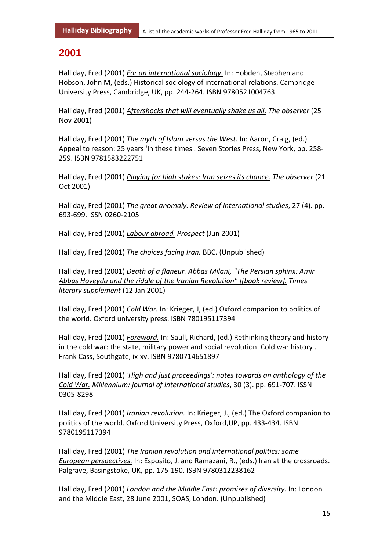#### **2001**

Halliday, Fred (2001) *For an international sociology.* In: Hobden, Stephen and Hobson, John M, (eds.) Historical sociology of international relations. Cambridge University Press, Cambridge, UK, pp. 244-264. ISBN 9780521004763

Halliday, Fred (2001) *Aftershocks that will eventually shake us all. The observer* (25 Nov 2001)

Halliday, Fred (2001) *The myth of Islam versus the West.* In: Aaron, Craig, (ed.) Appeal to reason: 25 years 'In these times'. Seven Stories Press, New York, pp. 258- 259. ISBN 9781583222751

Halliday, Fred (2001) *Playing for high stakes: Iran seizes its chance. The observer* (21 Oct 2001)

Halliday, Fred (2001) *The great anomaly. Review of international studies*, 27 (4). pp. 693-699. ISSN 0260-2105

Halliday, Fred (2001) *Labour abroad. Prospect* (Jun 2001)

Halliday, Fred (2001) *The choices facing Iran.* BBC. (Unpublished)

Halliday, Fred (2001) *Death of a flaneur. Abbas Milani, "The Persian sphinx: Amir Abbas Hoveyda and the riddle of the Iranian Revolution" ][book review]. Times literary supplement* (12 Jan 2001)

Halliday, Fred (2001) *Cold War.* In: Krieger, J, (ed.) Oxford companion to politics of the world. Oxford university press. ISBN 780195117394

Halliday, Fred (2001) *Foreword.* In: Saull, Richard, (ed.) Rethinking theory and history in the cold war: the state, military power and social revolution. Cold war history . Frank Cass, Southgate, ix-xv. ISBN 9780714651897

Halliday, Fred (2001) *'High and just proceedings': notes towards an anthology of the Cold War. Millennium: journal of international studies*, 30 (3). pp. 691-707. ISSN 0305-8298

Halliday, Fred (2001) *Iranian revolution.* In: Krieger, J., (ed.) The Oxford companion to politics of the world. Oxford University Press, Oxford,UP, pp. 433-434. ISBN 9780195117394

Halliday, Fred (2001) *The Iranian revolution and international politics: some European perspectives.* In: Esposito, J. and Ramazani, R., (eds.) Iran at the crossroads. Palgrave, Basingstoke, UK, pp. 175-190. ISBN 9780312238162

Halliday, Fred (2001) *London and the Middle East: promises of diversity.* In: London and the Middle East, 28 June 2001, SOAS, London. (Unpublished)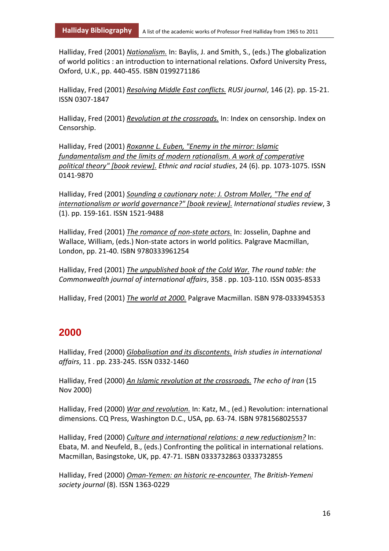Halliday, Fred (2001) *Nationalism.* In: Baylis, J. and Smith, S., (eds.) The globalization of world politics : an introduction to international relations. Oxford University Press, Oxford, U.K., pp. 440-455. ISBN 0199271186

Halliday, Fred (2001) *Resolving Middle East conflicts. RUSI journal*, 146 (2). pp. 15-21. ISSN 0307-1847

Halliday, Fred (2001) *Revolution at the crossroads.* In: Index on censorship. Index on Censorship.

Halliday, Fred (2001) *Roxanne L. Euben, "Enemy in the mirror: Islamic fundamentalism and the limits of modern rationalism. A work of comperative political theory" [book review]. Ethnic and racial studies*, 24 (6). pp. 1073-1075. ISSN 0141-9870

Halliday, Fred (2001) *Sounding a cautionary note: J. Ostrom Moller, "The end of internationalism or world governance?" [book review]. International studies review*, 3 (1). pp. 159-161. ISSN 1521-9488

Halliday, Fred (2001) *The romance of non-state actors.* In: Josselin, Daphne and Wallace, William, (eds.) Non-state actors in world politics. Palgrave Macmillan, London, pp. 21-40. ISBN 9780333961254

Halliday, Fred (2001) *The unpublished book of the Cold War. The round table: the Commonwealth journal of international affairs*, 358 . pp. 103-110. ISSN 0035-8533

Halliday, Fred (2001) *The world at 2000.* Palgrave Macmillan. ISBN 978-0333945353

#### **2000**

Halliday, Fred (2000) *Globalisation and its discontents. Irish studies in international affairs*, 11 . pp. 233-245. ISSN 0332-1460

Halliday, Fred (2000) *An Islamic revolution at the crossroads. The echo of Iran* (15 Nov 2000)

Halliday, Fred (2000) *War and revolution.* In: Katz, M., (ed.) Revolution: international dimensions. CQ Press, Washington D.C., USA, pp. 63-74. ISBN 9781568025537

Halliday, Fred (2000) *Culture and international relations: a new reductionism?* In: Ebata, M. and Neufeld, B., (eds.) Confronting the political in international relations. Macmillan, Basingstoke, UK, pp. 47-71. ISBN 0333732863 0333732855

Halliday, Fred (2000) *Oman-Yemen: an historic re-encounter. The British-Yemeni society journal* (8). ISSN 1363-0229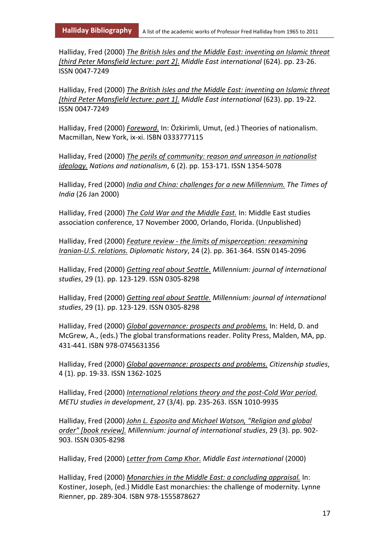Halliday, Fred (2000) *The British Isles and the Middle East: inventing an Islamic threat [third Peter Mansfield lecture: part 2]. Middle East international* (624). pp. 23-26. ISSN 0047-7249

Halliday, Fred (2000) *The British Isles and the Middle East: inventing an Islamic threat [third Peter Mansfield lecture: part 1]. Middle East international* (623). pp. 19-22. ISSN 0047-7249

Halliday, Fred (2000) *Foreword.* In: Özkirimli, Umut, (ed.) Theories of nationalism. Macmillan, New York, ix-xi. ISBN 0333777115

Halliday, Fred (2000) *The perils of community: reason and unreason in nationalist ideology. Nations and nationalism*, 6 (2). pp. 153-171. ISSN 1354-5078

Halliday, Fred (2000) *India and China: challenges for a new Millennium. The Times of India* (26 Jan 2000)

Halliday, Fred (2000) *The Cold War and the Middle East.* In: Middle East studies association conference, 17 November 2000, Orlando, Florida. (Unpublished)

Halliday, Fred (2000) *Feature review - the limits of misperception: reexamining Iranian-U.S. relations. Diplomatic history*, 24 (2). pp. 361-364. ISSN 0145-2096

Halliday, Fred (2000) *Getting real about Seattle. Millennium: journal of international studies*, 29 (1). pp. 123-129. ISSN 0305-8298

Halliday, Fred (2000) *Getting real about Seattle. Millennium: journal of international studies*, 29 (1). pp. 123-129. ISSN 0305-8298

Halliday, Fred (2000) *Global governance: prospects and problems.* In: Held, D. and McGrew, A., (eds.) The global transformations reader. Polity Press, Malden, MA, pp. 431-441. ISBN 978-0745631356

Halliday, Fred (2000) *Global governance: prospects and problems. Citizenship studies*, 4 (1). pp. 19-33. ISSN 1362-1025

Halliday, Fred (2000) *International relations theory and the post-Cold War period. METU studies in development*, 27 (3/4). pp. 235-263. ISSN 1010-9935

Halliday, Fred (2000) *John L. Esposito and Michael Watson, "Religion and global order" [book review]. Millennium: journal of international studies*, 29 (3). pp. 902- 903. ISSN 0305-8298

Halliday, Fred (2000) *Letter from Camp Khor. Middle East international* (2000)

Halliday, Fred (2000) *Monarchies in the Middle East: a concluding appraisal.* In: Kostiner, Joseph, (ed.) Middle East monarchies: the challenge of modernity. Lynne Rienner, pp. 289-304. ISBN 978-1555878627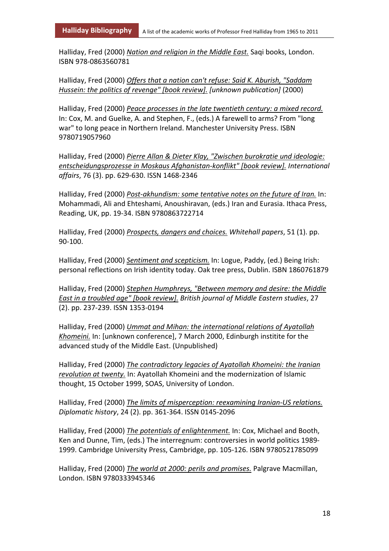Halliday, Fred (2000) *Nation and religion in the Middle East.* Saqi books, London. ISBN 978-0863560781

Halliday, Fred (2000) *Offers that a nation can't refuse: Said K. Aburish, "Saddam Hussein: the politics of revenge" [book review]. [unknown publication]* (2000)

Halliday, Fred (2000) *Peace processes in the late twentieth century: a mixed record.* In: Cox, M. and Guelke, A. and Stephen, F., (eds.) A farewell to arms? From "long war" to long peace in Northern Ireland. Manchester University Press. ISBN 9780719057960

Halliday, Fred (2000) *Pierre Allan & Dieter Klay, "Zwischen burokratie und ideologie: entscheidungsprozesse in Moskaus Afghanistan-konflikt" [book review]. International affairs*, 76 (3). pp. 629-630. ISSN 1468-2346

Halliday, Fred (2000) *Post-akhundism: some tentative notes on the future of Iran.* In: Mohammadi, Ali and Ehteshami, Anoushiravan, (eds.) Iran and Eurasia. Ithaca Press, Reading, UK, pp. 19-34. ISBN 9780863722714

Halliday, Fred (2000) *Prospects, dangers and choices. Whitehall papers*, 51 (1). pp. 90-100.

Halliday, Fred (2000) *Sentiment and scepticism.* In: Logue, Paddy, (ed.) Being Irish: personal reflections on Irish identity today. Oak tree press, Dublin. ISBN 1860761879

Halliday, Fred (2000) *Stephen Humphreys, "Between memory and desire: the Middle East in a troubled age" [book review]. British journal of Middle Eastern studies*, 27 (2). pp. 237-239. ISSN 1353-0194

Halliday, Fred (2000) *Ummat and Mihan: the international relations of Ayatollah Khomeini.* In: [unknown conference], 7 March 2000, Edinburgh institite for the advanced study of the Middle East. (Unpublished)

Halliday, Fred (2000) *The contradictory legacies of Ayatollah Khomeini: the Iranian revolution at twenty.* In: Ayatollah Khomeini and the modernization of Islamic thought, 15 October 1999, SOAS, University of London.

Halliday, Fred (2000) *The limits of misperception: reexamining Iranian-US relations. Diplomatic history*, 24 (2). pp. 361-364. ISSN 0145-2096

Halliday, Fred (2000) *The potentials of enlightenment.* In: Cox, Michael and Booth, Ken and Dunne, Tim, (eds.) The interregnum: controversies in world politics 1989- 1999. Cambridge University Press, Cambridge, pp. 105-126. ISBN 9780521785099

Halliday, Fred (2000) *The world at 2000: perils and promises.* Palgrave Macmillan, London. ISBN 9780333945346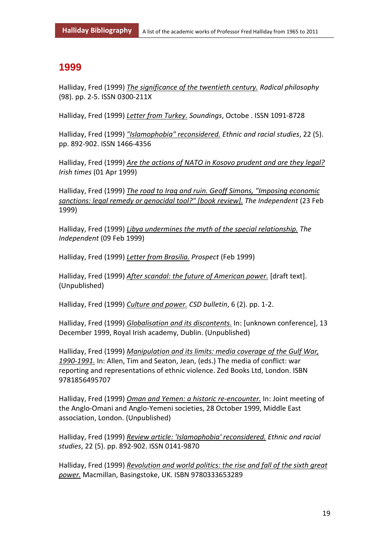#### **1999**

Halliday, Fred (1999) *The significance of the twentieth century. Radical philosophy* (98). pp. 2-5. ISSN 0300-211X

Halliday, Fred (1999) *Letter from Turkey. Soundings*, Octobe . ISSN 1091-8728

Halliday, Fred (1999) *"Islamophobia" reconsidered. Ethnic and racial studies*, 22 (5). pp. 892-902. ISSN 1466-4356

Halliday, Fred (1999) *Are the actions of NATO in Kosovo prudent and are they legal? Irish times* (01 Apr 1999)

Halliday, Fred (1999) *The road to Iraq and ruin. Geoff Simons, "Imposing economic sanctions: legal remedy or genocidal tool?" [book review]. The Independent* (23 Feb 1999)

Halliday, Fred (1999) *Libya undermines the myth of the special relationship. The Independent* (09 Feb 1999)

Halliday, Fred (1999) *Letter from Brasilia. Prospect* (Feb 1999)

Halliday, Fred (1999) *After scandal: the future of American power.* [draft text]. (Unpublished)

Halliday, Fred (1999) *Culture and power. CSD bulletin*, 6 (2). pp. 1-2.

Halliday, Fred (1999) *Globalisation and its discontents.* In: [unknown conference], 13 December 1999, Royal Irish academy, Dublin. (Unpublished)

Halliday, Fred (1999) *Manipulation and its limits: media coverage of the Gulf War, 1990-1991.* In: Allen, Tim and Seaton, Jean, (eds.) The media of conflict: war reporting and representations of ethnic violence. Zed Books Ltd, London. ISBN 9781856495707

Halliday, Fred (1999) *Oman and Yemen: a historic re-encounter.* In: Joint meeting of the Anglo-Omani and Anglo-Yemeni societies, 28 October 1999, Middle East association, London. (Unpublished)

Halliday, Fred (1999) *Review article: 'Islamophobia' reconsidered. Ethnic and racial studies*, 22 (5). pp. 892-902. ISSN 0141-9870

Halliday, Fred (1999) *Revolution and world politics: the rise and fall of the sixth great power.* Macmillan, Basingstoke, UK. ISBN 9780333653289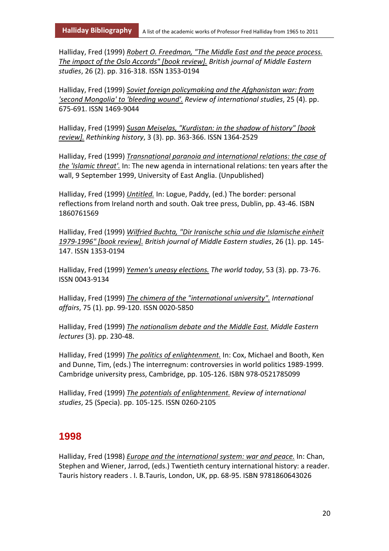Halliday, Fred (1999) *Robert O. Freedman, "The Middle East and the peace process. The impact of the Oslo Accords" [book review]. British journal of Middle Eastern studies*, 26 (2). pp. 316-318. ISSN 1353-0194

Halliday, Fred (1999) *Soviet foreign policymaking and the Afghanistan war: from 'second Mongolia' to 'bleeding wound'. Review of international studies*, 25 (4). pp. 675-691. ISSN 1469-9044

Halliday, Fred (1999) *Susan Meiselas, "Kurdistan: in the shadow of history" [book review]. Rethinking history*, 3 (3). pp. 363-366. ISSN 1364-2529

Halliday, Fred (1999) *Transnational paranoia and international relations: the case of the 'Islamic threat'.* In: The new agenda in international relations: ten years after the wall, 9 September 1999, University of East Anglia. (Unpublished)

Halliday, Fred (1999) *Untitled.* In: Logue, Paddy, (ed.) The border: personal reflections from Ireland north and south. Oak tree press, Dublin, pp. 43-46. ISBN 1860761569

Halliday, Fred (1999) *Wilfried Buchta, "Dir Iranische schia und die Islamische einheit 1979-1996" [book review]. British journal of Middle Eastern studies*, 26 (1). pp. 145- 147. ISSN 1353-0194

Halliday, Fred (1999) *Yemen's uneasy elections. The world today*, 53 (3). pp. 73-76. ISSN 0043-9134

Halliday, Fred (1999) *The chimera of the "international university". International affairs*, 75 (1). pp. 99-120. ISSN 0020-5850

Halliday, Fred (1999) *The nationalism debate and the Middle East. Middle Eastern lectures* (3). pp. 230-48.

Halliday, Fred (1999) *The politics of enlightenment.* In: Cox, Michael and Booth, Ken and Dunne, Tim, (eds.) The interregnum: controversies in world politics 1989-1999. Cambridge university press, Cambridge, pp. 105-126. ISBN 978-0521785099

Halliday, Fred (1999) *The potentials of enlightenment. Review of international studies*, 25 (Specia). pp. 105-125. ISSN 0260-2105

#### **1998**

Halliday, Fred (1998) *Europe and the international system: war and peace.* In: Chan, Stephen and Wiener, Jarrod, (eds.) Twentieth century international history: a reader. Tauris history readers . I. B.Tauris, London, UK, pp. 68-95. ISBN 9781860643026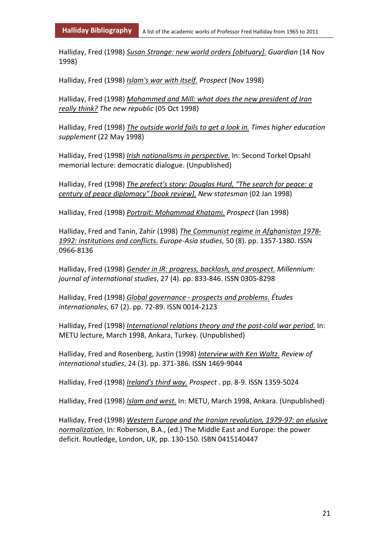Halliday, Fred (1998) *Susan Strange: new world orders [obituary]. Guardian* (14 Nov 1998)

Halliday, Fred (1998) *Islam's war with itself. Prospect* (Nov 1998)

Halliday, Fred (1998) *Mohammed and Mill: what does the new president of Iran really think? The new republic* (05 Oct 1998)

Halliday, Fred (1998) *The outside world fails to get a look in. Times higher education supplement* (22 May 1998)

Halliday, Fred (1998) *Irish nationalisms in perspective.* In: Second Torkel Opsahl memorial lecture: democratic dialogue. (Unpublished)

Halliday, Fred (1998) *The prefect's story: Douglas Hurd, "The search for peace: a century of peace diplomacy" [book review]. New statesman* (02 Jan 1998)

Halliday, Fred (1998) *Portrait: Mohammad Khatami. Prospect* (Jan 1998)

Halliday, Fred and Tanin, Zahir (1998) *The Communist regime in Afghanistan 1978- 1992: institutions and conflicts. Europe-Asia studies*, 50 (8). pp. 1357-1380. ISSN 0966-8136

Halliday, Fred (1998) *Gender in IR: progress, backlash, and prospect. Millennium: journal of international studies*, 27 (4). pp. 833-846. ISSN 0305-8298

Halliday, Fred (1998) *Global governance - prospects and problems. Études internationales*, 67 (2). pp. 72-89. ISSN 0014-2123

Halliday, Fred (1998) *International relations theory and the post-cold war period.* In: METU lecture, March 1998, Ankara, Turkey. (Unpublished)

Halliday, Fred and Rosenberg, Justin (1998) *Interview with Ken Waltz. Review of international studies*, 24 (3). pp. 371-386. ISSN 1469-9044

Halliday, Fred (1998) *Ireland's third way. Prospect* . pp. 8-9. ISSN 1359-5024

Halliday, Fred (1998) *Islam and west.* In: METU, March 1998, Ankara. (Unpublished)

Halliday, Fred (1998) *Western Europe and the Iranian revolution, 1979-97: an elusive normalization.* In: Roberson, B.A., (ed.) The Middle East and Europe: the power deficit. Routledge, London, UK, pp. 130-150. ISBN 0415140447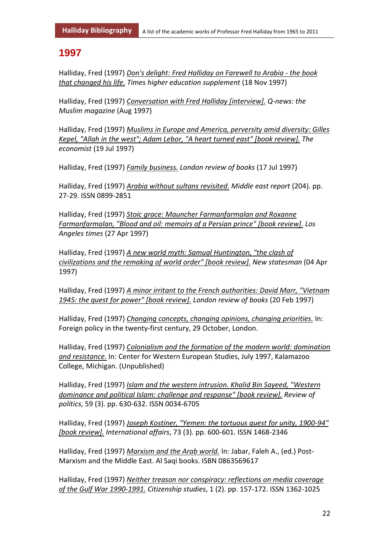#### **1997**

Halliday, Fred (1997) *Don's delight: Fred Halliday on Farewell to Arabia - the book that changed his life. Times higher education supplement* (18 Nov 1997)

Halliday, Fred (1997) *Conversation with Fred Halliday [interview]. Q-news: the Muslim magazine* (Aug 1997)

Halliday, Fred (1997) *Muslims in Europe and America, perversity amid diversity: Gilles Kepel, "Allah in the west"; Adam Lebor, "A heart turned east" [book review]. The economist* (19 Jul 1997)

Halliday, Fred (1997) *Family business. London review of books* (17 Jul 1997)

Halliday, Fred (1997) *Arabia without sultans revisited. Middle east report* (204). pp. 27-29. ISSN 0899-2851

Halliday, Fred (1997) *Stoic grace: Mauncher Farmanfarmalan and Roxanne Farmanfarmalan, "Blood and oil: memoirs of a Persian prince" [book review]. Los Angeles times* (27 Apr 1997)

Halliday, Fred (1997) *A new world myth: Samual Huntington, "the clash of civilizations and the remaking of world order" [book review]. New statesman* (04 Apr 1997)

Halliday, Fred (1997) *A minor irritant to the French authorities: David Marr, "Vietnam 1945: the quest for power" [book review]. London review of books* (20 Feb 1997)

Halliday, Fred (1997) *Changing concepts, changing opinions, changing priorities.* In: Foreign policy in the twenty-first century, 29 October, London.

Halliday, Fred (1997) *Colonialism and the formation of the modern world: domination and resistance.* In: Center for Western European Studies, July 1997, Kalamazoo College, Michigan. (Unpublished)

Halliday, Fred (1997) *Islam and the western intrusion. Khalid Bin Sayeed, "Western dominance and political Islam: challenge and response" [book review]. Review of politics*, 59 (3). pp. 630-632. ISSN 0034-6705

Halliday, Fred (1997) *Joseph Kostiner, "Yemen: the tortuous quest for unity, 1900-94" [book review]. International affairs*, 73 (3). pp. 600-601. ISSN 1468-2346

Halliday, Fred (1997) *Marxism and the Arab world.* In: Jabar, Faleh A., (ed.) Post-Marxism and the Middle East. Al Saqi books. ISBN 0863569617

Halliday, Fred (1997) *Neither treason nor conspiracy: reflections on media coverage of the Gulf War 1990-1991. Citizenship studies*, 1 (2). pp. 157-172. ISSN 1362-1025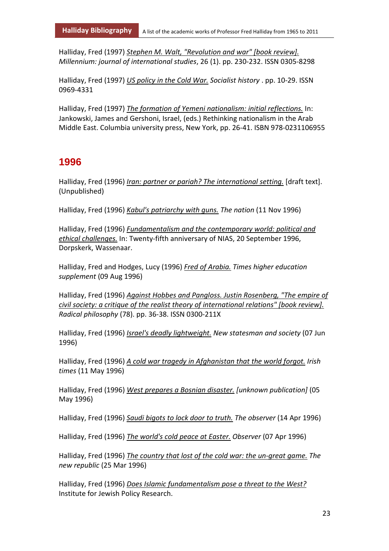Halliday, Fred (1997) *Stephen M. Walt, "Revolution and war" [book review]. Millennium: journal of international studies*, 26 (1). pp. 230-232. ISSN 0305-8298

Halliday, Fred (1997) *US policy in the Cold War. Socialist history* . pp. 10-29. ISSN 0969-4331

Halliday, Fred (1997) *The formation of Yemeni nationalism: initial reflections.* In: Jankowski, James and Gershoni, Israel, (eds.) Rethinking nationalism in the Arab Middle East. Columbia university press, New York, pp. 26-41. ISBN 978-0231106955

#### **1996**

Halliday, Fred (1996) *Iran: partner or pariah? The international setting.* [draft text]. (Unpublished)

Halliday, Fred (1996) *Kabul's patriarchy with guns. The nation* (11 Nov 1996)

Halliday, Fred (1996) *Fundamentalism and the contemporary world: political and ethical challenges.* In: Twenty-fifth anniversary of NIAS, 20 September 1996, Dorpskerk, Wassenaar.

Halliday, Fred and Hodges, Lucy (1996) *Fred of Arabia. Times higher education supplement* (09 Aug 1996)

Halliday, Fred (1996) *Against Hobbes and Pangloss. Justin Rosenberg, "The empire of civil society: a critique of the realist theory of international relations" [book review]. Radical philosophy* (78). pp. 36-38. ISSN 0300-211X

Halliday, Fred (1996) *Israel's deadly lightweight. New statesman and society* (07 Jun 1996)

Halliday, Fred (1996) *A cold war tragedy in Afghanistan that the world forgot. Irish times* (11 May 1996)

Halliday, Fred (1996) *West prepares a Bosnian disaster. [unknown publication]* (05 May 1996)

Halliday, Fred (1996) *Saudi bigots to lock door to truth. The observer* (14 Apr 1996)

Halliday, Fred (1996) *The world's cold peace at Easter. Observer* (07 Apr 1996)

Halliday, Fred (1996) *The country that lost of the cold war: the un-great game. The new republic* (25 Mar 1996)

Halliday, Fred (1996) *Does Islamic fundamentalism pose a threat to the West?* Institute for Jewish Policy Research.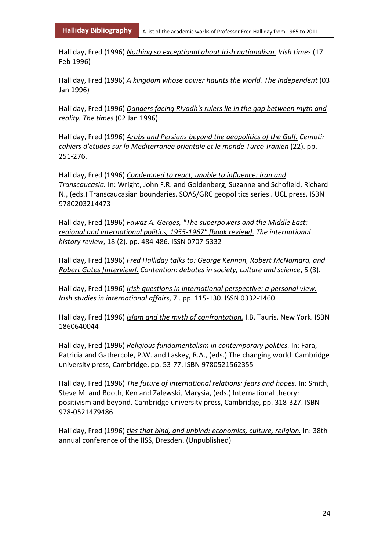Halliday, Fred (1996) *Nothing so exceptional about Irish nationalism. Irish times* (17 Feb 1996)

Halliday, Fred (1996) *A kingdom whose power haunts the world. The Independent* (03 Jan 1996)

Halliday, Fred (1996) *Dangers facing Riyadh's rulers lie in the gap between myth and reality. The times* (02 Jan 1996)

Halliday, Fred (1996) *Arabs and Persians beyond the geopolitics of the Gulf. Cemoti: cahiers d'etudes sur la Mediterranee orientale et le monde Turco-Iranien* (22). pp. 251-276.

Halliday, Fred (1996) *Condemned to react, unable to influence: Iran and Transcaucasia.* In: Wright, John F.R. and Goldenberg, Suzanne and Schofield, Richard N., (eds.) Transcaucasian boundaries. SOAS/GRC geopolitics series . UCL press. ISBN 9780203214473

Halliday, Fred (1996) *Fawaz A. Gerges, "The superpowers and the Middle East: regional and international politics, 1955-1967" [book review]. The international history review*, 18 (2). pp. 484-486. ISSN 0707-5332

Halliday, Fred (1996) *Fred Halliday talks to: George Kennan, Robert McNamara, and Robert Gates [interview]. Contention: debates in society, culture and science*, 5 (3).

Halliday, Fred (1996) *Irish questions in international perspective: a personal view. Irish studies in international affairs*, 7 . pp. 115-130. ISSN 0332-1460

Halliday, Fred (1996) *Islam and the myth of confrontation.* I.B. Tauris, New York. ISBN 1860640044

Halliday, Fred (1996) *Religious fundamentalism in contemporary politics.* In: Fara, Patricia and Gathercole, P.W. and Laskey, R.A., (eds.) The changing world. Cambridge university press, Cambridge, pp. 53-77. ISBN 9780521562355

Halliday, Fred (1996) *The future of international relations: fears and hopes.* In: Smith, Steve M. and Booth, Ken and Zalewski, Marysia, (eds.) International theory: positivism and beyond. Cambridge university press, Cambridge, pp. 318-327. ISBN 978-0521479486

Halliday, Fred (1996) *ties that bind, and unbind: economics, culture, religion.* In: 38th annual conference of the IISS, Dresden. (Unpublished)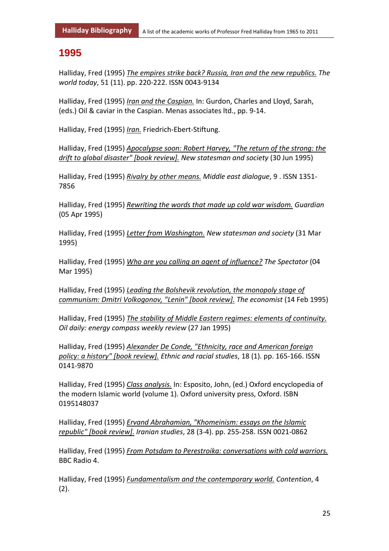#### **1995**

Halliday, Fred (1995) *The empires strike back? Russia, Iran and the new republics. The world today*, 51 (11). pp. 220-222. ISSN 0043-9134

Halliday, Fred (1995) *Iran and the Caspian.* In: Gurdon, Charles and Lloyd, Sarah, (eds.) Oil & caviar in the Caspian. Menas associates ltd., pp. 9-14.

Halliday, Fred (1995) *Iran.* Friedrich-Ebert-Stiftung.

Halliday, Fred (1995) *Apocalypse soon: Robert Harvey, "The return of the strong: the drift to global disaster" [book review]. New statesman and society* (30 Jun 1995)

Halliday, Fred (1995) *Rivalry by other means. Middle east dialogue*, 9 . ISSN 1351- 7856

Halliday, Fred (1995) *Rewriting the words that made up cold war wisdom. Guardian* (05 Apr 1995)

Halliday, Fred (1995) *Letter from Washington. New statesman and society* (31 Mar 1995)

Halliday, Fred (1995) *Who are you calling an agent of influence? The Spectator* (04 Mar 1995)

Halliday, Fred (1995) *Leading the Bolshevik revolution, the monopoly stage of communism: Dmitri Volkogonov, "Lenin" [book review]. The economist* (14 Feb 1995)

Halliday, Fred (1995) *The stability of Middle Eastern regimes: elements of continuity. Oil daily: energy compass weekly review* (27 Jan 1995)

Halliday, Fred (1995) *Alexander De Conde, "Ethnicity, race and American foreign policy: a history" [book review]. Ethnic and racial studies*, 18 (1). pp. 165-166. ISSN 0141-9870

Halliday, Fred (1995) *Class analysis.* In: Esposito, John, (ed.) Oxford encyclopedia of the modern Islamic world (volume 1). Oxford university press, Oxford. ISBN 0195148037

Halliday, Fred (1995) *Ervand Abrahamian, "Khomeinism: essays on the Islamic republic" [book review]. Iranian studies*, 28 (3-4). pp. 255-258. ISSN 0021-0862

Halliday, Fred (1995) *From Potsdam to Perestroika: conversations with cold warriors.* BBC Radio 4.

Halliday, Fred (1995) *Fundamentalism and the contemporary world. Contention*, 4  $(2).$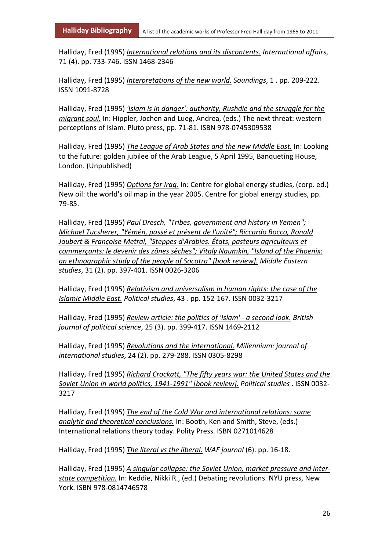Halliday, Fred (1995) *International relations and its discontents. International affairs*, 71 (4). pp. 733-746. ISSN 1468-2346

Halliday, Fred (1995) *Interpretations of the new world. Soundings*, 1 . pp. 209-222. ISSN 1091-8728

Halliday, Fred (1995) *'Islam is in danger': authority, Rushdie and the struggle for the migrant soul.* In: Hippler, Jochen and Lueg, Andrea, (eds.) The next threat: western perceptions of Islam. Pluto press, pp. 71-81. ISBN 978-0745309538

Halliday, Fred (1995) *The League of Arab States and the new Middle East.* In: Looking to the future: golden jubilee of the Arab League, 5 April 1995, Banqueting House, London. (Unpublished)

Halliday, Fred (1995) *Options for Iraq.* In: Centre for global energy studies, (corp. ed.) New oil: the world's oil map in the year 2005. Centre for global energy studies, pp. 79-85.

Halliday, Fred (1995) *Paul Dresch, "Tribes, government and history in Yemen"; Michael Tucsherer, "Yémén, passé et présent de l'unité"; Riccardo Bocco, Ronald Jaubert & Françoise Metral, "Steppes d'Arabies. États, pasteurs agriculteurs et commerçants: le devenir des zônes sêches"; Vitaly Naumkin, "Island of the Phoenix: an ethnographic study of the people of Socotra" [book review]. Middle Eastern studies*, 31 (2). pp. 397-401. ISSN 0026-3206

Halliday, Fred (1995) *Relativism and universalism in human rights: the case of the Islamic Middle East. Political studies*, 43 . pp. 152-167. ISSN 0032-3217

Halliday, Fred (1995) *Review article: the politics of 'Islam' - a second look. British journal of political science*, 25 (3). pp. 399-417. ISSN 1469-2112

Halliday, Fred (1995) *Revolutions and the international. Millennium: journal of international studies*, 24 (2). pp. 279-288. ISSN 0305-8298

Halliday, Fred (1995) *Richard Crockatt, "The fifty years war: the United States and the Soviet Union in world politics, 1941-1991" [book review]. Political studies* . ISSN 0032- 3217

Halliday, Fred (1995) *The end of the Cold War and international relations: some analytic and theoretical conclusions.* In: Booth, Ken and Smith, Steve, (eds.) International relations theory today. Polity Press. ISBN 0271014628

Halliday, Fred (1995) *The literal vs the liberal. WAF journal* (6). pp. 16-18.

Halliday, Fred (1995) *A singular collapse: the Soviet Union, market pressure and interstate competition.* In: Keddie, Nikki R., (ed.) Debating revolutions. NYU press, New York. ISBN 978-0814746578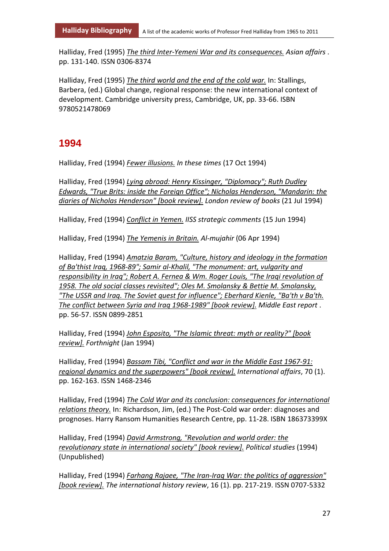Halliday, Fred (1995) *The third Inter-Yemeni War and its consequences. Asian affairs* . pp. 131-140. ISSN 0306-8374

Halliday, Fred (1995) *The third world and the end of the cold war.* In: Stallings, Barbera, (ed.) Global change, regional response: the new international context of development. Cambridge university press, Cambridge, UK, pp. 33-66. ISBN 9780521478069

#### **1994**

Halliday, Fred (1994) *Fewer illusions. In these times* (17 Oct 1994)

Halliday, Fred (1994) *Lying abroad: Henry Kissinger, "Diplomacy"; Ruth Dudley Edwards, "True Brits: inside the Foreign Office"; Nicholas Henderson, "Mandarin: the diaries of Nicholas Henderson" [book review]. London review of books* (21 Jul 1994)

Halliday, Fred (1994) *Conflict in Yemen. IISS strategic comments* (15 Jun 1994)

Halliday, Fred (1994) *The Yemenis in Britain. Al-mujahir* (06 Apr 1994)

Halliday, Fred (1994) *Amatzia Baram, "Culture, history and ideology in the formation of Ba'thist Iraq, 1968-89"; Samir al-Khalil, "The monument: art, vulgarity and responsibility in Iraq"; Robert A. Fernea & Wm. Roger Louis, "The Iraqi revolution of 1958. The old social classes revisited"; Oles M. Smolansky & Bettie M. Smolansky, "The USSR and Iraq. The Soviet quest for influence"; Eberhard Kienle, "Ba'th v Ba'th. The conflict between Syria and Iraq 1968-1989" [book review]. Middle East report* . pp. 56-57. ISSN 0899-2851

Halliday, Fred (1994) *John Esposito, "The Islamic threat: myth or reality?" [book review]. Forthnight* (Jan 1994)

Halliday, Fred (1994) *Bassam Tibi, "Conflict and war in the Middle East 1967-91: regional dynamics and the superpowers" [book review]. International affairs*, 70 (1). pp. 162-163. ISSN 1468-2346

Halliday, Fred (1994) *The Cold War and its conclusion: consequences for international relations theory.* In: Richardson, Jim, (ed.) The Post-Cold war order: diagnoses and prognoses. Harry Ransom Humanities Research Centre, pp. 11-28. ISBN 186373399X

Halliday, Fred (1994) *David Armstrong, "Revolution and world order: the revolutionary state in international society" [book review]. Political studies* (1994) (Unpublished)

Halliday, Fred (1994) *Farhang Rajaee, "The Iran-Iraq War: the politics of aggression" [book review]. The international history review*, 16 (1). pp. 217-219. ISSN 0707-5332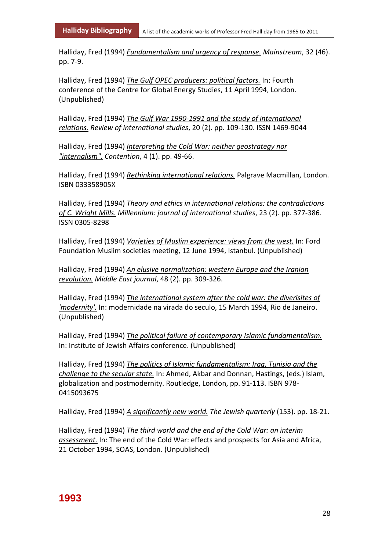Halliday, Fred (1994) *Fundamentalism and urgency of response. Mainstream*, 32 (46). pp. 7-9.

Halliday, Fred (1994) *The Gulf OPEC producers: political factors.* In: Fourth conference of the Centre for Global Energy Studies, 11 April 1994, London. (Unpublished)

Halliday, Fred (1994) *The Gulf War 1990-1991 and the study of international relations. Review of international studies*, 20 (2). pp. 109-130. ISSN 1469-9044

Halliday, Fred (1994) *Interpreting the Cold War: neither geostrategy nor "internalism". Contention*, 4 (1). pp. 49-66.

Halliday, Fred (1994) *Rethinking international relations.* Palgrave Macmillan, London. ISBN 033358905X

Halliday, Fred (1994) *Theory and ethics in international relations: the contradictions of C. Wright Mills. Millennium: journal of international studies*, 23 (2). pp. 377-386. ISSN 0305-8298

Halliday, Fred (1994) *Varieties of Muslim experience: views from the west.* In: Ford Foundation Muslim societies meeting, 12 June 1994, Istanbul. (Unpublished)

Halliday, Fred (1994) *An elusive normalization: western Europe and the Iranian revolution. Middle East journal*, 48 (2). pp. 309-326.

Halliday, Fred (1994) *The international system after the cold war: the diverisites of 'modernity'.* In: modernidade na virada do seculo, 15 March 1994, Rio de Janeiro. (Unpublished)

Halliday, Fred (1994) *The political failure of contemporary Islamic fundamentalism.* In: Institute of Jewish Affairs conference. (Unpublished)

Halliday, Fred (1994) *The politics of Islamic fundamentalism: Iraq, Tunisia and the challenge to the secular state.* In: Ahmed, Akbar and Donnan, Hastings, (eds.) Islam, globalization and postmodernity. Routledge, London, pp. 91-113. ISBN 978- 0415093675

Halliday, Fred (1994) *A significantly new world. The Jewish quarterly* (153). pp. 18-21.

Halliday, Fred (1994) *The third world and the end of the Cold War: an interim assessment.* In: The end of the Cold War: effects and prospects for Asia and Africa, 21 October 1994, SOAS, London. (Unpublished)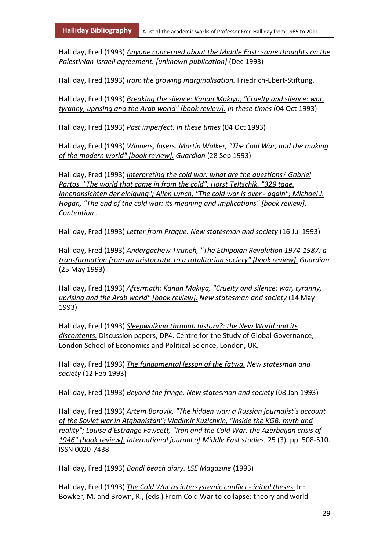Halliday, Fred (1993) *Anyone concerned about the Middle East: some thoughts on the Palestinian-Israeli agreement. [unknown publication]* (Dec 1993)

Halliday, Fred (1993) *Iran: the growing marginalisation.* Friedrich-Ebert-Stiftung.

Halliday, Fred (1993) *Breaking the silence: Kanan Makiya, "Cruelty and silence: war, tyranny, uprising and the Arab world" [book review]. In these times* (04 Oct 1993)

Halliday, Fred (1993) *Past imperfect. In these times* (04 Oct 1993)

Halliday, Fred (1993) *Winners, losers. Martin Walker, "The Cold War, and the making of the modern world" [book review]. Guardian* (28 Sep 1993)

Halliday, Fred (1993) *Interpreting the cold war: what are the questions? Gabriel Partos, "The world that came in from the cold"; Horst Teltschik, "329 tage. Innenansichten der einigung"; Allen Lynch, "The cold war is over - again"; Michael J. Hogan, "The end of the cold war: its meaning and implications" [book review]. Contention* .

Halliday, Fred (1993) *Letter from Prague. New statesman and society* (16 Jul 1993)

Halliday, Fred (1993) *Andargachew Tiruneh, "The Ethipoian Revolution 1974-1987: a transformation from an aristocratic to a totalitarian society" [book review]. Guardian* (25 May 1993)

Halliday, Fred (1993) *Aftermath: Kanan Makiya, "Cruelty and silence: war, tyranny, uprising and the Arab world" [book review]. New statesman and society* (14 May 1993)

Halliday, Fred (1993) *Sleepwalking through history?: the New World and its discontents.* Discussion papers, DP4. Centre for the Study of Global Governance, London School of Economics and Political Science, London, UK.

Halliday, Fred (1993) *The fundamental lesson of the fatwa. New statesman and society* (12 Feb 1993)

Halliday, Fred (1993) *Beyond the fringe. New statesman and society* (08 Jan 1993)

Halliday, Fred (1993) *Artem Borovik, "The hidden war: a Russian journalist's account of the Soviet war in Afghanistan"; Vladimir Kuzichkin, "Inside the KGB: myth and reality"; Louise d'Estrange Fawcett, "Iran and the Cold War: the Azerbaijan crisis of 1946" [book review]. International journal of Middle East studies*, 25 (3). pp. 508-510. ISSN 0020-7438

Halliday, Fred (1993) *Bondi beach diary. LSE Magazine* (1993)

Halliday, Fred (1993) *The Cold War as intersystemic conflict - initial theses.* In: Bowker, M. and Brown, R., (eds.) From Cold War to collapse: theory and world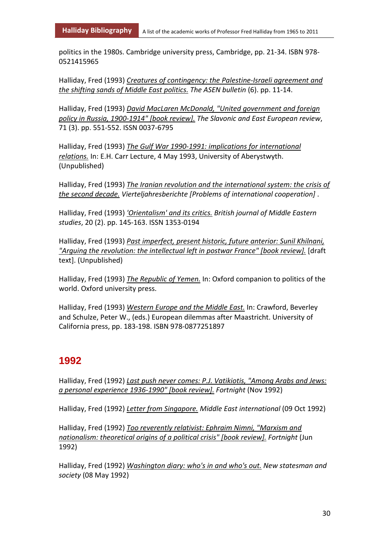politics in the 1980s. Cambridge university press, Cambridge, pp. 21-34. ISBN 978- 0521415965

Halliday, Fred (1993) *Creatures of contingency: the Palestine-Israeli agreement and the shifting sands of Middle East politics. The ASEN bulletin* (6). pp. 11-14.

Halliday, Fred (1993) *David MacLaren McDonald, "United government and foreign policy in Russia, 1900-1914" [book review]. The Slavonic and East European review*, 71 (3). pp. 551-552. ISSN 0037-6795

Halliday, Fred (1993) *The Gulf War 1990-1991: implications for international relations.* In: E.H. Carr Lecture, 4 May 1993, University of Aberystwyth. (Unpublished)

Halliday, Fred (1993) *The Iranian revolution and the international system: the crisis of the second decade. Vierteljahresberichte [Problems of international cooperation]* .

Halliday, Fred (1993) *'Orientalism' and its critics. British journal of Middle Eastern studies*, 20 (2). pp. 145-163. ISSN 1353-0194

Halliday, Fred (1993) *Past imperfect, present historic, future anterior: Sunil Khilnani, "Arguing the revolution: the intellectual left in postwar France" [book review].* [draft text]. (Unpublished)

Halliday, Fred (1993) *The Republic of Yemen.* In: Oxford companion to politics of the world. Oxford university press.

Halliday, Fred (1993) *Western Europe and the Middle East.* In: Crawford, Beverley and Schulze, Peter W., (eds.) European dilemmas after Maastricht. University of California press, pp. 183-198. ISBN 978-0877251897

#### **1992**

Halliday, Fred (1992) *Last push never comes: P.J. Vatikiotis, "Among Arabs and Jews: a personal experience 1936-1990" [book review]. Fortnight* (Nov 1992)

Halliday, Fred (1992) *Letter from Singapore. Middle East international* (09 Oct 1992)

Halliday, Fred (1992) *Too reverently relativist: Ephraim Nimni, "Marxism and nationalism: theoretical origins of a political crisis" [book review]. Fortnight* (Jun 1992)

Halliday, Fred (1992) *Washington diary: who's in and who's out. New statesman and society* (08 May 1992)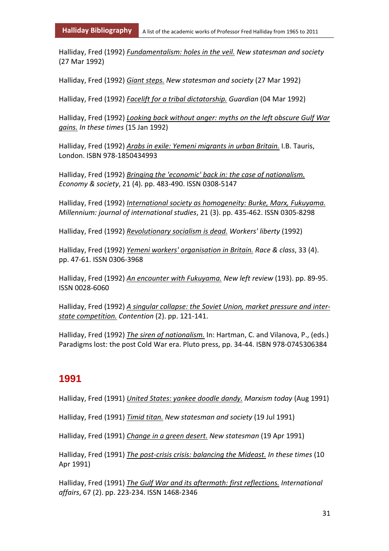Halliday, Fred (1992) *Fundamentalism: holes in the veil. New statesman and society* (27 Mar 1992)

Halliday, Fred (1992) *Giant steps. New statesman and society* (27 Mar 1992)

Halliday, Fred (1992) *Facelift for a tribal dictatorship. Guardian* (04 Mar 1992)

Halliday, Fred (1992) *Looking back without anger: myths on the left obscure Gulf War gains. In these times* (15 Jan 1992)

Halliday, Fred (1992) *Arabs in exile: Yemeni migrants in urban Britain.* I.B. Tauris, London. ISBN 978-1850434993

Halliday, Fred (1992) *Bringing the 'economic' back in: the case of nationalism. Economy & society*, 21 (4). pp. 483-490. ISSN 0308-5147

Halliday, Fred (1992) *International society as homogeneity: Burke, Marx, Fukuyama. Millennium: journal of international studies*, 21 (3). pp. 435-462. ISSN 0305-8298

Halliday, Fred (1992) *Revolutionary socialism is dead. Workers' liberty* (1992)

Halliday, Fred (1992) *Yemeni workers' organisation in Britain. Race & class*, 33 (4). pp. 47-61. ISSN 0306-3968

Halliday, Fred (1992) *An encounter with Fukuyama. New left review* (193). pp. 89-95. ISSN 0028-6060

Halliday, Fred (1992) *A singular collapse: the Soviet Union, market pressure and interstate competition. Contention* (2). pp. 121-141.

Halliday, Fred (1992) *The siren of nationalism.* In: Hartman, C. and Vilanova, P., (eds.) Paradigms lost: the post Cold War era. Pluto press, pp. 34-44. ISBN 978-0745306384

#### **1991**

Halliday, Fred (1991) *United States: yankee doodle dandy. Marxism today* (Aug 1991)

Halliday, Fred (1991) *Timid titan. New statesman and society* (19 Jul 1991)

Halliday, Fred (1991) *Change in a green desert. New statesman* (19 Apr 1991)

Halliday, Fred (1991) *The post-crisis crisis: balancing the Mideast. In these times* (10 Apr 1991)

Halliday, Fred (1991) *The Gulf War and its aftermath: first reflections. International affairs*, 67 (2). pp. 223-234. ISSN 1468-2346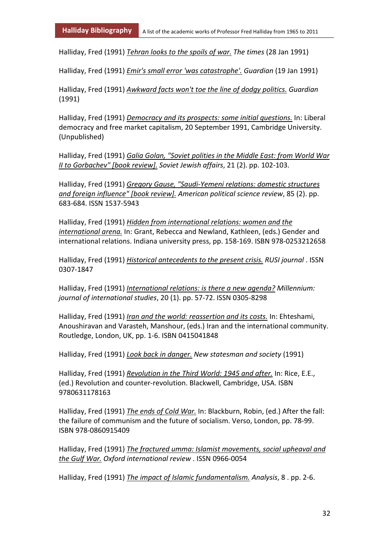Halliday, Fred (1991) *Tehran looks to the spoils of war. The times* (28 Jan 1991)

Halliday, Fred (1991) *Emir's small error 'was catastrophe'. Guardian* (19 Jan 1991)

Halliday, Fred (1991) *Awkward facts won't toe the line of dodgy politics. Guardian* (1991)

Halliday, Fred (1991) *Democracy and its prospects: some initial questions.* In: Liberal democracy and free market capitalism, 20 September 1991, Cambridge University. (Unpublished)

Halliday, Fred (1991) *Galia Golan, "Soviet polities in the Middle East: from World War II to Gorbachev" [book review]. Soviet Jewish affairs*, 21 (2). pp. 102-103.

Halliday, Fred (1991) *Gregory Gause, "Saudi-Yemeni relations: domestic structures and foreign influence" [book review]. American political science review*, 85 (2). pp. 683-684. ISSN 1537-5943

Halliday, Fred (1991) *Hidden from international relations: women and the international arena.* In: Grant, Rebecca and Newland, Kathleen, (eds.) Gender and international relations. Indiana university press, pp. 158-169. ISBN 978-0253212658

Halliday, Fred (1991) *Historical antecedents to the present crisis. RUSI journal* . ISSN 0307-1847

Halliday, Fred (1991) *International relations: is there a new agenda? Millennium: journal of international studies*, 20 (1). pp. 57-72. ISSN 0305-8298

Halliday, Fred (1991) *Iran and the world: reassertion and its costs.* In: Ehteshami, Anoushiravan and Varasteh, Manshour, (eds.) Iran and the international community. Routledge, London, UK, pp. 1-6. ISBN 0415041848

Halliday, Fred (1991) *Look back in danger. New statesman and society* (1991)

Halliday, Fred (1991) *Revolution in the Third World: 1945 and after.* In: Rice, E.E., (ed.) Revolution and counter-revolution. Blackwell, Cambridge, USA. ISBN 9780631178163

Halliday, Fred (1991) *The ends of Cold War.* In: Blackburn, Robin, (ed.) After the fall: the failure of communism and the future of socialism. Verso, London, pp. 78-99. ISBN 978-0860915409

Halliday, Fred (1991) *The fractured umma: Islamist movements, social upheaval and the Gulf War. Oxford international review* . ISSN 0966-0054

Halliday, Fred (1991) *The impact of Islamic fundamentalism. Analysis*, 8 . pp. 2-6.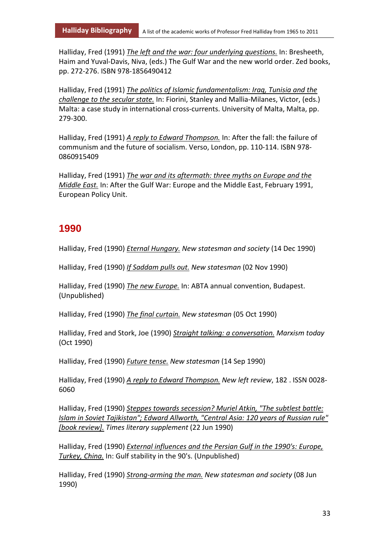Halliday, Fred (1991) *The left and the war: four underlying questions.* In: Bresheeth, Haim and Yuval-Davis, Niva, (eds.) The Gulf War and the new world order. Zed books, pp. 272-276. ISBN 978-1856490412

Halliday, Fred (1991) *The politics of Islamic fundamentalism: Iraq, Tunisia and the challenge to the secular state.* In: Fiorini, Stanley and Mallia-Milanes, Victor, (eds.) Malta: a case study in international cross-currents. University of Malta, Malta, pp. 279-300.

Halliday, Fred (1991) *A reply to Edward Thompson.* In: After the fall: the failure of communism and the future of socialism. Verso, London, pp. 110-114. ISBN 978- 0860915409

Halliday, Fred (1991) *The war and its aftermath: three myths on Europe and the Middle East.* In: After the Gulf War: Europe and the Middle East, February 1991, European Policy Unit.

#### **1990**

Halliday, Fred (1990) *Eternal Hungary. New statesman and society* (14 Dec 1990)

Halliday, Fred (1990) *If Saddam pulls out. New statesman* (02 Nov 1990)

Halliday, Fred (1990) *The new Europe.* In: ABTA annual convention, Budapest. (Unpublished)

Halliday, Fred (1990) *The final curtain. New statesman* (05 Oct 1990)

Halliday, Fred and Stork, Joe (1990) *Straight talking: a conversation. Marxism today* (Oct 1990)

Halliday, Fred (1990) *Future tense. New statesman* (14 Sep 1990)

Halliday, Fred (1990) *A reply to Edward Thompson. New left review*, 182 . ISSN 0028- 6060

Halliday, Fred (1990) *Steppes towards secession? Muriel Atkin, "The subtlest battle: Islam in Soviet Tajikistan"; Edward Allworth, "Central Asia: 120 years of Russian rule" [book review]. Times literary supplement* (22 Jun 1990)

Halliday, Fred (1990) *External influences and the Persian Gulf in the 1990's: Europe, Turkey, China.* In: Gulf stability in the 90's. (Unpublished)

Halliday, Fred (1990) *Strong-arming the man. New statesman and society* (08 Jun 1990)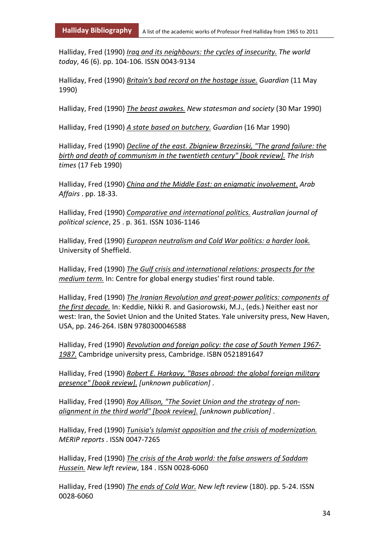Halliday, Fred (1990) *Iraq and its neighbours: the cycles of insecurity. The world today*, 46 (6). pp. 104-106. ISSN 0043-9134

Halliday, Fred (1990) *Britain's bad record on the hostage issue. Guardian* (11 May 1990)

Halliday, Fred (1990) *The beast awakes. New statesman and society* (30 Mar 1990)

Halliday, Fred (1990) *A state based on butchery. Guardian* (16 Mar 1990)

Halliday, Fred (1990) *Decline of the east. Zbigniew Brzezinski, "The grand failure: the birth and death of communism in the twentieth century" [book review]. The Irish times* (17 Feb 1990)

Halliday, Fred (1990) *China and the Middle East: an enigmatic involvement. Arab Affairs* . pp. 18-33.

Halliday, Fred (1990) *Comparative and international politics. Australian journal of political science*, 25 . p. 361. ISSN 1036-1146

Halliday, Fred (1990) *European neutralism and Cold War politics: a harder look.* University of Sheffield.

Halliday, Fred (1990) *The Gulf crisis and international relations: prospects for the medium term.* In: Centre for global energy studies' first round table.

Halliday, Fred (1990) *The Iranian Revolution and great-power politics: components of the first decade.* In: Keddie, Nikki R. and Gasiorowski, M.J., (eds.) Neither east nor west: Iran, the Soviet Union and the United States. Yale university press, New Haven, USA, pp. 246-264. ISBN 9780300046588

Halliday, Fred (1990) *Revolution and foreign policy: the case of South Yemen 1967- 1987.* Cambridge university press, Cambridge. ISBN 0521891647

Halliday, Fred (1990) *Robert E. Harkavy, "Bases abroad: the global foreign military presence" [book review]. [unknown publication]* .

Halliday, Fred (1990) *Roy Allison, "The Soviet Union and the strategy of nonalignment in the third world" [book review]. [unknown publication]* .

Halliday, Fred (1990) *Tunisia's Islamist opposition and the crisis of modernization. MERIP reports* . ISSN 0047-7265

Halliday, Fred (1990) *The crisis of the Arab world: the false answers of Saddam Hussein. New left review*, 184 . ISSN 0028-6060

Halliday, Fred (1990) *The ends of Cold War. New left review* (180). pp. 5-24. ISSN 0028-6060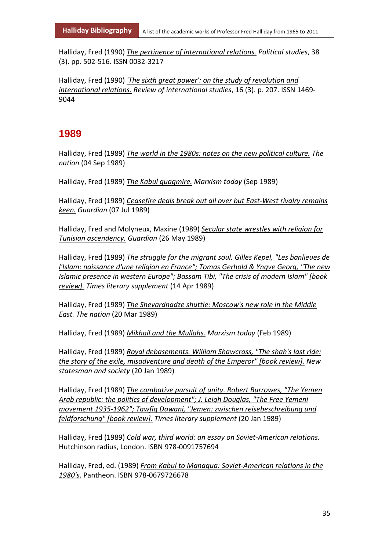Halliday, Fred (1990) *The pertinence of international relations. Political studies*, 38 (3). pp. 502-516. ISSN 0032-3217

Halliday, Fred (1990) *'The sixth great power': on the study of revolution and international relations. Review of international studies*, 16 (3). p. 207. ISSN 1469- 9044

#### **1989**

Halliday, Fred (1989) *The world in the 1980s: notes on the new political culture. The nation* (04 Sep 1989)

Halliday, Fred (1989) *The Kabul quagmire. Marxism today* (Sep 1989)

Halliday, Fred (1989) *Ceasefire deals break out all over but East-West rivalry remains keen. Guardian* (07 Jul 1989)

Halliday, Fred and Molyneux, Maxine (1989) *Secular state wrestles with religion for Tunisian ascendency. Guardian* (26 May 1989)

Halliday, Fred (1989) *The struggle for the migrant soul. Gilles Kepel, "Les banlieues de l'Islam: naissance d'une religion en France"; Tomas Gerhold & Yngve Georg, "The new Islamic presence in western Europe"; Bassam Tibi, "The crisis of modern Islam" [book review]. Times literary supplement* (14 Apr 1989)

Halliday, Fred (1989) *The Shevardnadze shuttle: Moscow's new role in the Middle East. The nation* (20 Mar 1989)

Halliday, Fred (1989) *Mikhail and the Mullahs. Marxism today* (Feb 1989)

Halliday, Fred (1989) *Royal debasements. William Shawcross, "The shah's last ride: the story of the exile, misadventure and death of the Emperor" [book review]. New statesman and society* (20 Jan 1989)

Halliday, Fred (1989) *The combative pursuit of unity. Robert Burrowes, "The Yemen Arab republic: the politics of development"; J. Leigh Douglas, "The Free Yemeni movement 1935-1962"; Tawfiq Dawani, "Jemen: zwischen reisebeschreibung und feldforschung" [book review]. Times literary supplement* (20 Jan 1989)

Halliday, Fred (1989) *Cold war, third world: an essay on Soviet-American relations.* Hutchinson radius, London. ISBN 978-0091757694

Halliday, Fred, ed. (1989) *From Kabul to Managua: Soviet-American relations in the 1980's.* Pantheon. ISBN 978-0679726678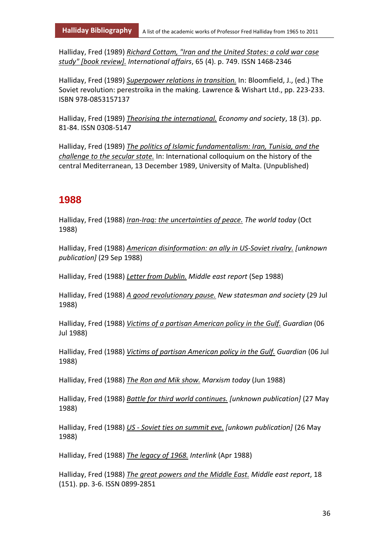Halliday, Fred (1989) *Richard Cottam, "Iran and the United States: a cold war case study" [book review]. International affairs*, 65 (4). p. 749. ISSN 1468-2346

Halliday, Fred (1989) *Superpower relations in transition.* In: Bloomfield, J., (ed.) The Soviet revolution: perestroika in the making. Lawrence & Wishart Ltd., pp. 223-233. ISBN 978-0853157137

Halliday, Fred (1989) *Theorising the international. Economy and society*, 18 (3). pp. 81-84. ISSN 0308-5147

Halliday, Fred (1989) *The politics of Islamic fundamentalism: Iran, Tunisia, and the challenge to the secular state.* In: International colloquium on the history of the central Mediterranean, 13 December 1989, University of Malta. (Unpublished)

#### **1988**

Halliday, Fred (1988) *Iran-Iraq: the uncertainties of peace. The world today* (Oct 1988)

Halliday, Fred (1988) *American disinformation: an ally in US-Soviet rivalry. [unknown publication]* (29 Sep 1988)

Halliday, Fred (1988) *Letter from Dublin. Middle east report* (Sep 1988)

Halliday, Fred (1988) *A good revolutionary pause. New statesman and society* (29 Jul 1988)

Halliday, Fred (1988) *Victims of a partisan American policy in the Gulf. Guardian* (06 Jul 1988)

Halliday, Fred (1988) *Victims of partisan American policy in the Gulf. Guardian* (06 Jul 1988)

Halliday, Fred (1988) *The Ron and Mik show. Marxism today* (Jun 1988)

Halliday, Fred (1988) *Battle for third world continues. [unknown publication]* (27 May 1988)

Halliday, Fred (1988) *US - Soviet ties on summit eve. [unkown publication]* (26 May 1988)

Halliday, Fred (1988) *The legacy of 1968. Interlink* (Apr 1988)

Halliday, Fred (1988) *The great powers and the Middle East. Middle east report*, 18 (151). pp. 3-6. ISSN 0899-2851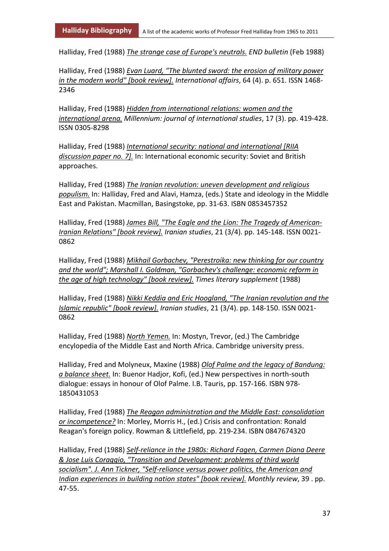Halliday, Fred (1988) *The strange case of Europe's neutrals. END bulletin* (Feb 1988)

Halliday, Fred (1988) *Evan Luard, "The blunted sword: the erosion of military power in the modern world" [book review]. International affairs*, 64 (4). p. 651. ISSN 1468- 2346

Halliday, Fred (1988) *Hidden from international relations: women and the international arena. Millennium: journal of international studies*, 17 (3). pp. 419-428. ISSN 0305-8298

Halliday, Fred (1988) *International security: national and international [RIIA discussion paper no. 7].* In: International economic security: Soviet and British approaches.

Halliday, Fred (1988) *The Iranian revolution: uneven development and religious populism.* In: Halliday, Fred and Alavi, Hamza, (eds.) State and ideology in the Middle East and Pakistan. Macmillan, Basingstoke, pp. 31-63. ISBN 0853457352

Halliday, Fred (1988) *James Bill, "The Eagle and the Lion: The Tragedy of American-Iranian Relations" [book review]. Iranian studies*, 21 (3/4). pp. 145-148. ISSN 0021- 0862

Halliday, Fred (1988) *Mikhail Gorbachev, "Perestroika: new thinking for our country and the world"; Marshall I. Goldman, "Gorbachev's challenge: economic reform in the age of high technology" [book review]. Times literary supplement* (1988)

Halliday, Fred (1988) *Nikki Keddia and Eric Hoogland, "The Iranian revolution and the Islamic republic" [book review]. Iranian studies*, 21 (3/4). pp. 148-150. ISSN 0021- 0862

Halliday, Fred (1988) *North Yemen.* In: Mostyn, Trevor, (ed.) The Cambridge encylopedia of the Middle East and North Africa. Cambridge university press.

Halliday, Fred and Molyneux, Maxine (1988) *Olof Palme and the legacy of Bandung: a balance sheet.* In: Buenor Hadjor, Kofi, (ed.) New perspectives in north-south dialogue: essays in honour of Olof Palme. I.B. Tauris, pp. 157-166. ISBN 978- 1850431053

Halliday, Fred (1988) *The Reagan administration and the Middle East: consolidation or incompetence?* In: Morley, Morris H., (ed.) Crisis and confrontation: Ronald Reagan's foreign policy. Rowman & Littlefield, pp. 219-234. ISBN 0847674320

Halliday, Fred (1988) *Self-reliance in the 1980s: Richard Fagen, Carmen Diana Deere & Jose Luis Coraggio, "Transition and Development: problems of third world socialism". J. Ann Tickner, "Self-reliance versus power politics, the American and Indian experiences in building nation states" [book review]. Monthly review*, 39 . pp. 47-55.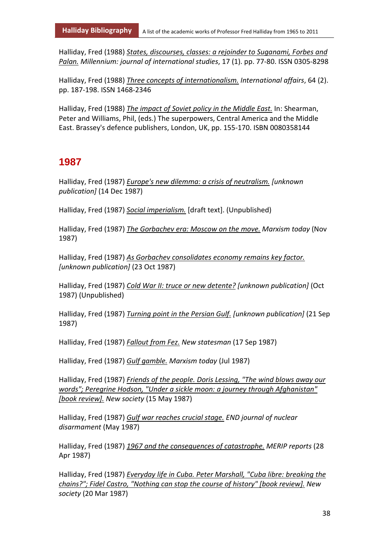Halliday, Fred (1988) *States, discourses, classes: a rejoinder to Suganami, Forbes and Palan. Millennium: journal of international studies*, 17 (1). pp. 77-80. ISSN 0305-8298

Halliday, Fred (1988) *Three concepts of internationalism. International affairs*, 64 (2). pp. 187-198. ISSN 1468-2346

Halliday, Fred (1988) *The impact of Soviet policy in the Middle East.* In: Shearman, Peter and Williams, Phil, (eds.) The superpowers, Central America and the Middle East. Brassey's defence publishers, London, UK, pp. 155-170. ISBN 0080358144

### **1987**

Halliday, Fred (1987) *Europe's new dilemma: a crisis of neutralism. [unknown publication]* (14 Dec 1987)

Halliday, Fred (1987) *Social imperialism.* [draft text]. (Unpublished)

Halliday, Fred (1987) *The Gorbachev era: Moscow on the move. Marxism today* (Nov 1987)

Halliday, Fred (1987) *As Gorbachev consolidates economy remains key factor. [unknown publication]* (23 Oct 1987)

Halliday, Fred (1987) *Cold War II: truce or new detente? [unknown publication]* (Oct 1987) (Unpublished)

Halliday, Fred (1987) *Turning point in the Persian Gulf. [unknown publication]* (21 Sep 1987)

Halliday, Fred (1987) *Fallout from Fez. New statesman* (17 Sep 1987)

Halliday, Fred (1987) *Gulf gamble. Marxism today* (Jul 1987)

Halliday, Fred (1987) *Friends of the people. Doris Lessing, "The wind blows away our words"; Peregrine Hodson, "Under a sickle moon: a journey through Afghanistan" [book review]. New society* (15 May 1987)

Halliday, Fred (1987) *Gulf war reaches crucial stage. END journal of nuclear disarmament* (May 1987)

Halliday, Fred (1987) *1967 and the consequences of catastrophe. MERIP reports* (28 Apr 1987)

Halliday, Fred (1987) *Everyday life in Cuba. Peter Marshall, "Cuba libre: breaking the chains?"; Fidel Castro, "Nothing can stop the course of history" [book review]. New society* (20 Mar 1987)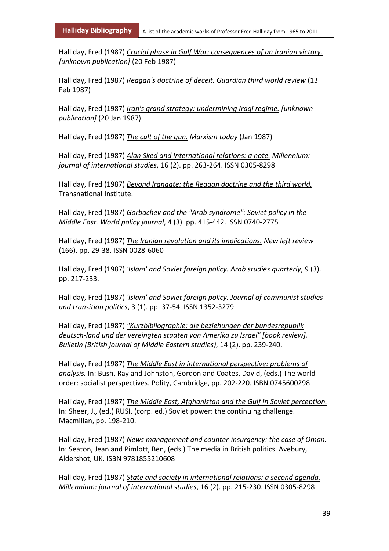Halliday, Fred (1987) *Crucial phase in Gulf War: consequences of an Iranian victory. [unknown publication]* (20 Feb 1987)

Halliday, Fred (1987) *Reagan's doctrine of deceit. Guardian third world review* (13 Feb 1987)

Halliday, Fred (1987) *Iran's grand strategy: undermining Iraqi regime. [unknown publication]* (20 Jan 1987)

Halliday, Fred (1987) *The cult of the gun. Marxism today* (Jan 1987)

Halliday, Fred (1987) *Alan Sked and international relations: a note. Millennium: journal of international studies*, 16 (2). pp. 263-264. ISSN 0305-8298

Halliday, Fred (1987) *Beyond Irangate: the Reagan doctrine and the third world.* Transnational Institute.

Halliday, Fred (1987) *Gorbachev and the "Arab syndrome": Soviet policy in the Middle East. World policy journal*, 4 (3). pp. 415-442. ISSN 0740-2775

Halliday, Fred (1987) *The Iranian revolution and its implications. New left review* (166). pp. 29-38. ISSN 0028-6060

Halliday, Fred (1987) *'Islam' and Soviet foreign policy. Arab studies quarterly*, 9 (3). pp. 217-233.

Halliday, Fred (1987) *'Islam' and Soviet foreign policy. Journal of communist studies and transition politics*, 3 (1). pp. 37-54. ISSN 1352-3279

Halliday, Fred (1987) *"Kurzbibliographie: die beziehungen der bundesrepublik deutsch-land und der vereingten staaten von Amerika zu Israel" [book review]. Bulletin (British journal of Middle Eastern studies)*, 14 (2). pp. 239-240.

Halliday, Fred (1987) *The Middle East in international perspective: problems of analysis.* In: Bush, Ray and Johnston, Gordon and Coates, David, (eds.) The world order: socialist perspectives. Polity, Cambridge, pp. 202-220. ISBN 0745600298

Halliday, Fred (1987) *The Middle East, Afghanistan and the Gulf in Soviet perception.* In: Sheer, J., (ed.) RUSI, (corp. ed.) Soviet power: the continuing challenge. Macmillan, pp. 198-210.

Halliday, Fred (1987) *News management and counter-insurgency: the case of Oman.* In: Seaton, Jean and Pimlott, Ben, (eds.) The media in British politics. Avebury, Aldershot, UK. ISBN 9781855210608

Halliday, Fred (1987) *State and society in international relations: a second agenda. Millennium: journal of international studies*, 16 (2). pp. 215-230. ISSN 0305-8298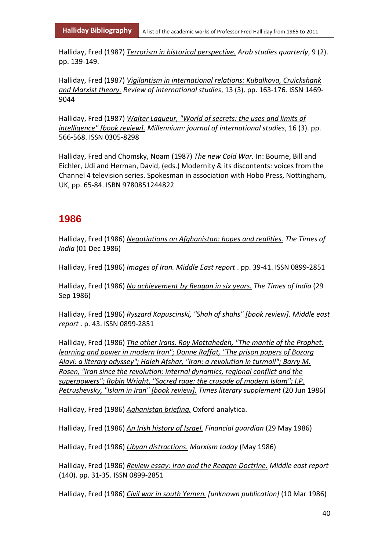Halliday, Fred (1987) *Terrorism in historical perspective. Arab studies quarterly*, 9 (2). pp. 139-149.

Halliday, Fred (1987) *Vigilantism in international relations: Kubalkova, Cruickshank and Marxist theory. Review of international studies*, 13 (3). pp. 163-176. ISSN 1469- 9044

Halliday, Fred (1987) *Walter Laqueur, "World of secrets: the uses and limits of intelligence" [book review]. Millennium: journal of international studies*, 16 (3). pp. 566-568. ISSN 0305-8298

Halliday, Fred and Chomsky, Noam (1987) *The new Cold War.* In: Bourne, Bill and Eichler, Udi and Herman, David, (eds.) Modernity & its discontents: voices from the Channel 4 television series. Spokesman in association with Hobo Press, Nottingham, UK, pp. 65-84. ISBN 9780851244822

#### **1986**

Halliday, Fred (1986) *Negotiations on Afghanistan: hopes and realities. The Times of India* (01 Dec 1986)

Halliday, Fred (1986) *Images of Iran. Middle East report* . pp. 39-41. ISSN 0899-2851

Halliday, Fred (1986) *No achievement by Reagan in six years. The Times of India* (29 Sep 1986)

Halliday, Fred (1986) *Ryszard Kapuscinski, "Shah of shahs" [book review]. Middle east report* . p. 43. ISSN 0899-2851

Halliday, Fred (1986) *The other Irans. Roy Mottahedeh, "The mantle of the Prophet: learning and power in modern Iran"; Donne Raffat, "The prison papers of Bozorg Alavi: a literary odyssey"; Haleh Afshar, "Iran: a revolution in turmoil"; Barry M. Rosen, "Iran since the revolution: internal dynamics, regional conflict and the superpowers"; Robin Wright, "Sacred rage: the crusade of modern Islam"; I.P. Petrushevsky, "Islam in Iran" [book review]. Times literary supplement* (20 Jun 1986)

Halliday, Fred (1986) *Aghanistan briefing.* Oxford analytica.

Halliday, Fred (1986) *An Irish history of Israel. Financial guardian* (29 May 1986)

Halliday, Fred (1986) *Libyan distractions. Marxism today* (May 1986)

Halliday, Fred (1986) *Review essay: Iran and the Reagan Doctrine. Middle east report* (140). pp. 31-35. ISSN 0899-2851

Halliday, Fred (1986) *Civil war in south Yemen. [unknown publication]* (10 Mar 1986)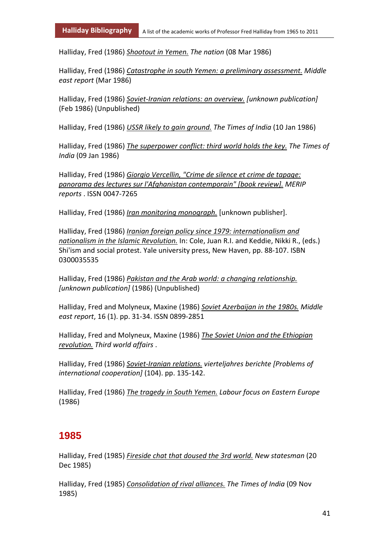Halliday, Fred (1986) *Shootout in Yemen. The nation* (08 Mar 1986)

Halliday, Fred (1986) *Catastrophe in south Yemen: a preliminary assessment. Middle east report* (Mar 1986)

Halliday, Fred (1986) *Soviet-Iranian relations: an overview. [unknown publication]* (Feb 1986) (Unpublished)

Halliday, Fred (1986) *USSR likely to gain ground. The Times of India* (10 Jan 1986)

Halliday, Fred (1986) *The superpower conflict: third world holds the key. The Times of India* (09 Jan 1986)

Halliday, Fred (1986) *Giorgio Vercellin, "Crime de silence et crime de tapage: panorama des lectures sur l'Afghanistan contemporain" [book review]. MERIP reports* . ISSN 0047-7265

Halliday, Fred (1986) *Iran monitoring monograph.* [unknown publisher].

Halliday, Fred (1986) *Iranian foreign policy since 1979: internationalism and nationalism in the Islamic Revolution.* In: Cole, Juan R.I. and Keddie, Nikki R., (eds.) Shi'ism and social protest. Yale university press, New Haven, pp. 88-107. ISBN 0300035535

Halliday, Fred (1986) *Pakistan and the Arab world: a changing relationship. [unknown publication]* (1986) (Unpublished)

Halliday, Fred and Molyneux, Maxine (1986) *Soviet Azerbaijan in the 1980s. Middle east report*, 16 (1). pp. 31-34. ISSN 0899-2851

Halliday, Fred and Molyneux, Maxine (1986) *The Soviet Union and the Ethiopian revolution. Third world affairs* .

Halliday, Fred (1986) *Soviet-Iranian relations. vierteljahres berichte [Problems of international cooperation]* (104). pp. 135-142.

Halliday, Fred (1986) *The tragedy in South Yemen. Labour focus on Eastern Europe* (1986)

### **1985**

Halliday, Fred (1985) *Fireside chat that doused the 3rd world. New statesman* (20 Dec 1985)

Halliday, Fred (1985) *Consolidation of rival alliances. The Times of India* (09 Nov 1985)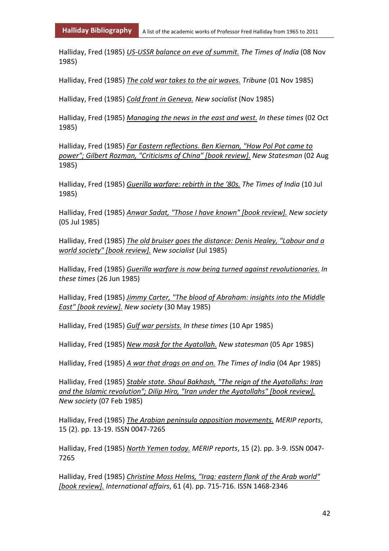Halliday, Fred (1985) *US-USSR balance on eve of summit. The Times of India* (08 Nov 1985)

Halliday, Fred (1985) *The cold war takes to the air waves. Tribune* (01 Nov 1985)

Halliday, Fred (1985) *Cold front in Geneva. New socialist* (Nov 1985)

Halliday, Fred (1985) *Managing the news in the east and west. In these times* (02 Oct 1985)

Halliday, Fred (1985) *Far Eastern reflections. Ben Kiernan, "How Pol Pot came to power"; Gilbert Rozman, "Criticisms of China" [book review]. New Statesman* (02 Aug 1985)

Halliday, Fred (1985) *Guerilla warfare: rebirth in the '80s. The Times of India* (10 Jul 1985)

Halliday, Fred (1985) *Anwar Sadat, "Those I have known" [book review]. New society* (05 Jul 1985)

Halliday, Fred (1985) *The old bruiser goes the distance: Denis Healey, "Labour and a world society" [book review]. New socialist* (Jul 1985)

Halliday, Fred (1985) *Guerilla warfare is now being turned against revolutionaries. In these times* (26 Jun 1985)

Halliday, Fred (1985) *Jimmy Carter, "The blood of Abraham: insights into the Middle East" [book review]. New society* (30 May 1985)

Halliday, Fred (1985) *Gulf war persists. In these times* (10 Apr 1985)

Halliday, Fred (1985) *New mask for the Ayatollah. New statesman* (05 Apr 1985)

Halliday, Fred (1985) *A war that drags on and on. The Times of India* (04 Apr 1985)

Halliday, Fred (1985) *Stable state. Shaul Bakhash, "The reign of the Ayatollahs: Iran and the Islamic revolution"; Dilip Hiro, "Iran under the Ayatollahs" [book review]. New society* (07 Feb 1985)

Halliday, Fred (1985) *The Arabian peninsula opposition movements. MERIP reports*, 15 (2). pp. 13-19. ISSN 0047-7265

Halliday, Fred (1985) *North Yemen today. MERIP reports*, 15 (2). pp. 3-9. ISSN 0047- 7265

Halliday, Fred (1985) *Christine Moss Helms, "Iraq: eastern flank of the Arab world" [book review]. International affairs*, 61 (4). pp. 715-716. ISSN 1468-2346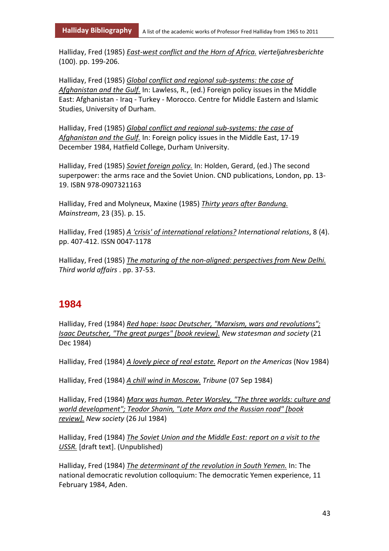Halliday, Fred (1985) *East-west conflict and the Horn of Africa. vierteljahresberichte* (100). pp. 199-206.

Halliday, Fred (1985) *Global conflict and regional sub-systems: the case of Afghanistan and the Gulf.* In: Lawless, R., (ed.) Foreign policy issues in the Middle East: Afghanistan - Iraq - Turkey - Morocco. Centre for Middle Eastern and Islamic Studies, University of Durham.

Halliday, Fred (1985) *Global conflict and regional sub-systems: the case of Afghanistan and the Gulf.* In: Foreign policy issues in the Middle East, 17-19 December 1984, Hatfield College, Durham University.

Halliday, Fred (1985) *Soviet foreign policy.* In: Holden, Gerard, (ed.) The second superpower: the arms race and the Soviet Union. CND publications, London, pp. 13- 19. ISBN 978-0907321163

Halliday, Fred and Molyneux, Maxine (1985) *Thirty years after Bandung. Mainstream*, 23 (35). p. 15.

Halliday, Fred (1985) *A 'crisis' of international relations? International relations*, 8 (4). pp. 407-412. ISSN 0047-1178

Halliday, Fred (1985) *The maturing of the non-aligned: perspectives from New Delhi. Third world affairs* . pp. 37-53.

#### **1984**

Halliday, Fred (1984) *Red hope: Isaac Deutscher, "Marxism, wars and revolutions"; Isaac Deutscher, "The great purges" [book review]. New statesman and society* (21 Dec 1984)

Halliday, Fred (1984) *A lovely piece of real estate. Report on the Americas* (Nov 1984)

Halliday, Fred (1984) *A chill wind in Moscow. Tribune* (07 Sep 1984)

Halliday, Fred (1984) *Marx was human. Peter Worsley, "The three worlds: culture and world development"; Teodor Shanin, "Late Marx and the Russian road" [book review]. New society* (26 Jul 1984)

Halliday, Fred (1984) *The Soviet Union and the Middle East: report on a visit to the USSR.* [draft text]. (Unpublished)

Halliday, Fred (1984) *The determinant of the revolution in South Yemen.* In: The national democratic revolution colloquium: The democratic Yemen experience, 11 February 1984, Aden.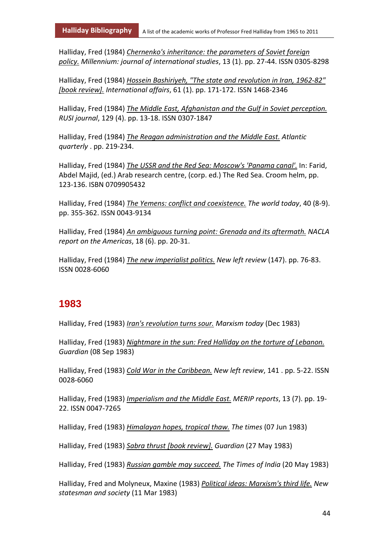Halliday, Fred (1984) *Chernenko's inheritance: the parameters of Soviet foreign policy. Millennium: journal of international studies*, 13 (1). pp. 27-44. ISSN 0305-8298

Halliday, Fred (1984) *Hossein Bashiriyeh, "The state and revolution in Iran, 1962-82" [book review]. International affairs*, 61 (1). pp. 171-172. ISSN 1468-2346

Halliday, Fred (1984) *The Middle East, Afghanistan and the Gulf in Soviet perception. RUSI journal*, 129 (4). pp. 13-18. ISSN 0307-1847

Halliday, Fred (1984) *The Reagan administration and the Middle East. Atlantic quarterly* . pp. 219-234.

Halliday, Fred (1984) *The USSR and the Red Sea: Moscow's 'Panama canal'.* In: Farid, Abdel Majid, (ed.) Arab research centre, (corp. ed.) The Red Sea. Croom helm, pp. 123-136. ISBN 0709905432

Halliday, Fred (1984) *The Yemens: conflict and coexistence. The world today*, 40 (8-9). pp. 355-362. ISSN 0043-9134

Halliday, Fred (1984) *An ambiguous turning point: Grenada and its aftermath. NACLA report on the Americas*, 18 (6). pp. 20-31.

Halliday, Fred (1984) *The new imperialist politics. New left review* (147). pp. 76-83. ISSN 0028-6060

#### **1983**

Halliday, Fred (1983) *Iran's revolution turns sour. Marxism today* (Dec 1983)

Halliday, Fred (1983) *Nightmare in the sun: Fred Halliday on the torture of Lebanon. Guardian* (08 Sep 1983)

Halliday, Fred (1983) *Cold War in the Caribbean. New left review*, 141 . pp. 5-22. ISSN 0028-6060

Halliday, Fred (1983) *Imperialism and the Middle East. MERIP reports*, 13 (7). pp. 19- 22. ISSN 0047-7265

Halliday, Fred (1983) *Himalayan hopes, tropical thaw. The times* (07 Jun 1983)

Halliday, Fred (1983) *Sabra thrust [book review]. Guardian* (27 May 1983)

Halliday, Fred (1983) *Russian gamble may succeed. The Times of India* (20 May 1983)

Halliday, Fred and Molyneux, Maxine (1983) *Political ideas: Marxism's third life. New statesman and society* (11 Mar 1983)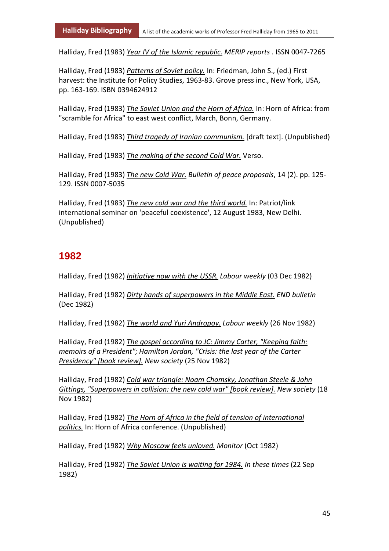Halliday, Fred (1983) *Year IV of the Islamic republic. MERIP reports* . ISSN 0047-7265

Halliday, Fred (1983) *Patterns of Soviet policy.* In: Friedman, John S., (ed.) First harvest: the Institute for Policy Studies, 1963-83. Grove press inc., New York, USA, pp. 163-169. ISBN 0394624912

Halliday, Fred (1983) *The Soviet Union and the Horn of Africa.* In: Horn of Africa: from "scramble for Africa" to east west conflict, March, Bonn, Germany.

Halliday, Fred (1983) *Third tragedy of Iranian communism.* [draft text]. (Unpublished)

Halliday, Fred (1983) *The making of the second Cold War.* Verso.

Halliday, Fred (1983) *The new Cold War. Bulletin of peace proposals*, 14 (2). pp. 125- 129. ISSN 0007-5035

Halliday, Fred (1983) *The new cold war and the third world.* In: Patriot/link international seminar on 'peaceful coexistence', 12 August 1983, New Delhi. (Unpublished)

# **1982**

Halliday, Fred (1982) *Initiative now with the USSR. Labour weekly* (03 Dec 1982)

Halliday, Fred (1982) *Dirty hands of superpowers in the Middle East. END bulletin* (Dec 1982)

Halliday, Fred (1982) *The world and Yuri Andropov. Labour weekly* (26 Nov 1982)

Halliday, Fred (1982) *The gospel according to JC: Jimmy Carter, "Keeping faith: memoirs of a President"; Hamilton Jordan, "Crisis: the last year of the Carter Presidency" [book review]. New society* (25 Nov 1982)

Halliday, Fred (1982) *Cold war triangle: Noam Chomsky, Jonathan Steele & John Gittings, "Superpowers in collision: the new cold war" [book review]. New society* (18 Nov 1982)

Halliday, Fred (1982) *The Horn of Africa in the field of tension of international politics.* In: Horn of Africa conference. (Unpublished)

Halliday, Fred (1982) *Why Moscow feels unloved. Monitor* (Oct 1982)

Halliday, Fred (1982) *The Soviet Union is waiting for 1984. In these times* (22 Sep 1982)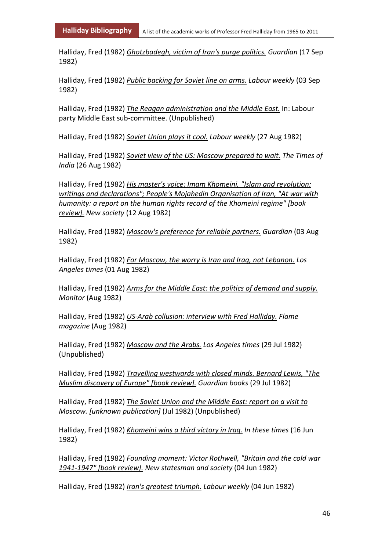Halliday, Fred (1982) *Ghotzbadegh, victim of Iran's purge politics. Guardian* (17 Sep 1982)

Halliday, Fred (1982) *Public backing for Soviet line on arms. Labour weekly* (03 Sep 1982)

Halliday, Fred (1982) *The Reagan administration and the Middle East.* In: Labour party Middle East sub-committee. (Unpublished)

Halliday, Fred (1982) *Soviet Union plays it cool. Labour weekly* (27 Aug 1982)

Halliday, Fred (1982) *Soviet view of the US: Moscow prepared to wait. The Times of India* (26 Aug 1982)

Halliday, Fred (1982) *His master's voice: Imam Khomeini, "Islam and revolution: writings and declarations"; People's Mojahedin Organisation of Iran, "At war with humanity: a report on the human rights record of the Khomeini regime" [book review]. New society* (12 Aug 1982)

Halliday, Fred (1982) *Moscow's preference for reliable partners. Guardian* (03 Aug 1982)

Halliday, Fred (1982) *For Moscow, the worry is Iran and Iraq, not Lebanon. Los Angeles times* (01 Aug 1982)

Halliday, Fred (1982) *Arms for the Middle East: the politics of demand and supply. Monitor* (Aug 1982)

Halliday, Fred (1982) *US-Arab collusion: interview with Fred Halliday. Flame magazine* (Aug 1982)

Halliday, Fred (1982) *Moscow and the Arabs. Los Angeles times* (29 Jul 1982) (Unpublished)

Halliday, Fred (1982) *Travelling westwards with closed minds. Bernard Lewis, "The Muslim discovery of Europe" [book review]. Guardian books* (29 Jul 1982)

Halliday, Fred (1982) *The Soviet Union and the Middle East: report on a visit to Moscow. [unknown publication]* (Jul 1982) (Unpublished)

Halliday, Fred (1982) *Khomeini wins a third victory in Iraq. In these times* (16 Jun 1982)

Halliday, Fred (1982) *Founding moment: Victor Rothwell, "Britain and the cold war 1941-1947" [book review]. New statesman and society* (04 Jun 1982)

Halliday, Fred (1982) *Iran's greatest triumph. Labour weekly* (04 Jun 1982)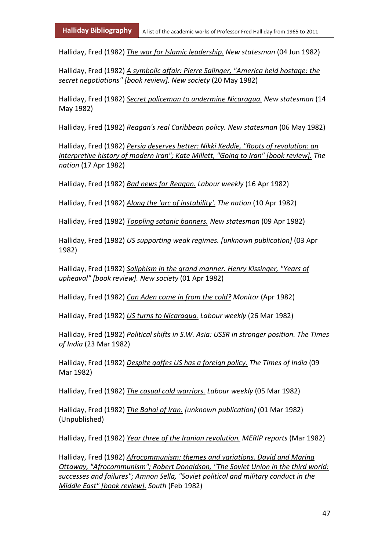Halliday, Fred (1982) *The war for Islamic leadership. New statesman* (04 Jun 1982)

Halliday, Fred (1982) *A symbolic affair: Pierre Salinger, "America held hostage: the secret negotiations" [book review]. New society* (20 May 1982)

Halliday, Fred (1982) *Secret policeman to undermine Nicaragua. New statesman* (14 May 1982)

Halliday, Fred (1982) *Reagan's real Caribbean policy. New statesman* (06 May 1982)

Halliday, Fred (1982) *Persia deserves better: Nikki Keddie, "Roots of revolution: an interpretive history of modern Iran"; Kate Millett, "Going to Iran" [book review]. The nation* (17 Apr 1982)

Halliday, Fred (1982) *Bad news for Reagan. Labour weekly* (16 Apr 1982)

Halliday, Fred (1982) *Along the 'arc of instability'. The nation* (10 Apr 1982)

Halliday, Fred (1982) *Toppling satanic banners. New statesman* (09 Apr 1982)

Halliday, Fred (1982) *US supporting weak regimes. [unknown publication]* (03 Apr 1982)

Halliday, Fred (1982) *Soliphism in the grand manner. Henry Kissinger, "Years of upheaval" [book review]. New society* (01 Apr 1982)

Halliday, Fred (1982) *Can Aden come in from the cold? Monitor* (Apr 1982)

Halliday, Fred (1982) *US turns to Nicaragua. Labour weekly* (26 Mar 1982)

Halliday, Fred (1982) *Political shifts in S.W. Asia: USSR in stronger position. The Times of India* (23 Mar 1982)

Halliday, Fred (1982) *Despite gaffes US has a foreign policy. The Times of India* (09 Mar 1982)

Halliday, Fred (1982) *The casual cold warriors. Labour weekly* (05 Mar 1982)

Halliday, Fred (1982) *The Bahai of Iran. [unknown publication]* (01 Mar 1982) (Unpublished)

Halliday, Fred (1982) *Year three of the Iranian revolution. MERIP reports* (Mar 1982)

Halliday, Fred (1982) *Afrocommunism: themes and variations. David and Marina Ottaway, "Afrocommunism"; Robert Donaldson, "The Soviet Union in the third world: successes and failures"; Amnon Sella, "Soviet political and military conduct in the Middle East" [book review]. South* (Feb 1982)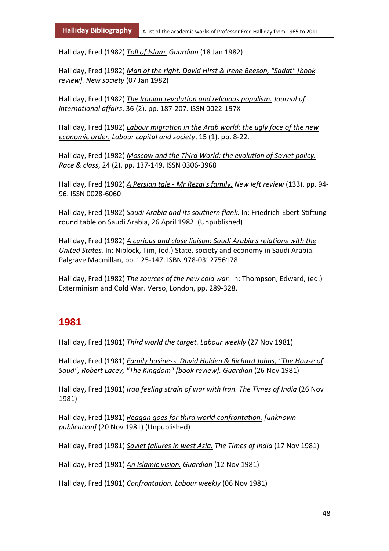Halliday, Fred (1982) *Toll of Islam. Guardian* (18 Jan 1982)

Halliday, Fred (1982) *Man of the right. David Hirst & Irene Beeson, "Sadat" [book review]. New society* (07 Jan 1982)

Halliday, Fred (1982) *The Iranian revolution and religious populism. Journal of international affairs*, 36 (2). pp. 187-207. ISSN 0022-197X

Halliday, Fred (1982) *Labour migration in the Arab world: the ugly face of the new economic order. Labour capital and society*, 15 (1). pp. 8-22.

Halliday, Fred (1982) *Moscow and the Third World: the evolution of Soviet policy. Race & class*, 24 (2). pp. 137-149. ISSN 0306-3968

Halliday, Fred (1982) *A Persian tale - Mr Rezai's family. New left review* (133). pp. 94- 96. ISSN 0028-6060

Halliday, Fred (1982) *Saudi Arabia and its southern flank.* In: Friedrich-Ebert-Stiftung round table on Saudi Arabia, 26 April 1982. (Unpublished)

Halliday, Fred (1982) *A curious and close liaison: Saudi Arabia's relations with the United States.* In: Niblock, Tim, (ed.) State, society and economy in Saudi Arabia. Palgrave Macmillan, pp. 125-147. ISBN 978-0312756178

Halliday, Fred (1982) *The sources of the new cold war.* In: Thompson, Edward, (ed.) Exterminism and Cold War. Verso, London, pp. 289-328.

#### **1981**

Halliday, Fred (1981) *Third world the target. Labour weekly* (27 Nov 1981)

Halliday, Fred (1981) *Family business. David Holden & Richard Johns, "The House of Saud"; Robert Lacey, "The Kingdom" [book review]. Guardian* (26 Nov 1981)

Halliday, Fred (1981) *Iraq feeling strain of war with Iran. The Times of India* (26 Nov 1981)

Halliday, Fred (1981) *Reagan goes for third world confrontation. [unknown publication]* (20 Nov 1981) (Unpublished)

Halliday, Fred (1981) *Soviet failures in west Asia. The Times of India* (17 Nov 1981)

Halliday, Fred (1981) *An Islamic vision. Guardian* (12 Nov 1981)

Halliday, Fred (1981) *Confrontation. Labour weekly* (06 Nov 1981)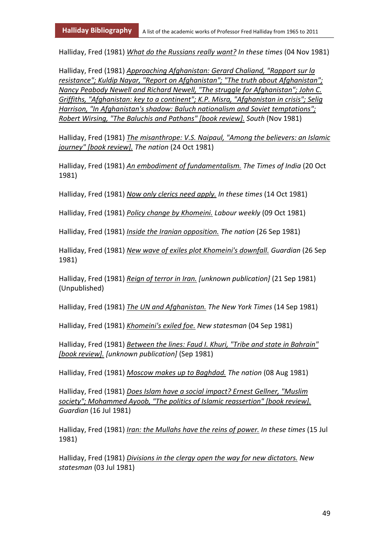Halliday, Fred (1981) *What do the Russians really want? In these times* (04 Nov 1981)

Halliday, Fred (1981) *Approaching Afghanistan: Gerard Chaliand, "Rapport sur la resistance"; Kuldip Nayar, "Report on Afghanistan"; "The truth about Afghanistan"; Nancy Peabody Newell and Richard Newell, "The struggle for Afghanistan"; John C. Griffiths, "Afghanistan: key to a continent"; K.P. Misra, "Afghanistan in crisis"; Selig Harrison, "In Afghanistan's shadow: Baluch nationalism and Soviet temptations"; Robert Wirsing, "The Baluchis and Pathans" [book review]. South* (Nov 1981)

Halliday, Fred (1981) *The misanthrope: V.S. Naipaul, "Among the believers: an Islamic journey" [book review]. The nation* (24 Oct 1981)

Halliday, Fred (1981) *An embodiment of fundamentalism. The Times of India* (20 Oct 1981)

Halliday, Fred (1981) *Now only clerics need apply. In these times* (14 Oct 1981)

Halliday, Fred (1981) *Policy change by Khomeini. Labour weekly* (09 Oct 1981)

Halliday, Fred (1981) *Inside the Iranian opposition. The nation* (26 Sep 1981)

Halliday, Fred (1981) *New wave of exiles plot Khomeini's downfall. Guardian* (26 Sep 1981)

Halliday, Fred (1981) *Reign of terror in Iran. [unknown publication]* (21 Sep 1981) (Unpublished)

Halliday, Fred (1981) *The UN and Afghanistan. The New York Times* (14 Sep 1981)

Halliday, Fred (1981) *Khomeini's exiled foe. New statesman* (04 Sep 1981)

Halliday, Fred (1981) *Between the lines: Faud I. Khuri, "Tribe and state in Bahrain" [book review]. [unknown publication]* (Sep 1981)

Halliday, Fred (1981) *Moscow makes up to Baghdad. The nation* (08 Aug 1981)

Halliday, Fred (1981) *Does Islam have a social impact? Ernest Gellner, "Muslim society"; Mohammed Ayoob, "The politics of Islamic reassertion" [book review]. Guardian* (16 Jul 1981)

Halliday, Fred (1981) *Iran: the Mullahs have the reins of power. In these times* (15 Jul 1981)

Halliday, Fred (1981) *Divisions in the clergy open the way for new dictators. New statesman* (03 Jul 1981)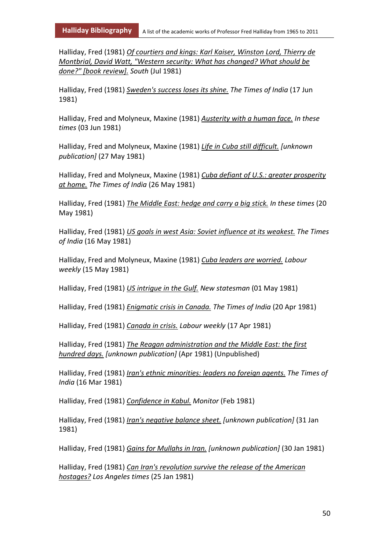Halliday, Fred (1981) *Of courtiers and kings: Karl Kaiser, Winston Lord, Thierry de Montbrial, David Watt, "Western security: What has changed? What should be done?" [book review]. South* (Jul 1981)

Halliday, Fred (1981) *Sweden's success loses its shine. The Times of India* (17 Jun 1981)

Halliday, Fred and Molyneux, Maxine (1981) *Austerity with a human face. In these times* (03 Jun 1981)

Halliday, Fred and Molyneux, Maxine (1981) *Life in Cuba still difficult. [unknown publication]* (27 May 1981)

Halliday, Fred and Molyneux, Maxine (1981) *Cuba defiant of U.S.: greater prosperity at home. The Times of India* (26 May 1981)

Halliday, Fred (1981) *The Middle East: hedge and carry a big stick. In these times* (20 May 1981)

Halliday, Fred (1981) *US goals in west Asia: Soviet influence at its weakest. The Times of India* (16 May 1981)

Halliday, Fred and Molyneux, Maxine (1981) *Cuba leaders are worried. Labour weekly* (15 May 1981)

Halliday, Fred (1981) *US intrigue in the Gulf. New statesman* (01 May 1981)

Halliday, Fred (1981) *Enigmatic crisis in Canada. The Times of India* (20 Apr 1981)

Halliday, Fred (1981) *Canada in crisis. Labour weekly* (17 Apr 1981)

Halliday, Fred (1981) *The Reagan administration and the Middle East: the first hundred days. [unknown publication]* (Apr 1981) (Unpublished)

Halliday, Fred (1981) *Iran's ethnic minorities: leaders no foreign agents. The Times of India* (16 Mar 1981)

Halliday, Fred (1981) *Confidence in Kabul. Monitor* (Feb 1981)

Halliday, Fred (1981) *Iran's negative balance sheet. [unknown publication]* (31 Jan 1981)

Halliday, Fred (1981) *Gains for Mullahs in Iran. [unknown publication]* (30 Jan 1981)

Halliday, Fred (1981) *Can Iran's revolution survive the release of the American hostages? Los Angeles times* (25 Jan 1981)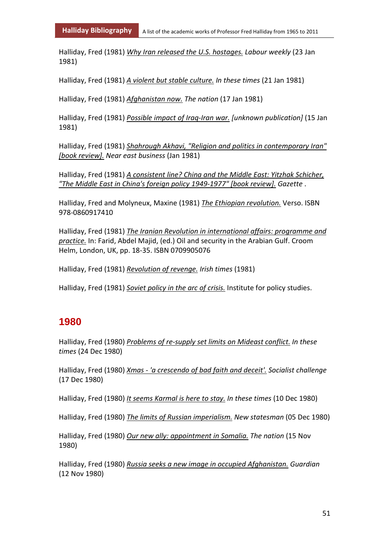Halliday, Fred (1981) *Why Iran released the U.S. hostages. Labour weekly* (23 Jan 1981)

Halliday, Fred (1981) *A violent but stable culture. In these times* (21 Jan 1981)

Halliday, Fred (1981) *Afghanistan now. The nation* (17 Jan 1981)

Halliday, Fred (1981) *Possible impact of Iraq-Iran war. [unknown publication]* (15 Jan 1981)

Halliday, Fred (1981) *Shahrough Akhavi, "Religion and politics in contemporary Iran" [book review]. Near east business* (Jan 1981)

Halliday, Fred (1981) *A consistent line? China and the Middle East: Yitzhak Schicher, "The Middle East in China's foreign policy 1949-1977" [book review]. Gazette* .

Halliday, Fred and Molyneux, Maxine (1981) *The Ethiopian revolution.* Verso. ISBN 978-0860917410

Halliday, Fred (1981) *The Iranian Revolution in international affairs: programme and practice.* In: Farid, Abdel Majid, (ed.) Oil and security in the Arabian Gulf. Croom Helm, London, UK, pp. 18-35. ISBN 0709905076

Halliday, Fred (1981) *Revolution of revenge. Irish times* (1981)

Halliday, Fred (1981) *Soviet policy in the arc of crisis.* Institute for policy studies.

#### **1980**

Halliday, Fred (1980) *Problems of re-supply set limits on Mideast conflict. In these times* (24 Dec 1980)

Halliday, Fred (1980) *Xmas - 'a crescendo of bad faith and deceit'. Socialist challenge* (17 Dec 1980)

Halliday, Fred (1980) *It seems Karmal is here to stay. In these times* (10 Dec 1980)

Halliday, Fred (1980) *The limits of Russian imperialism. New statesman* (05 Dec 1980)

Halliday, Fred (1980) *Our new ally: appointment in Somalia. The nation* (15 Nov 1980)

Halliday, Fred (1980) *Russia seeks a new image in occupied Afghanistan. Guardian* (12 Nov 1980)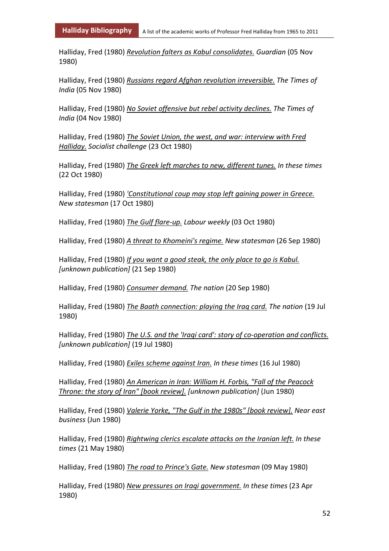Halliday, Fred (1980) *Revolution falters as Kabul consolidates. Guardian* (05 Nov 1980)

Halliday, Fred (1980) *Russians regard Afghan revolution irreversible. The Times of India* (05 Nov 1980)

Halliday, Fred (1980) *No Soviet offensive but rebel activity declines. The Times of India* (04 Nov 1980)

Halliday, Fred (1980) *The Soviet Union, the west, and war: interview with Fred Halliday. Socialist challenge* (23 Oct 1980)

Halliday, Fred (1980) *The Greek left marches to new, different tunes. In these times* (22 Oct 1980)

Halliday, Fred (1980) *'Constitutional coup may stop left gaining power in Greece. New statesman* (17 Oct 1980)

Halliday, Fred (1980) *The Gulf flare-up. Labour weekly* (03 Oct 1980)

Halliday, Fred (1980) *A threat to Khomeini's regime. New statesman* (26 Sep 1980)

Halliday, Fred (1980) *If you want a good steak, the only place to go is Kabul. [unknown publication]* (21 Sep 1980)

Halliday, Fred (1980) *Consumer demand. The nation* (20 Sep 1980)

Halliday, Fred (1980) *The Baath connection: playing the Iraq card. The nation* (19 Jul 1980)

Halliday, Fred (1980) *The U.S. and the 'Iraqi card': story of co-operation and conflicts. [unknown publication]* (19 Jul 1980)

Halliday, Fred (1980) *Exiles scheme against Iran. In these times* (16 Jul 1980)

Halliday, Fred (1980) *An American in Iran: William H. Forbis, "Fall of the Peacock Throne: the story of Iran" [book review]. [unknown publication]* (Jun 1980)

Halliday, Fred (1980) *Valerie Yorke, "The Gulf in the 1980s" [book review]. Near east business* (Jun 1980)

Halliday, Fred (1980) *Rightwing clerics escalate attacks on the Iranian left. In these times* (21 May 1980)

Halliday, Fred (1980) *The road to Prince's Gate. New statesman* (09 May 1980)

Halliday, Fred (1980) *New pressures on Iraqi government. In these times* (23 Apr 1980)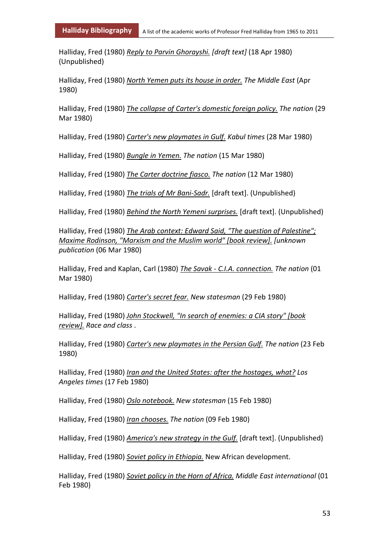Halliday, Fred (1980) *Reply to Parvin Ghorayshi. [draft text]* (18 Apr 1980) (Unpublished)

Halliday, Fred (1980) *North Yemen puts its house in order. The Middle East* (Apr 1980)

Halliday, Fred (1980) *The collapse of Carter's domestic foreign policy. The nation* (29 Mar 1980)

Halliday, Fred (1980) *Carter's new playmates in Gulf. Kabul times* (28 Mar 1980)

Halliday, Fred (1980) *Bungle in Yemen. The nation* (15 Mar 1980)

Halliday, Fred (1980) *The Carter doctrine fiasco. The nation* (12 Mar 1980)

Halliday, Fred (1980) *The trials of Mr Bani-Sadr.* [draft text]. (Unpublished)

Halliday, Fred (1980) *Behind the North Yemeni surprises.* [draft text]. (Unpublished)

Halliday, Fred (1980) *The Arab context: Edward Said, "The question of Palestine"; Maxime Rodinson, "Marxism and the Muslim world" [book review]. [unknown publication* (06 Mar 1980)

Halliday, Fred and Kaplan, Carl (1980) *The Savak - C.I.A. connection. The nation* (01 Mar 1980)

Halliday, Fred (1980) *Carter's secret fear. New statesman* (29 Feb 1980)

Halliday, Fred (1980) *John Stockwell, "In search of enemies: a CIA story" [book review]. Race and class* .

Halliday, Fred (1980) *Carter's new playmates in the Persian Gulf. The nation* (23 Feb 1980)

Halliday, Fred (1980) *Iran and the United States: after the hostages, what? Los Angeles times* (17 Feb 1980)

Halliday, Fred (1980) *Oslo notebook. New statesman* (15 Feb 1980)

Halliday, Fred (1980) *Iran chooses. The nation* (09 Feb 1980)

Halliday, Fred (1980) *America's new strategy in the Gulf.* [draft text]. (Unpublished)

Halliday, Fred (1980) *Soviet policy in Ethiopia.* New African development.

Halliday, Fred (1980) *Soviet policy in the Horn of Africa. Middle East international* (01 Feb 1980)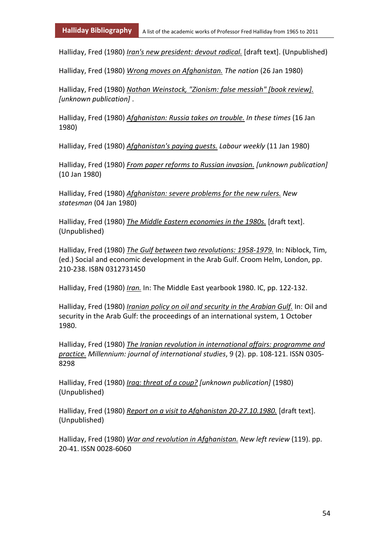Halliday, Fred (1980) *Iran's new president: devout radical.* [draft text]. (Unpublished)

Halliday, Fred (1980) *Wrong moves on Afghanistan. The nation* (26 Jan 1980)

Halliday, Fred (1980) *Nathan Weinstock, "Zionism: false messiah" [book review]. [unknown publication]* .

Halliday, Fred (1980) *Afghanistan: Russia takes on trouble. In these times* (16 Jan 1980)

Halliday, Fred (1980) *Afghanistan's paying guests. Labour weekly* (11 Jan 1980)

Halliday, Fred (1980) *From paper reforms to Russian invasion. [unknown publication]* (10 Jan 1980)

Halliday, Fred (1980) *Afghanistan: severe problems for the new rulers. New statesman* (04 Jan 1980)

Halliday, Fred (1980) *The Middle Eastern economies in the 1980s.* [draft text]. (Unpublished)

Halliday, Fred (1980) *The Gulf between two revolutions: 1958-1979.* In: Niblock, Tim, (ed.) Social and economic development in the Arab Gulf. Croom Helm, London, pp. 210-238. ISBN 0312731450

Halliday, Fred (1980) *Iran.* In: The Middle East yearbook 1980. IC, pp. 122-132.

Halliday, Fred (1980) *Iranian policy on oil and security in the Arabian Gulf.* In: Oil and security in the Arab Gulf: the proceedings of an international system, 1 October 1980.

Halliday, Fred (1980) *The Iranian revolution in international affairs: programme and practice. Millennium: journal of international studies*, 9 (2). pp. 108-121. ISSN 0305- 8298

Halliday, Fred (1980) *Iraq: threat of a coup? [unknown publication]* (1980) (Unpublished)

Halliday, Fred (1980) *Report on a visit to Afghanistan 20-27.10.1980.* [draft text]. (Unpublished)

Halliday, Fred (1980) *War and revolution in Afghanistan. New left review* (119). pp. 20-41. ISSN 0028-6060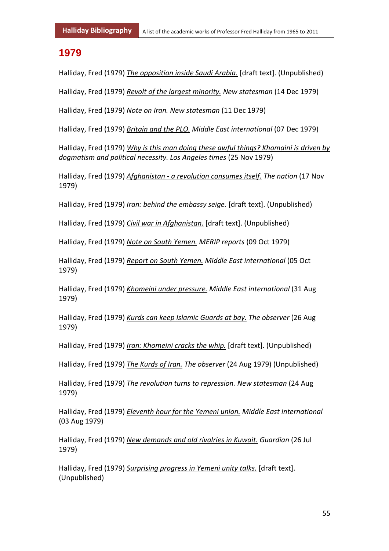#### **1979**

Halliday, Fred (1979) *The opposition inside Saudi Arabia.* [draft text]. (Unpublished)

Halliday, Fred (1979) *Revolt of the largest minority. New statesman* (14 Dec 1979)

Halliday, Fred (1979) *Note on Iran. New statesman* (11 Dec 1979)

Halliday, Fred (1979) *Britain and the PLO. Middle East international* (07 Dec 1979)

Halliday, Fred (1979) *Why is this man doing these awful things? Khomaini is driven by dogmatism and political necessity. Los Angeles times* (25 Nov 1979)

Halliday, Fred (1979) *Afghanistan - a revolution consumes itself. The nation* (17 Nov 1979)

Halliday, Fred (1979) *Iran: behind the embassy seige.* [draft text]. (Unpublished)

Halliday, Fred (1979) *Civil war in Afghanistan.* [draft text]. (Unpublished)

Halliday, Fred (1979) *Note on South Yemen. MERIP reports* (09 Oct 1979)

Halliday, Fred (1979) *Report on South Yemen. Middle East international* (05 Oct 1979)

Halliday, Fred (1979) *Khomeini under pressure. Middle East international* (31 Aug 1979)

Halliday, Fred (1979) *Kurds can keep Islamic Guards at bay. The observer* (26 Aug 1979)

Halliday, Fred (1979) *Iran: Khomeini cracks the whip.* [draft text]. (Unpublished)

Halliday, Fred (1979) *The Kurds of Iran. The observer* (24 Aug 1979) (Unpublished)

Halliday, Fred (1979) *The revolution turns to repression. New statesman* (24 Aug 1979)

Halliday, Fred (1979) *Eleventh hour for the Yemeni union. Middle East international* (03 Aug 1979)

Halliday, Fred (1979) *New demands and old rivalries in Kuwait. Guardian* (26 Jul 1979)

Halliday, Fred (1979) *Surprising progress in Yemeni unity talks.* [draft text]. (Unpublished)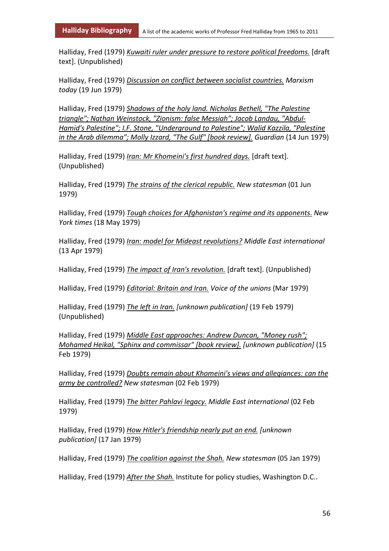Halliday, Fred (1979) *Kuwaiti ruler under pressure to restore political freedoms.* [draft text]. (Unpublished)

Halliday, Fred (1979) *Discussion on conflict between socialist countries. Marxism today* (19 Jun 1979)

Halliday, Fred (1979) *Shadows of the holy land. Nicholas Bethell, "The Palestine triangle"; Nathan Weinstock, "Zionism: false Messiah"; Jacob Landau, "Abdul-Hamid's Palestine"; I.F. Stone, "Underground to Palestine"; Walid Kazzila, "Palestine in the Arab dilemma"; Molly Izzard, "The Gulf" [book review]. Guardian* (14 Jun 1979)

Halliday, Fred (1979) *Iran: Mr Khomeini's first hundred days.* [draft text]. (Unpublished)

Halliday, Fred (1979) *The strains of the clerical republic. New statesman* (01 Jun 1979)

Halliday, Fred (1979) *Tough choices for Afghanistan's regime and its opponents. New York times* (18 May 1979)

Halliday, Fred (1979) *Iran: model for Mideast revolutions? Middle East international* (13 Apr 1979)

Halliday, Fred (1979) *The impact of Iran's revolution.* [draft text]. (Unpublished)

Halliday, Fred (1979) *Editorial: Britain and Iran. Voice of the unions* (Mar 1979)

Halliday, Fred (1979) *The left in Iran. [unknown publication]* (19 Feb 1979) (Unpublished)

Halliday, Fred (1979) *Middle East approaches: Andrew Duncan, "Money rush"; Mohamed Heikal, "Sphinx and commissar" [book review]. [unknown publication]* (15 Feb 1979)

Halliday, Fred (1979) *Doubts remain about Khomeini's views and allegiances: can the army be controlled? New statesman* (02 Feb 1979)

Halliday, Fred (1979) *The bitter Pahlavi legacy. Middle East international* (02 Feb 1979)

Halliday, Fred (1979) *How Hitler's friendship nearly put an end. [unknown publication]* (17 Jan 1979)

Halliday, Fred (1979) *The coalition against the Shah. New statesman* (05 Jan 1979)

Halliday, Fred (1979) *After the Shah.* Institute for policy studies, Washington D.C..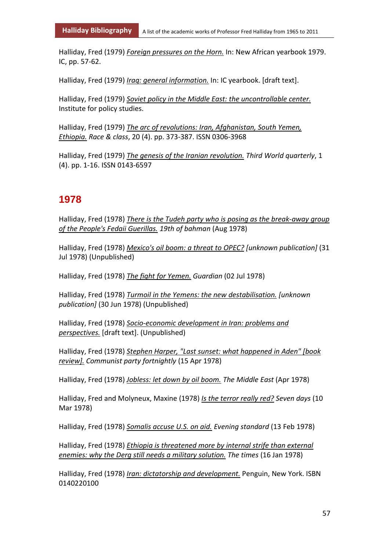Halliday, Fred (1979) *Foreign pressures on the Horn.* In: New African yearbook 1979. IC, pp. 57-62.

Halliday, Fred (1979) *Iraq: general information.* In: IC yearbook. [draft text].

Halliday, Fred (1979) *Soviet policy in the Middle East: the uncontrollable center.* Institute for policy studies.

Halliday, Fred (1979) *The arc of revolutions: Iran, Afghanistan, South Yemen, Ethiopia. Race & class*, 20 (4). pp. 373-387. ISSN 0306-3968

Halliday, Fred (1979) *The genesis of the Iranian revolution. Third World quarterly*, 1 (4). pp. 1-16. ISSN 0143-6597

#### **1978**

Halliday, Fred (1978) *There is the Tudeh party who is posing as the break-away group of the People's Fedaii Guerillas. 19th of bahman* (Aug 1978)

Halliday, Fred (1978) *Mexico's oil boom: a threat to OPEC? [unknown publication]* (31 Jul 1978) (Unpublished)

Halliday, Fred (1978) *The fight for Yemen. Guardian* (02 Jul 1978)

Halliday, Fred (1978) *Turmoil in the Yemens: the new destabilisation. [unknown publication]* (30 Jun 1978) (Unpublished)

Halliday, Fred (1978) *Socio-economic development in Iran: problems and perspectives.* [draft text]. (Unpublished)

Halliday, Fred (1978) *Stephen Harper, "Last sunset: what happened in Aden" [book review]. Communist party fortnightly* (15 Apr 1978)

Halliday, Fred (1978) *Jobless: let down by oil boom. The Middle East* (Apr 1978)

Halliday, Fred and Molyneux, Maxine (1978) *Is the terror really red? Seven days* (10 Mar 1978)

Halliday, Fred (1978) *Somalis accuse U.S. on aid. Evening standard* (13 Feb 1978)

Halliday, Fred (1978) *Ethiopia is threatened more by internal strife than external enemies: why the Derg still needs a military solution. The times* (16 Jan 1978)

Halliday, Fred (1978) *Iran: dictatorship and development.* Penguin, New York. ISBN 0140220100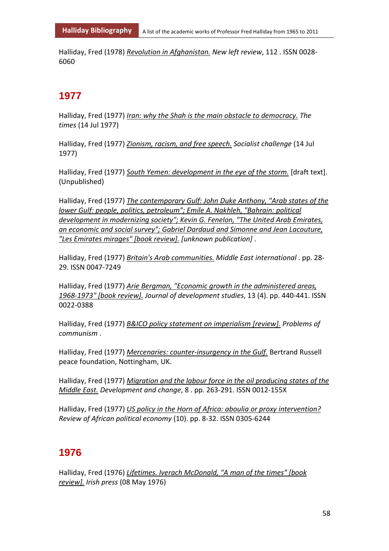Halliday, Fred (1978) *Revolution in Afghanistan. New left review*, 112 . ISSN 0028- 6060

# **1977**

Halliday, Fred (1977) *Iran: why the Shah is the main obstacle to democracy. The times* (14 Jul 1977)

Halliday, Fred (1977) *Zionism, racism, and free speech. Socialist challenge* (14 Jul 1977)

Halliday, Fred (1977) *South Yemen: development in the eye of the storm.* [draft text]. (Unpublished)

Halliday, Fred (1977) *The contemporary Gulf: John Duke Anthony, "Arab states of the lower Gulf: people, politics, petroleum"; Emile A. Nakhleh, "Bahrain: political development in modernizing society"; Kevin G. Fenelon, "The United Arab Emirates, an economic and social survey"; Gabriel Dardaud and Simonne and Jean Lacouture, "Les Emirates mirages" [book review]. [unknown publication]* .

Halliday, Fred (1977) *Britain's Arab communities. Middle East international* . pp. 28- 29. ISSN 0047-7249

Halliday, Fred (1977) *Arie Bergman, "Economic growth in the administered areas, 1968-1973" [book review]. Journal of development studies*, 13 (4). pp. 440-441. ISSN 0022-0388

Halliday, Fred (1977) *B&ICO policy statement on imperialism [review]. Problems of communism* .

Halliday, Fred (1977) *Mercenaries: counter-insurgency in the Gulf.* Bertrand Russell peace foundation, Nottingham, UK.

Halliday, Fred (1977) *Migration and the labour force in the oil producing states of the Middle East. Development and change*, 8 . pp. 263-291. ISSN 0012-155X

Halliday, Fred (1977) *US policy in the Horn of Africa: aboulia or proxy intervention? Review of African political economy* (10). pp. 8-32. ISSN 0305-6244

# **1976**

Halliday, Fred (1976) *Lifetimes. Iverach McDonald, "A man of the times" [book review]. Irish press* (08 May 1976)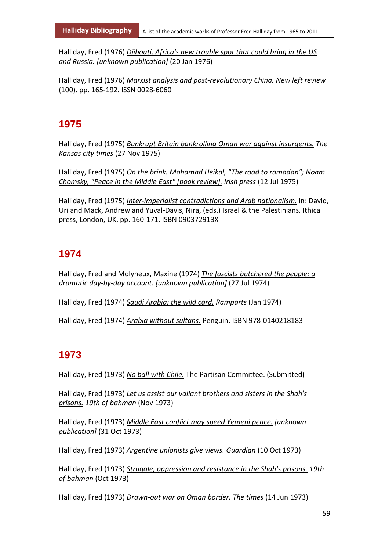Halliday, Fred (1976) *Djibouti, Africa's new trouble spot that could bring in the US and Russia. [unknown publication]* (20 Jan 1976)

Halliday, Fred (1976) *Marxist analysis and post-revolutionary China. New left review* (100). pp. 165-192. ISSN 0028-6060

# **1975**

Halliday, Fred (1975) *Bankrupt Britain bankrolling Oman war against insurgents. The Kansas city times* (27 Nov 1975)

Halliday, Fred (1975) *On the brink. Mohamad Heikal, "The road to ramadan"; Noam Chomsky, "Peace in the Middle East" [book review]. Irish press* (12 Jul 1975)

Halliday, Fred (1975) *Inter-imperialist contradictions and Arab nationalism.* In: David, Uri and Mack, Andrew and Yuval-Davis, Nira, (eds.) Israel & the Palestinians. Ithica press, London, UK, pp. 160-171. ISBN 090372913X

# **1974**

Halliday, Fred and Molyneux, Maxine (1974) *The fascists butchered the people: a dramatic day-by-day account. [unknown publication]* (27 Jul 1974)

Halliday, Fred (1974) *Saudi Arabia: the wild card. Ramparts* (Jan 1974)

Halliday, Fred (1974) *Arabia without sultans.* Penguin. ISBN 978-0140218183

# **1973**

Halliday, Fred (1973) *No ball with Chile.* The Partisan Committee. (Submitted)

Halliday, Fred (1973) *Let us assist our valiant brothers and sisters in the Shah's prisons. 19th of bahman* (Nov 1973)

Halliday, Fred (1973) *Middle East conflict may speed Yemeni peace. [unknown publication]* (31 Oct 1973)

Halliday, Fred (1973) *Argentine unionists give views. Guardian* (10 Oct 1973)

Halliday, Fred (1973) *Struggle, oppression and resistance in the Shah's prisons. 19th of bahman* (Oct 1973)

Halliday, Fred (1973) *Drawn-out war on Oman border. The times* (14 Jun 1973)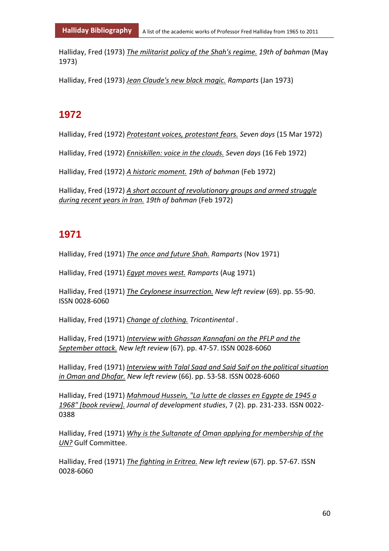Halliday, Fred (1973) *The militarist policy of the Shah's regime. 19th of bahman* (May 1973)

Halliday, Fred (1973) *Jean Claude's new black magic. Ramparts* (Jan 1973)

# **1972**

Halliday, Fred (1972) *Protestant voices, protestant fears. Seven days* (15 Mar 1972)

Halliday, Fred (1972) *Enniskillen: voice in the clouds. Seven days* (16 Feb 1972)

Halliday, Fred (1972) *A historic moment. 19th of bahman* (Feb 1972)

Halliday, Fred (1972) *A short account of revolutionary groups and armed struggle during recent years in Iran. 19th of bahman* (Feb 1972)

### **1971**

Halliday, Fred (1971) *The once and future Shah. Ramparts* (Nov 1971)

Halliday, Fred (1971) *Egypt moves west. Ramparts* (Aug 1971)

Halliday, Fred (1971) *The Ceylonese insurrection. New left review* (69). pp. 55-90. ISSN 0028-6060

Halliday, Fred (1971) *Change of clothing. Tricontinental* .

Halliday, Fred (1971) *Interview with Ghassan Kannafani on the PFLP and the September attack. New left review* (67). pp. 47-57. ISSN 0028-6060

Halliday, Fred (1971) *Interview with Talal Saad and Said Saif on the political situation in Oman and Dhofar. New left review* (66). pp. 53-58. ISSN 0028-6060

Halliday, Fred (1971) *Mahmoud Hussein, "La lutte de classes en Egypte de 1945 a 1968" [book review]. Journal of development studies*, 7 (2). pp. 231-233. ISSN 0022- 0388

Halliday, Fred (1971) *Why is the Sultanate of Oman applying for membership of the UN?* Gulf Committee.

Halliday, Fred (1971) *The fighting in Eritrea. New left review* (67). pp. 57-67. ISSN 0028-6060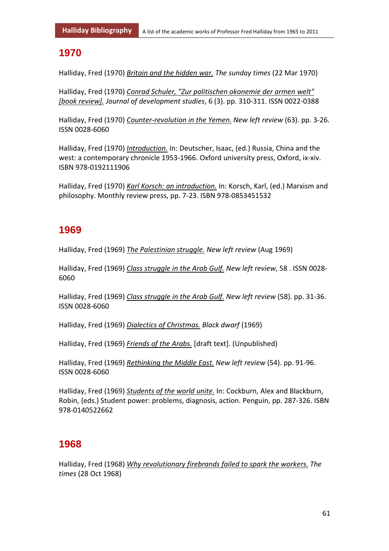### **1970**

Halliday, Fred (1970) *Britain and the hidden war. The sunday times* (22 Mar 1970)

Halliday, Fred (1970) *Conrad Schuler, "Zur politischen okonemie der armen welt" [book review]. Journal of development studies*, 6 (3). pp. 310-311. ISSN 0022-0388

Halliday, Fred (1970) *Counter-revolution in the Yemen. New left review* (63). pp. 3-26. ISSN 0028-6060

Halliday, Fred (1970) *Introduction.* In: Deutscher, Isaac, (ed.) Russia, China and the west: a contemporary chronicle 1953-1966. Oxford university press, Oxford, ix-xiv. ISBN 978-0192111906

Halliday, Fred (1970) *Karl Korsch: an introduction.* In: Korsch, Karl, (ed.) Marxism and philosophy. Monthly review press, pp. 7-23. ISBN 978-0853451532

# **1969**

Halliday, Fred (1969) *The Palestinian struggle. New left review* (Aug 1969)

Halliday, Fred (1969) *Class struggle in the Arab Gulf. New left review*, 58 . ISSN 0028- 6060

Halliday, Fred (1969) *Class struggle in the Arab Gulf. New left review* (58). pp. 31-36. ISSN 0028-6060

Halliday, Fred (1969) *Dialectics of Christmas. Black dwarf* (1969)

Halliday, Fred (1969) *Friends of the Arabs.* [draft text]. (Unpublished)

Halliday, Fred (1969) *Rethinking the Middle East. New left review* (54). pp. 91-96. ISSN 0028-6060

Halliday, Fred (1969) *Students of the world unite.* In: Cockburn, Alex and Blackburn, Robin, (eds.) Student power: problems, diagnosis, action. Penguin, pp. 287-326. ISBN 978-0140522662

# **1968**

Halliday, Fred (1968) *Why revolutionary firebrands failed to spark the workers. The times* (28 Oct 1968)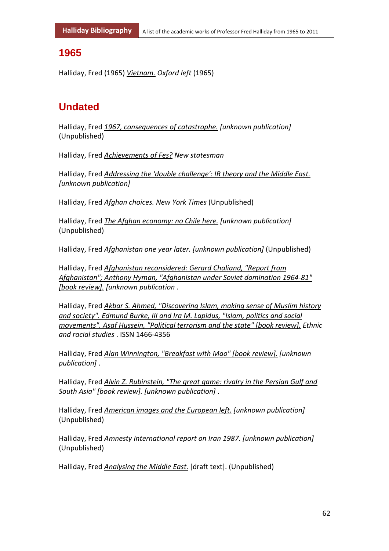### **1965**

Halliday, Fred (1965) *Vietnam. Oxford left* (1965)

# **Undated**

Halliday, Fred *1967, consequences of catastrophe. [unknown publication]* (Unpublished)

Halliday, Fred *Achievements of Fes? New statesman*

Halliday, Fred *Addressing the 'double challenge': IR theory and the Middle East. [unknown publication]*

Halliday, Fred *Afghan choices. New York Times* (Unpublished)

Halliday, Fred *The Afghan economy: no Chile here. [unknown publication]* (Unpublished)

Halliday, Fred *Afghanistan one year later. [unknown publication]* (Unpublished)

Halliday, Fred *Afghanistan reconsidered: Gerard Chaliand, "Report from Afghanistan"; Anthony Hyman, "Afghanistan under Soviet domination 1964-81" [book review]. [unknown publication* .

Halliday, Fred *Akbar S. Ahmed, "Discovering Islam, making sense of Muslim history and society". Edmund Burke, III and Ira M. Lapidus, "Islam, politics and social movements". Asaf Hussein, "Political terrorism and the state" [book review]. Ethnic and racial studies* . ISSN 1466-4356

Halliday, Fred *Alan Winnington, "Breakfast with Mao" [book review]. [unknown publication]* .

Halliday, Fred *Alvin Z. Rubinstein, "The great game: rivalry in the Persian Gulf and South Asia" [book review]. [unknown publication]* .

Halliday, Fred *American images and the European left. [unknown publication]* (Unpublished)

Halliday, Fred *Amnesty International report on Iran 1987. [unknown publication]* (Unpublished)

Halliday, Fred *Analysing the Middle East.* [draft text]. (Unpublished)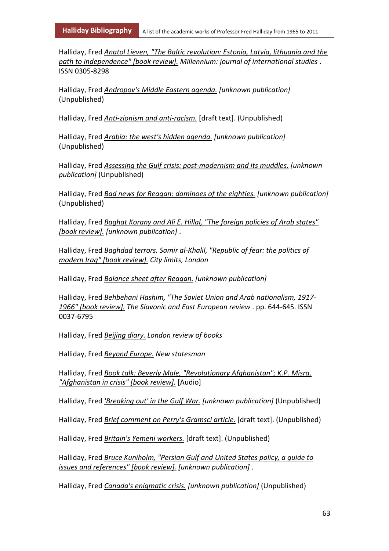Halliday, Fred *Anatol Lieven, "The Baltic revolution: Estonia, Latvia, lithuania and the path to independence" [book review]. Millennium: journal of international studies* . ISSN 0305-8298

Halliday, Fred *Andropov's Middle Eastern agenda. [unknown publication]* (Unpublished)

Halliday, Fred *Anti-zionism and anti-racism.* [draft text]. (Unpublished)

Halliday, Fred *Arabia: the west's hidden agenda. [unknown publication]* (Unpublished)

Halliday, Fred *Assessing the Gulf crisis: post-modernism and its muddles. [unknown publication]* (Unpublished)

Halliday, Fred *Bad news for Reagan: dominoes of the eighties. [unknown publication]* (Unpublished)

Halliday, Fred *Baghat Korany and Ali E. Hillal, "The foreign policies of Arab states" [book review]. [unknown publication]* .

Halliday, Fred *Baghdad terrors. Samir al-Khalil, "Republic of fear: the politics of modern Iraq" [book review]. City limits, London*

Halliday, Fred *Balance sheet after Reagan. [unknown publication]*

Halliday, Fred *Behbehani Hashim, "The Soviet Union and Arab nationalism, 1917- 1966" [book review]. The Slavonic and East European review* . pp. 644-645. ISSN 0037-6795

Halliday, Fred *Beijing diary. London review of books*

Halliday, Fred *Beyond Europe. New statesman*

Halliday, Fred *Book talk: Beverly Male, "Revolutionary Afghanistan"; K.P. Misra, "Afghanistan in crisis" [book review].* [Audio]

Halliday, Fred *'Breaking out' in the Gulf War. [unknown publication]* (Unpublished)

Halliday, Fred *Brief comment on Perry's Gramsci article.* [draft text]. (Unpublished)

Halliday, Fred *Britain's Yemeni workers.* [draft text]. (Unpublished)

Halliday, Fred *Bruce Kuniholm, "Persian Gulf and United States policy, a guide to issues and references" [book review]. [unknown publication]* .

Halliday, Fred *Canada's enigmatic crisis. [unknown publication]* (Unpublished)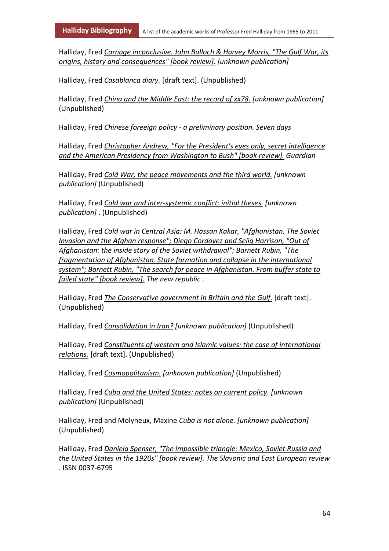Halliday, Fred *Carnage inconclusive. John Bulloch & Harvey Morris, "The Gulf War, its origins, history and consequences" [book review]. [unknown publication]*

Halliday, Fred *Casablanca diary.* [draft text]. (Unpublished)

Halliday, Fred *China and the Middle East: the record of xx78. [unknown publication]* (Unpublished)

Halliday, Fred *Chinese foreeign policy - a preliminary position. Seven days*

Halliday, Fred *Christopher Andrew, "For the President's eyes only, secret intelligence and the American Presidency from Washington to Bush" [book review]. Guardian*

Halliday, Fred *Cold War, the peace movements and the third world. [unknown publication]* (Unpublished)

Halliday, Fred *Cold war and inter-systemic conflict: initial theses. [unknown publication]* . (Unpublished)

Halliday, Fred *Cold war in Central Asia: M. Hassan Kakar, "Afghanistan. The Soviet Invasion and the Afghan response"; Diego Cordovez and Selig Harrison, "Out of Afghanistan: the inside story of the Soviet withdrawal"; Barnett Rubin, "The fragmentation of Afghanistan. State formation and collapse in the international system"; Barnett Rubin, "The search for peace in Afghanistan. From buffer state to failed state" [book review]. The new republic* .

Halliday, Fred *The Conservative government in Britain and the Gulf.* [draft text]. (Unpublished)

Halliday, Fred *Consolidation in Iran? [unknown publication]* (Unpublished)

Halliday, Fred *Constituents of western and Islamic values: the case of international relations.* [draft text]. (Unpublished)

Halliday, Fred *Cosmopolitanism. [unknown publication]* (Unpublished)

Halliday, Fred *Cuba and the United States: notes on current policy. [unknown publication]* (Unpublished)

Halliday, Fred and Molyneux, Maxine *Cuba is not alone. [unknown publication]* (Unpublished)

Halliday, Fred *Daniela Spenser, "The impossible triangle: Mexico, Soviet Russia and the United States in the 1920s" [book review]. The Slavonic and East European review* . ISSN 0037-6795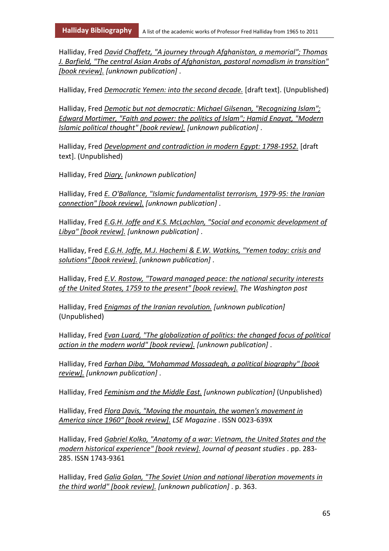Halliday, Fred *David Chaffetz, "A journey through Afghanistan, a memorial"; Thomas J. Barfield, "The central Asian Arabs of Afghanistan, pastoral nomadism in transition" [book review]. [unknown publication]* .

Halliday, Fred *Democratic Yemen: into the second decade.* [draft text]. (Unpublished)

Halliday, Fred *Demotic but not democratic: Michael Gilsenan, "Recognizing Islam"; Edward Mortimer, "Faith and power: the politics of Islam"; Hamid Enayat, "Modern Islamic political thought" [book review]. [unknown publication]* .

Halliday, Fred *Development and contradiction in modern Egypt: 1798-1952.* [draft text]. (Unpublished)

Halliday, Fred *Diary. [unknown publication]*

Halliday, Fred *E. O'Ballance, "Islamic fundamentalist terrorism, 1979-95: the Iranian connection" [book review]. [unknown publication]* .

Halliday, Fred *E.G.H. Joffe and K.S. McLachlan, "Social and economic development of Libya" [book review]. [unknown publication]* .

Halliday, Fred *E.G.H. Joffe, M.J. Hachemi & E.W. Watkins, "Yemen today: crisis and solutions" [book review]. [unknown publication]* .

Halliday, Fred *E.V. Rostow, "Toward managed peace: the national security interests of the United States, 1759 to the present" [book review]. The Washington post*

Halliday, Fred *Enigmas of the Iranian revolution. [unknown publication]* (Unpublished)

Halliday, Fred *Evan Luard, "The globalization of politics: the changed focus of political action in the modern world" [book review]. [unknown publication]* .

Halliday, Fred *Farhan Diba, "Mohammad Mossadegh, a political biography" [book review]. [unknown publication]* .

Halliday, Fred *Feminism and the Middle East. [unknown publication]* (Unpublished)

Halliday, Fred *Flora Davis, "Moving the mountain, the women's movement in America since 1960" [book review]. LSE Magazine* . ISSN 0023-639X

Halliday, Fred *Gabriel Kolko, "Anatomy of a war: Vietnam, the United States and the modern historical experience" [book review]. Journal of peasant studies* . pp. 283- 285. ISSN 1743-9361

Halliday, Fred *Galia Golan, "The Soviet Union and national liberation movements in the third world" [book review]. [unknown publication]* . p. 363.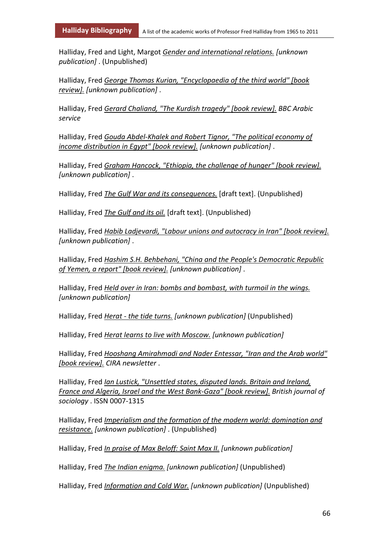Halliday, Fred and Light, Margot *Gender and international relations. [unknown publication]* . (Unpublished)

Halliday, Fred *George Thomas Kurian, "Encyclopaedia of the third world" [book review]. [unknown publication]* .

Halliday, Fred *Gerard Chaliand, "The Kurdish tragedy" [book review]. BBC Arabic service*

Halliday, Fred *Gouda Abdel-Khalek and Robert Tignor, "The political economy of income distribution in Egypt" [book review]. [unknown publication]* .

Halliday, Fred *Graham Hancock, "Ethiopia, the challenge of hunger" [book review]. [unknown publication]* .

Halliday, Fred *The Gulf War and its consequences.* [draft text]. (Unpublished)

Halliday, Fred *The Gulf and its oil.* [draft text]. (Unpublished)

Halliday, Fred *Habib Ladjevardi, "Labour unions and autocracy in Iran" [book review]. [unknown publication]* .

Halliday, Fred *Hashim S.H. Behbehani, "China and the People's Democratic Republic of Yemen, a report" [book review]. [unknown publication]* .

Halliday, Fred *Held over in Iran: bombs and bombast, with turmoil in the wings. [unknown publication]*

Halliday, Fred *Herat - the tide turns. [unknown publication]* (Unpublished)

Halliday, Fred *Herat learns to live with Moscow. [unknown publication]*

Halliday, Fred *Hooshang Amirahmadi and Nader Entessar, "Iran and the Arab world" [book review]. CIRA newsletter* .

Halliday, Fred *Ian Lustick, "Unsettled states, disputed lands. Britain and Ireland, France and Algeria, Israel and the West Bank-Gaza" [book review]. British journal of sociology* . ISSN 0007-1315

Halliday, Fred *Imperialism and the formation of the modern world: domination and resistance. [unknown publication]* . (Unpublished)

Halliday, Fred *In praise of Max Beloff: Saint Max II. [unknown publication]*

Halliday, Fred *The Indian enigma. [unknown publication]* (Unpublished)

Halliday, Fred *Information and Cold War. [unknown publication]* (Unpublished)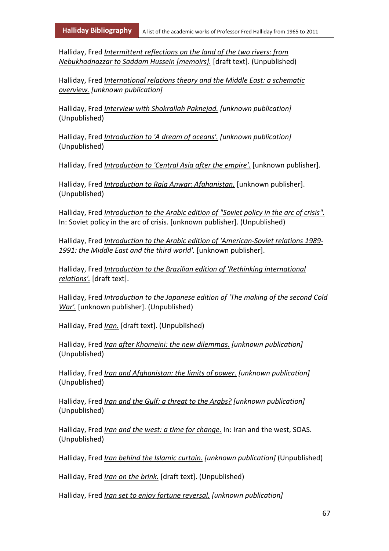Halliday, Fred *Intermittent reflections on the land of the two rivers: from Nebukhadnazzar to Saddam Hussein [memoirs].* [draft text]. (Unpublished)

Halliday, Fred *International relations theory and the Middle East: a schematic overview. [unknown publication]*

Halliday, Fred *Interview with Shokrallah Paknejad. [unknown publication]* (Unpublished)

Halliday, Fred *Introduction to 'A dream of oceans'. [unknown publication]* (Unpublished)

Halliday, Fred *Introduction to 'Central Asia after the empire'.* [unknown publisher].

Halliday, Fred *Introduction to Raja Anwar: Afghanistan.* [unknown publisher]. (Unpublished)

Halliday, Fred *Introduction to the Arabic edition of "Soviet policy in the arc of crisis".* In: Soviet policy in the arc of crisis. [unknown publisher]. (Unpublished)

Halliday, Fred *Introduction to the Arabic edition of 'American-Soviet relations 1989- 1991: the Middle East and the third world'.* [unknown publisher].

Halliday, Fred *Introduction to the Brazilian edition of 'Rethinking international relations'.* [draft text].

Halliday, Fred *Introduction to the Japanese edition of 'The making of the second Cold War'.* [unknown publisher]. (Unpublished)

Halliday, Fred *Iran.* [draft text]. (Unpublished)

Halliday, Fred *Iran after Khomeini: the new dilemmas. [unknown publication]* (Unpublished)

Halliday, Fred *Iran and Afghanistan: the limits of power. [unknown publication]* (Unpublished)

Halliday, Fred *Iran and the Gulf: a threat to the Arabs? [unknown publication]* (Unpublished)

Halliday, Fred *Iran and the west: a time for change.* In: Iran and the west, SOAS. (Unpublished)

Halliday, Fred *Iran behind the Islamic curtain. [unknown publication]* (Unpublished)

Halliday, Fred *Iran on the brink.* [draft text]. (Unpublished)

Halliday, Fred *Iran set to enjoy fortune reversal. [unknown publication]*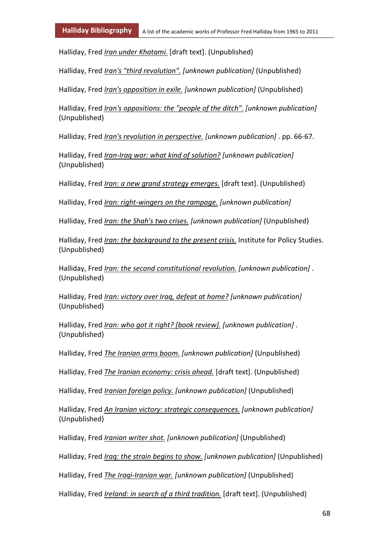Halliday, Fred *Iran under Khatami.* [draft text]. (Unpublished)

Halliday, Fred *Iran's "third revolution". [unknown publication]* (Unpublished)

Halliday, Fred *Iran's opposition in exile. [unknown publication]* (Unpublished)

Halliday, Fred *Iran's oppositions: the "people of the ditch". [unknown publication]* (Unpublished)

Halliday, Fred *Iran's revolution in perspective. [unknown publication]* . pp. 66-67.

Halliday, Fred *Iran-Iraq war: what kind of solution? [unknown publication]* (Unpublished)

Halliday, Fred *Iran: a new grand strategy emerges.* [draft text]. (Unpublished)

Halliday, Fred *Iran: right-wingers on the rampage. [unknown publication]*

Halliday, Fred *Iran: the Shah's two crises. [unknown publication]* (Unpublished)

Halliday, Fred *Iran: the background to the present crisis.* Institute for Policy Studies. (Unpublished)

Halliday, Fred *Iran: the second constitutional revolution. [unknown publication]* . (Unpublished)

Halliday, Fred *Iran: victory over Iraq, defeat at home? [unknown publication]* (Unpublished)

Halliday, Fred *Iran: who got it right? [book review]. [unknown publication]* . (Unpublished)

Halliday, Fred *The Iranian arms boom. [unknown publication]* (Unpublished)

Halliday, Fred *The Iranian economy: crisis ahead.* [draft text]. (Unpublished)

Halliday, Fred *Iranian foreign policy. [unknown publication]* (Unpublished)

Halliday, Fred *An Iranian victory: strategic consequences. [unknown publication]* (Unpublished)

Halliday, Fred *Iranian writer shot. [unknown publication]* (Unpublished)

Halliday, Fred *Iraq: the strain begins to show. [unknown publication]* (Unpublished)

Halliday, Fred *The Iraqi-Iranian war. [unknown publication]* (Unpublished)

Halliday, Fred *Ireland: in search of a third tradition.* [draft text]. (Unpublished)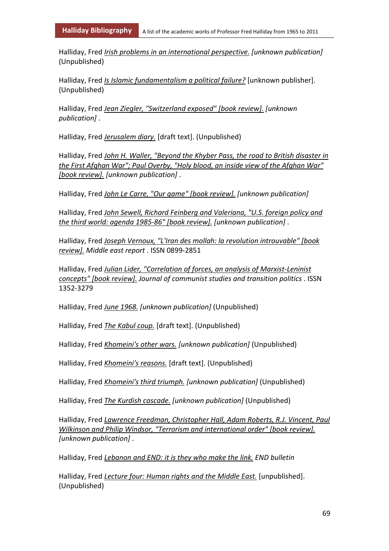Halliday, Fred *Irish problems in an international perspective. [unknown publication]* (Unpublished)

Halliday, Fred *Is Islamic fundamentalism a political failure?* [unknown publisher]. (Unpublished)

Halliday, Fred *Jean Ziegler, "Switzerland exposed" [book review]. [unknown publication]* .

Halliday, Fred *Jerusalem diary.* [draft text]. (Unpublished)

Halliday, Fred *John H. Waller, "Beyond the Khyber Pass, the road to British disaster in the First Afghan War"; Paul Overby, "Holy blood, an inside view of the Afghan War" [book review]. [unknown publication]* .

Halliday, Fred *John Le Carre, "Our game" [book review]. [unknown publication]*

Halliday, Fred *John Sewell, Richard Feinberg and Valeriana, "U.S. foreign policy and the third world: agenda 1985-86" [book review]. [unknown publication]* .

Halliday, Fred *Joseph Vernoux, "L'Iran des mollah: la revolution introuvable" [book review]. Middle east report* . ISSN 0899-2851

Halliday, Fred *Julian Lider, "Correlation of forces, an analysis of Marxist-Leninist concepts" [book review]. Journal of communist studies and transition politics* . ISSN 1352-3279

Halliday, Fred *June 1968. [unknown publication]* (Unpublished)

Halliday, Fred *The Kabul coup.* [draft text]. (Unpublished)

Halliday, Fred *Khomeini's other wars. [unknown publication]* (Unpublished)

Halliday, Fred *Khomeini's reasons.* [draft text]. (Unpublished)

Halliday, Fred *Khomeini's third triumph. [unknown publication]* (Unpublished)

Halliday, Fred *The Kurdish cascade. [unknown publication]* (Unpublished)

Halliday, Fred *Lawrence Freedman, Christopher Hall, Adam Roberts, R.J. Vincent, Paul Wilkinson and Philip Windsor, "Terrorism and international order" [book review]. [unknown publication]* .

Halliday, Fred *Lebanon and END: it is they who make the link. END bulletin*

Halliday, Fred *Lecture four: Human rights and the Middle East.* [unpublished]. (Unpublished)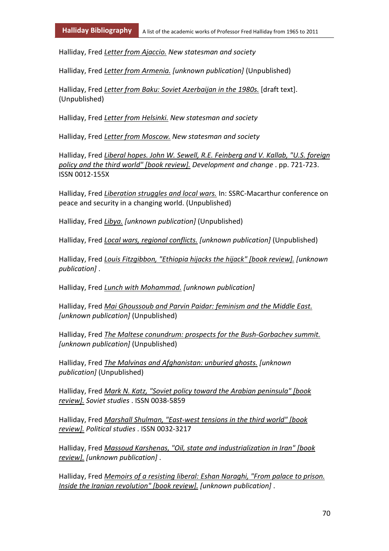Halliday, Fred *Letter from Ajaccio. New statesman and society*

Halliday, Fred *Letter from Armenia. [unknown publication]* (Unpublished)

Halliday, Fred *Letter from Baku: Soviet Azerbaijan in the 1980s.* [draft text]. (Unpublished)

Halliday, Fred *Letter from Helsinki. New statesman and society*

Halliday, Fred *Letter from Moscow. New statesman and society*

Halliday, Fred *Liberal hopes. John W. Sewell, R.E. Feinberg and V. Kallab, "U.S. foreign policy and the third world" [book review]. Development and change* . pp. 721-723. ISSN 0012-155X

Halliday, Fred *Liberation struggles and local wars.* In: SSRC-Macarthur conference on peace and security in a changing world. (Unpublished)

Halliday, Fred *Libya. [unknown publication]* (Unpublished)

Halliday, Fred *Local wars, regional conflicts. [unknown publication]* (Unpublished)

Halliday, Fred *Louis Fitzgibbon, "Ethiopia hijacks the hijack" [book review]. [unknown publication]* .

Halliday, Fred *Lunch with Mohammad. [unknown publication]*

Halliday, Fred *Mai Ghoussoub and Parvin Paidar: feminism and the Middle East. [unknown publication]* (Unpublished)

Halliday, Fred *The Maltese conundrum: prospects for the Bush-Gorbachev summit. [unknown publication]* (Unpublished)

Halliday, Fred *The Malvinas and Afghanistan: unburied ghosts. [unknown publication]* (Unpublished)

Halliday, Fred *Mark N. Katz, "Soviet policy toward the Arabian peninsula" [book review]. Soviet studies* . ISSN 0038-5859

Halliday, Fred *Marshall Shulman, "East-west tensions in the third world" [book review]. Political studies* . ISSN 0032-3217

Halliday, Fred *Massoud Karshenas, "Oil, state and industrialization in Iran" [book review]. [unknown publication]* .

Halliday, Fred *Memoirs of a resisting liberal: Eshan Naraghi, "From palace to prison. Inside the Iranian revolution" [book review]. [unknown publication]* .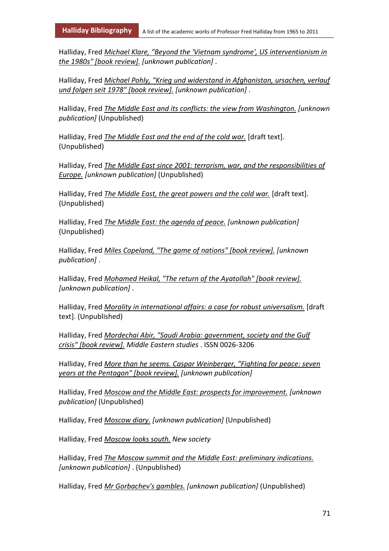Halliday, Fred *Michael Klare, "Beyond the 'Vietnam syndrome', US interventionism in the 1980s" [book review]. [unknown publication]* .

Halliday, Fred *Michael Pohly, "Krieg und widerstand in Afghanistan, ursachen, verlauf und folgen seit 1978" [book review]. [unknown publication]* .

Halliday, Fred *The Middle East and its conflicts: the view from Washington. [unknown publication]* (Unpublished)

Halliday, Fred *The Middle East and the end of the cold war.* [draft text]. (Unpublished)

Halliday, Fred *The Middle East since 2001: terrorism, war, and the responsibilities of Europe. [unknown publication]* (Unpublished)

Halliday, Fred *The Middle East, the great powers and the cold war.* [draft text]. (Unpublished)

Halliday, Fred *The Middle East: the agenda of peace. [unknown publication]* (Unpublished)

Halliday, Fred *Miles Copeland, "The game of nations" [book review]. [unknown publication]* .

Halliday, Fred *Mohamed Heikal, "The return of the Ayatollah" [book review]. [unknown publication]* .

Halliday, Fred *Morality in international affairs: a case for robust universalism.* [draft text]. (Unpublished)

Halliday, Fred *Mordechai Abir, "Saudi Arabia: government, society and the Gulf crisis" [book review]. Middle Eastern studies* . ISSN 0026-3206

Halliday, Fred *More than he seems. Caspar Weinberger, "Fighting for peace: seven years at the Pentagon" [book review]. [unknown publication]*

Halliday, Fred *Moscow and the Middle East: prospects for improvement. [unknown publication]* (Unpublished)

Halliday, Fred *Moscow diary. [unknown publication]* (Unpublished)

Halliday, Fred *Moscow looks south. New society*

Halliday, Fred *The Moscow summit and the Middle East: preliminary indications. [unknown publication]* . (Unpublished)

Halliday, Fred *Mr Gorbachev's gambles. [unknown publication]* (Unpublished)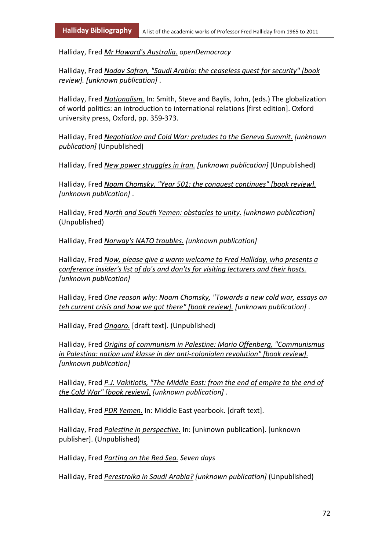Halliday, Fred *Mr Howard's Australia. openDemocracy*

Halliday, Fred *Nadav Safran, "Saudi Arabia: the ceaseless quest for security" [book review]. [unknown publication]* .

Halliday, Fred *Nationalism.* In: Smith, Steve and Baylis, John, (eds.) The globalization of world politics: an introduction to international relations [first edition]. Oxford university press, Oxford, pp. 359-373.

Halliday, Fred *Negotiation and Cold War: preludes to the Geneva Summit. [unknown publication]* (Unpublished)

Halliday, Fred *New power struggles in Iran. [unknown publication]* (Unpublished)

Halliday, Fred *Noam Chomsky, "Year 501: the conquest continues" [book review]. [unknown publication]* .

Halliday, Fred *North and South Yemen: obstacles to unity. [unknown publication]* (Unpublished)

Halliday, Fred *Norway's NATO troubles. [unknown publication]*

Halliday, Fred *Now, please give a warm welcome to Fred Halliday, who presents a conference insider's list of do's and don'ts for visiting lecturers and their hosts. [unknown publication]*

Halliday, Fred *One reason why: Noam Chomsky, "Towards a new cold war, essays on teh current crisis and how we got there" [book review]. [unknown publication]* .

Halliday, Fred *Ongaro.* [draft text]. (Unpublished)

Halliday, Fred *Origins of communism in Palestine: Mario Offenberg, "Communismus in Palestina: nation und klasse in der anti-colonialen revolution" [book review]. [unknown publication]*

Halliday, Fred *P.J. Vakitiotis, "The Middle East: from the end of empire to the end of the Cold War" [book review]. [unknown publication]* .

Halliday, Fred *PDR Yemen.* In: Middle East yearbook. [draft text].

Halliday, Fred *Palestine in perspective.* In: [unknown publication]. [unknown publisher]. (Unpublished)

Halliday, Fred *Parting on the Red Sea. Seven days*

Halliday, Fred *Perestroika in Saudi Arabia? [unknown publication]* (Unpublished)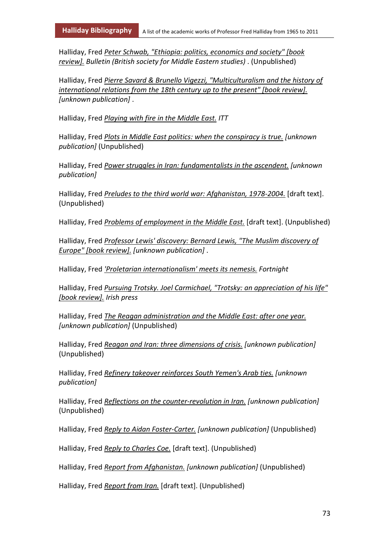Halliday, Fred *Peter Schwab, "Ethiopia: politics, economics and society" [book review]. Bulletin (British society for Middle Eastern studies)* . (Unpublished)

Halliday, Fred *Pierre Savard & Brunello Vigezzi, "Multiculturalism and the history of international relations from the 18th century up to the present" [book review]. [unknown publication]* .

Halliday, Fred *Playing with fire in the Middle East. ITT*

Halliday, Fred *Plots in Middle East politics: when the conspiracy is true. [unknown publication]* (Unpublished)

Halliday, Fred *Power struggles in Iran: fundamentalists in the ascendent. [unknown publication]*

Halliday, Fred *Preludes to the third world war: Afghanistan, 1978-2004.* [draft text]. (Unpublished)

Halliday, Fred *Problems of employment in the Middle East.* [draft text]. (Unpublished)

Halliday, Fred *Professor Lewis' discovery: Bernard Lewis, "The Muslim discovery of Europe" [book review]. [unknown publication]* .

Halliday, Fred *'Proletarian internationalism' meets its nemesis. Fortnight*

Halliday, Fred *Pursuing Trotsky. Joel Carmichael, "Trotsky: an appreciation of his life" [book review]. Irish press*

Halliday, Fred *The Reagan administration and the Middle East: after one year. [unknown publication]* (Unpublished)

Halliday, Fred *Reagan and Iran: three dimensions of crisis. [unknown publication]* (Unpublished)

Halliday, Fred *Refinery takeover reinforces South Yemen's Arab ties. [unknown publication]*

Halliday, Fred *Reflections on the counter-revolution in Iran. [unknown publication]* (Unpublished)

Halliday, Fred *Reply to Aidan Foster-Carter. [unknown publication]* (Unpublished)

Halliday, Fred *Reply to Charles Coe.* [draft text]. (Unpublished)

Halliday, Fred *Report from Afghanistan. [unknown publication]* (Unpublished)

Halliday, Fred *Report from Iran.* [draft text]. (Unpublished)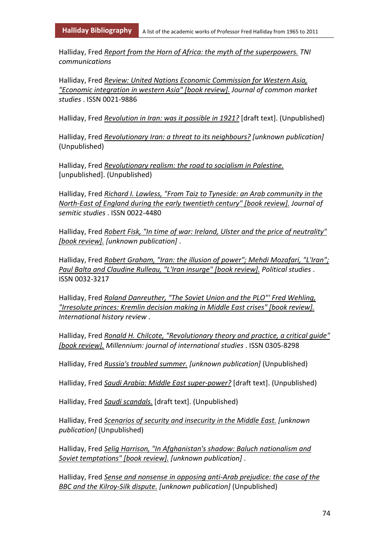Halliday, Fred *Report from the Horn of Africa: the myth of the superpowers. TNI communications*

Halliday, Fred *Review: United Nations Economic Commission for Western Asia, "Economic integration in western Asia" [book review]. Journal of common market studies* . ISSN 0021-9886

Halliday, Fred *Revolution in Iran: was it possible in 1921?* [draft text]. (Unpublished)

Halliday, Fred *Revolutionary Iran: a threat to its neighbours? [unknown publication]* (Unpublished)

Halliday, Fred *Revolutionary realism: the road to socialism in Palestine.* [unpublished]. (Unpublished)

Halliday, Fred *Richard I. Lawless, "From Taiz to Tyneside: an Arab community in the North-East of England during the early twentieth century" [book review]. Journal of semitic studies* . ISSN 0022-4480

Halliday, Fred *Robert Fisk, "In time of war: Ireland, Ulster and the price of neutrality" [book review]. [unknown publication]* .

Halliday, Fred *Robert Graham, "Iran: the illusion of power"; Mehdi Mozafari, "L'Iran"; Paul Balta and Claudine Rulleau, "L'Iran insurge" [book review]. Political studies* . ISSN 0032-3217

Halliday, Fred *Roland Danreuther, "The Soviet Union and the PLO"' Fred Wehling, "Irresolute princes: Kremlin decision making in Middle East crises" [book review]. International history review* .

Halliday, Fred *Ronald H. Chilcote, "Revolutionary theory and practice, a critical guide" [book review]. Millennium: journal of international studies* . ISSN 0305-8298

Halliday, Fred *Russia's troubled summer. [unknown publication]* (Unpublished)

Halliday, Fred *Saudi Arabia: Middle East super-power?* [draft text]. (Unpublished)

Halliday, Fred *Saudi scandals.* [draft text]. (Unpublished)

Halliday, Fred *Scenarios of security and insecurity in the Middle East. [unknown publication]* (Unpublished)

Halliday, Fred *Selig Harrison, "In Afghanistan's shadow: Baluch nationalism and Soviet temptations" [book review]. [unknown publication]* .

Halliday, Fred *Sense and nonsense in opposing anti-Arab prejudice: the case of the BBC and the Kilroy-Silk dispute. [unknown publication]* (Unpublished)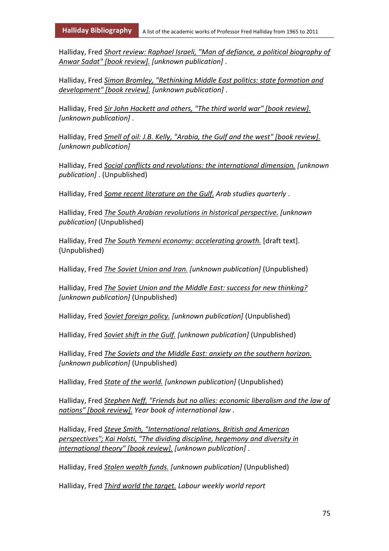Halliday, Fred *Short review: Raphael Israeli, "Man of defiance, a political biography of Anwar Sadat" [book review]. [unknown publication]* .

Halliday, Fred *Simon Bromley, "Rethinking Middle East politics: state formation and development" [book review]. [unknown publication]* .

Halliday, Fred *Sir John Hackett and others, "The third world war" [book review]. [unknown publication]* .

Halliday, Fred *Smell of oil: J.B. Kelly, "Arabia, the Gulf and the west" [book review]. [unknown publication]*

Halliday, Fred *Social conflicts and revolutions: the international dimension. [unknown publication]* . (Unpublished)

Halliday, Fred *Some recent literature on the Gulf. Arab studies quarterly* .

Halliday, Fred *The South Arabian revolutions in historical perspective. [unknown publication]* (Unpublished)

Halliday, Fred *The South Yemeni economy: accelerating growth.* [draft text]. (Unpublished)

Halliday, Fred *The Soviet Union and Iran. [unknown publication]* (Unpublished)

Halliday, Fred *The Soviet Union and the Middle East: success for new thinking? [unknown publication]* (Unpublished)

Halliday, Fred *Soviet foreign policy. [unknown publication]* (Unpublished)

Halliday, Fred *Soviet shift in the Gulf. [unknown publication]* (Unpublished)

Halliday, Fred *The Soviets and the Middle East: anxiety on the southern horizon. [unknown publication]* (Unpublished)

Halliday, Fred *State of the world. [unknown publication]* (Unpublished)

Halliday, Fred *Stephen Neff, "Friends but no allies: economic liberalism and the law of nations" [book review]. Year book of international law* .

Halliday, Fred *Steve Smith, "International relations, British and American perspectives"; Kai Holsti, "The dividing discipline, hegemony and diversity in international theory" [book review]. [unknown publication]* .

Halliday, Fred *Stolen wealth funds. [unknown publication]* (Unpublished)

Halliday, Fred *Third world the target. Labour weekly world report*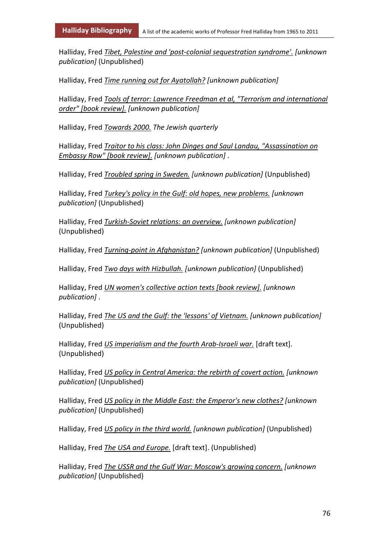Halliday, Fred *Tibet, Palestine and 'post-colonial sequestration syndrome'. [unknown publication]* (Unpublished)

Halliday, Fred *Time running out for Ayatollah? [unknown publication]*

Halliday, Fred *Tools of terror: Lawrence Freedman et al, "Terrorism and international order" [book review]. [unknown publication]*

Halliday, Fred *Towards 2000. The Jewish quarterly*

Halliday, Fred *Traitor to his class: John Dinges and Saul Landau, "Assassination on Embassy Row" [book review]. [unknown publication]* .

Halliday, Fred *Troubled spring in Sweden. [unknown publication]* (Unpublished)

Halliday, Fred *Turkey's policy in the Gulf: old hopes, new problems. [unknown publication]* (Unpublished)

Halliday, Fred *Turkish-Soviet relations: an overview. [unknown publication]* (Unpublished)

Halliday, Fred *Turning-point in Afghanistan? [unknown publication]* (Unpublished)

Halliday, Fred *Two days with Hizbullah. [unknown publication]* (Unpublished)

Halliday, Fred *UN women's collective action texts [book review]. [unknown publication]* .

Halliday, Fred *The US and the Gulf: the 'lessons' of Vietnam. [unknown publication]* (Unpublished)

Halliday, Fred *US imperialism and the fourth Arab-Israeli war.* [draft text]. (Unpublished)

Halliday, Fred *US policy in Central America: the rebirth of covert action. [unknown publication]* (Unpublished)

Halliday, Fred *US policy in the Middle East: the Emperor's new clothes? [unknown publication]* (Unpublished)

Halliday, Fred *US policy in the third world. [unknown publication]* (Unpublished)

Halliday, Fred *The USA and Europe.* [draft text]. (Unpublished)

Halliday, Fred *The USSR and the Gulf War: Moscow's growing concern. [unknown publication]* (Unpublished)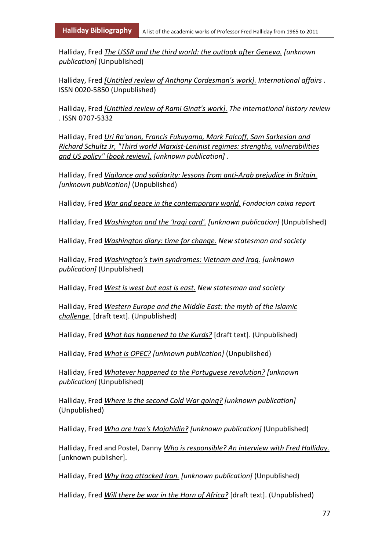Halliday, Fred *The USSR and the third world: the outlook after Geneva. [unknown publication]* (Unpublished)

Halliday, Fred *[Untitled review of Anthony Cordesman's work]. International affairs* . ISSN 0020-5850 (Unpublished)

Halliday, Fred *[Untitled review of Rami Ginat's work]. The international history review* . ISSN 0707-5332

Halliday, Fred *Uri Ra'anan, Francis Fukuyama, Mark Falcoff, Sam Sarkesian and Richard Schultz Jr, "Third world Marxist-Leninist regimes: strengths, vulnerabilities and US policy" [book review]. [unknown publication]* .

Halliday, Fred *Vigilance and solidarity: lessons from anti-Arab prejudice in Britain. [unknown publication]* (Unpublished)

Halliday, Fred *War and peace in the contemporary world. Fondacion caixa report*

Halliday, Fred *Washington and the 'Iraqi card'. [unknown publication]* (Unpublished)

Halliday, Fred *Washington diary: time for change. New statesman and society*

Halliday, Fred *Washington's twin syndromes: Vietnam and Iraq. [unknown publication]* (Unpublished)

Halliday, Fred *West is west but east is east. New statesman and society*

Halliday, Fred *Western Europe and the Middle East: the myth of the Islamic challenge.* [draft text]. (Unpublished)

Halliday, Fred *What has happened to the Kurds?* [draft text]. (Unpublished)

Halliday, Fred *What is OPEC? [unknown publication]* (Unpublished)

Halliday, Fred *Whatever happened to the Portuguese revolution? [unknown publication]* (Unpublished)

Halliday, Fred *Where is the second Cold War going? [unknown publication]* (Unpublished)

Halliday, Fred *Who are Iran's Mojahidin? [unknown publication]* (Unpublished)

Halliday, Fred and Postel, Danny *Who is responsible? An interview with Fred Halliday.* [unknown publisher].

Halliday, Fred *Why Iraq attacked Iran. [unknown publication]* (Unpublished)

Halliday, Fred *Will there be war in the Horn of Africa?* [draft text]. (Unpublished)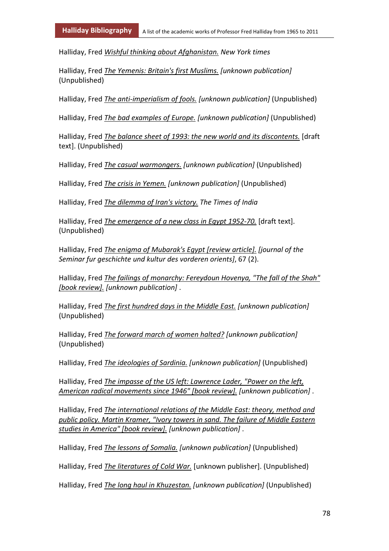Halliday, Fred *Wishful thinking about Afghanistan. New York times*

Halliday, Fred *The Yemenis: Britain's first Muslims. [unknown publication]* (Unpublished)

Halliday, Fred *The anti-imperialism of fools. [unknown publication]* (Unpublished)

Halliday, Fred *The bad examples of Europe. [unknown publication]* (Unpublished)

Halliday, Fred *The balance sheet of 1993: the new world and its discontents.* [draft text]. (Unpublished)

Halliday, Fred *The casual warmongers. [unknown publication]* (Unpublished)

Halliday, Fred *The crisis in Yemen. [unknown publication]* (Unpublished)

Halliday, Fred *The dilemma of Iran's victory. The Times of India*

Halliday, Fred *The emergence of a new class in Egypt 1952-70.* [draft text]. (Unpublished)

Halliday, Fred *The enigma of Mubarak's Egypt [review article]. [journal of the Seminar fur geschichte und kultur des vorderen orients]*, 67 (2).

Halliday, Fred *The failings of monarchy: Fereydoun Hovenya, "The fall of the Shah" [book review]. [unknown publication]* .

Halliday, Fred *The first hundred days in the Middle East. [unknown publication]* (Unpublished)

Halliday, Fred *The forward march of women halted? [unknown publication]* (Unpublished)

Halliday, Fred *The ideologies of Sardinia. [unknown publication]* (Unpublished)

Halliday, Fred *The impasse of the US left: Lawrence Lader, "Power on the left, American radical movements since 1946" [book review]. [unknown publication]* .

Halliday, Fred *The international relations of the Middle East: theory, method and public policy. Martin Kramer, "Ivory towers in sand. The failure of Middle Eastern studies in America" [book review]. [unknown publication]* .

Halliday, Fred *The lessons of Somalia. [unknown publication]* (Unpublished)

Halliday, Fred *The literatures of Cold War.* [unknown publisher]. (Unpublished)

Halliday, Fred *The long haul in Khuzestan. [unknown publication]* (Unpublished)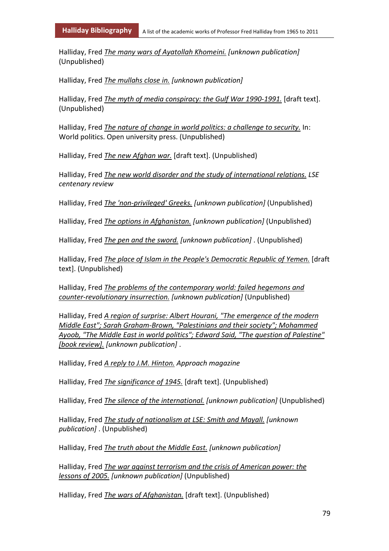Halliday, Fred *The many wars of Ayatollah Khomeini. [unknown publication]* (Unpublished)

Halliday, Fred *The mullahs close in. [unknown publication]*

Halliday, Fred *The myth of media conspiracy: the Gulf War 1990-1991.* [draft text]. (Unpublished)

Halliday, Fred *The nature of change in world politics: a challenge to security.* In: World politics. Open university press. (Unpublished)

Halliday, Fred *The new Afghan war.* [draft text]. (Unpublished)

Halliday, Fred *The new world disorder and the study of international relations. LSE centenary review*

Halliday, Fred *The 'non-privileged' Greeks. [unknown publication]* (Unpublished)

Halliday, Fred *The options in Afghanistan. [unknown publication]* (Unpublished)

Halliday, Fred *The pen and the sword. [unknown publication]* . (Unpublished)

Halliday, Fred *The place of Islam in the People's Democratic Republic of Yemen.* [draft text]. (Unpublished)

Halliday, Fred *The problems of the contemporary world: failed hegemons and counter-revolutionary insurrection. [unknown publication]* (Unpublished)

Halliday, Fred *A region of surprise: Albert Hourani, "The emergence of the modern Middle East"; Sarah Graham-Brown, "Palestinians and their society"; Mohammed Ayoob, "The Middle East in world politics"; Edward Said, "The question of Palestine" [book review]. [unknown publication]* .

Halliday, Fred *A reply to J.M. Hinton. Approach magazine*

Halliday, Fred *The significance of 1945.* [draft text]. (Unpublished)

Halliday, Fred *The silence of the international. [unknown publication]* (Unpublished)

Halliday, Fred *The study of nationalism at LSE: Smith and Mayall. [unknown publication]* . (Unpublished)

Halliday, Fred *The truth about the Middle East. [unknown publication]*

Halliday, Fred *The war against terrorism and the crisis of American power: the lessons of 2005. [unknown publication]* (Unpublished)

Halliday, Fred *The wars of Afghanistan.* [draft text]. (Unpublished)